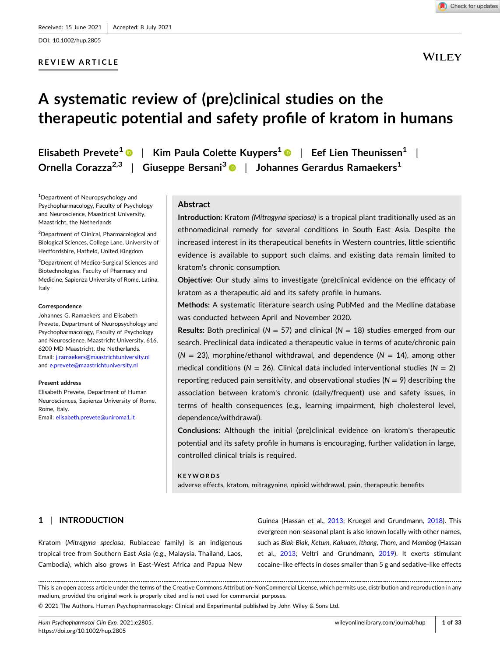DOI: [10.1002/hup.2805](https://doi.org/10.1002/hup.2805)

# **REVIEW ARTICLE**

**WILEY** 

# **A systematic review of (pre)clinical studies on the therapeutic potential and safety profile of kratom in humans**

**Elisabeth Prevete1** | **Kim Paula Colette Kuypers1** | **Eef Lien Theunissen1** | **Ornella Corazza2,3** | **Giuseppe Bersani3** | **Johannes Gerardus Ramaekers1**

1 Department of Neuropsychology and Psychopharmacology, Faculty of Psychology and Neuroscience, Maastricht University, Maastricht, the Netherlands

2 Department of Clinical, Pharmacological and Biological Sciences, College Lane, University of Hertfordshire, Hatfield, United Kingdom

3 Department of Medico‐Surgical Sciences and Biotechnologies, Faculty of Pharmacy and Medicine, Sapienza University of Rome, Latina, Italy

#### **Correspondence**

Johannes G. Ramaekers and Elisabeth Prevete, Department of Neuropsychology and Psychopharmacology, Faculty of Psychology and Neuroscience, Maastricht University, 616, 6200 MD Maastricht, the Netherlands. Email: [j.ramaekers@maastrichtuniversity.nl](mailto:j.ramaekers@maastrichtuniversity.nl) and [e.prevete@maastrichtuniversity.nl](mailto:e.prevete@maastrichtuniversity.nl)

#### **Present address**

Elisabeth Prevete, Department of Human Neurosciences, Sapienza University of Rome, Rome, Italy.

Email: [elisabeth.prevete@uniroma1.it](mailto:elisabeth.prevete@uniroma1.it)

## **Abstract**

**Introduction:** Kratom *(Mitragyna speciosa)* is a tropical plant traditionally used as an ethnomedicinal remedy for several conditions in South East Asia. Despite the increased interest in its therapeutical benefits in Western countries, little scientific evidence is available to support such claims, and existing data remain limited to kratom's chronic consumption.

**Objective:** Our study aims to investigate (pre)clinical evidence on the efficacy of kratom as a therapeutic aid and its safety profile in humans.

**Methods:** A systematic literature search using PubMed and the Medline database was conducted between April and November 2020.

**Results:** Both preclinical ( $N = 57$ ) and clinical ( $N = 18$ ) studies emerged from our search. Preclinical data indicated a therapeutic value in terms of acute/chronic pain  $(N = 23)$ , morphine/ethanol withdrawal, and dependence  $(N = 14)$ , among other medical conditions ( $N = 26$ ). Clinical data included interventional studies ( $N = 2$ ) reporting reduced pain sensitivity, and observational studies  $(N = 9)$  describing the association between kratom's chronic (daily/frequent) use and safety issues, in terms of health consequences (e.g., learning impairment, high cholesterol level, dependence/withdrawal).

**Conclusions:** Although the initial (pre)clinical evidence on kratom's therapeutic potential and its safety profile in humans is encouraging, further validation in large, controlled clinical trials is required.

#### **KEYWORDS**

adverse effects, kratom, mitragynine, opioid withdrawal, pain, therapeutic benefits

# **1** <sup>|</sup> **INTRODUCTION**

Kratom (*Mitragyna speciosa*, Rubiaceae family) is an indigenous tropical tree from Southern East Asia (e.g., Malaysia, Thailand, Laos, Cambodia), which also grows in East‐West Africa and Papua New Guinea (Hassan et al., [2013;](#page-28-0) Kruegel and Grundmann, [2018](#page-29-0)). This evergreen non-seasonal plant is also known locally with other names, such as *Biak‐Biak, Ketum, Kakuam, Ithang*, *Thom,* and *Mambog* (Hassan et al., [2013](#page-28-0); Veltri and Grundmann, [2019\)](#page-31-0). It exerts stimulant cocaine‐like effects in doses smaller than 5 g and sedative‐like effects

This is an open access article under the terms of the Creative Commons Attribution‐NonCommercial License, which permits use, distribution and reproduction in any medium, provided the original work is properly cited and is not used for commercial purposes.

© 2021 The Authors. Human Psychopharmacology: Clinical and Experimental published by John Wiley & Sons Ltd.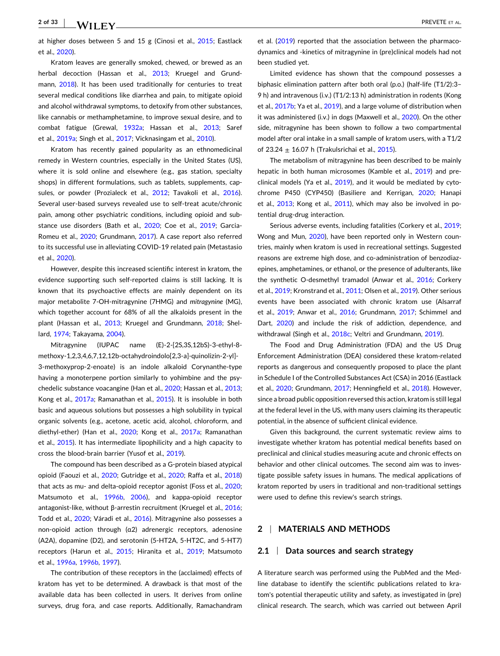at higher doses between 5 and 15 g (Cinosi et al., [2015;](#page-27-0) Eastlack et al., [2020](#page-27-0)).

Kratom leaves are generally smoked, chewed, or brewed as an herbal decoction (Hassan et al., [2013](#page-28-0); Kruegel and Grund-mann, [2018](#page-29-0)). It has been used traditionally for centuries to treat several medical conditions like diarrhea and pain, to mitigate opioid and alcohol withdrawal symptoms, to detoxify from other substances, like cannabis or methamphetamine, to improve sexual desire, and to combat fatigue (Grewal, [1932a;](#page-28-0) Hassan et al., [2013;](#page-28-0) Saref et al., [2019a](#page-30-0); Singh et al., [2017;](#page-31-0) Vicknasingam et al., [2010\)](#page-31-0).

Kratom has recently gained popularity as an ethnomedicinal remedy in Western countries, especially in the United States (US), where it is sold online and elsewhere (e.g., gas station, specialty shops) in different formulations, such as tablets, supplements, cap-sules, or powder (Prozialeck et al., [2012;](#page-30-0) Tavakoli et al., [2016](#page-31-0)). Several user-based surveys revealed use to self-treat acute/chronic pain, among other psychiatric conditions, including opioid and sub-stance use disorders (Bath et al., [2020](#page-27-0); Coe et al., [2019;](#page-27-0) Garcia-Romeu et al., [2020;](#page-28-0) Grundmann, [2017\)](#page-28-0). A case report also referred to its successful use in alleviating COVID‐19 related pain (Metastasio et al., [2020](#page-30-0)).

However, despite this increased scientific interest in kratom, the evidence supporting such self‐reported claims is still lacking. It is known that its psychoactive effects are mainly dependent on its major metabolite 7‐OH‐mitragynine (7HMG) and *mitragynine* (MG), which together account for 68% of all the alkaloids present in the plant (Hassan et al., [2013](#page-28-0); Kruegel and Grundmann, [2018;](#page-29-0) Shellard, [1974](#page-30-0); Takayama, [2004](#page-31-0)).

Mitragynine (IUPAC name (E)‐2‐[2S,3S,12bS)‐3‐ethyl‐8‐ methoxy‐1,2,3,4,6,7,12,12b‐octahydroindolo[2,3‐a]‐quinolizin‐2‐yl]‐ 3‐methoxyprop‐2‐enoate) is an indole alkaloid Corynanthe‐type having a monoterpene portion similarly to yohimbine and the psychedelic substance voacangine (Han et al., [2020;](#page-28-0) Hassan et al., [2013](#page-28-0); Kong et al., [2017a;](#page-29-0) Ramanathan et al., [2015\)](#page-30-0). It is insoluble in both basic and aqueous solutions but possesses a high solubility in typical organic solvents (e.g., acetone, acetic acid, alcohol, chloroform, and diethyl-ether) (Han et al., [2020](#page-28-0); Kong et al., [2017a](#page-29-0); Ramanathan et al., [2015\)](#page-30-0). It has intermediate lipophilicity and a high capacity to cross the blood‐brain barrier (Yusof et al., [2019\)](#page-32-0).

The compound has been described as a G‐protein biased atypical opioid (Faouzi et al., [2020](#page-27-0); Gutridge et al., [2020](#page-28-0); Raffa et al., [2018](#page-30-0)) that acts as mu- and delta-opioid receptor agonist (Foss et al., [2020](#page-28-0); Matsumoto et al., [1996b,](#page-29-0) [2006](#page-29-0)), and kappa-opioid receptor antagonist-like, without β-arrestin recruitment (Kruegel et al., [2016](#page-29-0); Todd et al., [2020;](#page-31-0) Váradi et al., [2016](#page-31-0)). Mitragynine also possesses a non‐opioid action through (α2) adrenergic receptors, adenosine (A2A), dopamine (D2), and serotonin (5‐HT2A, 5‐HT2C, and 5‐HT7) receptors (Harun et al., [2015](#page-28-0); Hiranita et al., [2019](#page-28-0); Matsumoto et al., [1996a](#page-29-0), [1996b](#page-29-0), [1997](#page-29-0)).

The contribution of these receptors in the (acclaimed) effects of kratom has yet to be determined. A drawback is that most of the available data has been collected in users. It derives from online surveys, drug fora, and case reports. Additionally, Ramachandram

et al. ([2019](#page-30-0)) reported that the association between the pharmacodynamics and ‐kinetics of mitragynine in (pre)clinical models had not been studied yet.

Limited evidence has shown that the compound possesses a biphasic elimination pattern after both oral (p.o.) (half‐life (T1/2):3– 9 h) and intravenous (i.v.) (T1/2:13 h) administration in rodents (Kong et al., [2017b](#page-29-0); Ya et al., [2019](#page-32-0)), and a large volume of distribution when it was administered (i.v.) in dogs (Maxwell et al., [2020\)](#page-30-0). On the other side, mitragynine has been shown to follow a two compartmental model after oral intake in a small sample of kratom users, with a T1/2 of 23.24  $\pm$  16.07 h (Trakulsrichai et al., [2015](#page-31-0)).

The metabolism of mitragynine has been described to be mainly hepatic in both human microsomes (Kamble et al., [2019\)](#page-29-0) and preclinical models (Ya et al., [2019](#page-32-0)), and it would be mediated by cytochrome P450 (CYP450) (Basiliere and Kerrigan, [2020;](#page-27-0) Hanapi et al., [2013](#page-28-0); Kong et al., [2011\)](#page-29-0), which may also be involved in potential drug‐drug interaction.

Serious adverse events, including fatalities (Corkery et al., [2019;](#page-27-0) Wong and Mun, [2020\)](#page-32-0), have been reported only in Western countries, mainly when kratom is used in recreational settings. Suggested reasons are extreme high dose, and co-administration of benzodiazepines, amphetamines, or ethanol, or the presence of adulterants, like the synthetic O-desmethyl tramadol (Anwar et al., [2016](#page-27-0); Corkery et al., [2019;](#page-27-0) Kronstrand et al., [2011](#page-29-0); Olsen et al., [2019](#page-30-0)). Other serious events have been associated with chronic kratom use (Alsarraf et al., [2019;](#page-27-0) Anwar et al., [2016](#page-27-0); Grundmann, [2017](#page-28-0); Schimmel and Dart, [2020\)](#page-30-0) and include the risk of addiction, dependence, and withdrawal (Singh et al., [2018c](#page-31-0); Veltri and Grundmann, [2019\)](#page-31-0).

The Food and Drug Administration (FDA) and the US Drug Enforcement Administration (DEA) considered these kratom‐related reports as dangerous and consequently proposed to place the plant in Schedule I of the Controlled Substances Act (CSA) in 2016 (Eastlack et al., [2020](#page-27-0); Grundmann, [2017;](#page-28-0) Henningfield et al., [2018\)](#page-28-0). However, since a broad public opposition reversed this action, kratom is still legal at the federal level in the US, with many users claiming its therapeutic potential, in the absence of sufficient clinical evidence.

Given this background, the current systematic review aims to investigate whether kratom has potential medical benefits based on preclinical and clinical studies measuring acute and chronic effects on behavior and other clinical outcomes. The second aim was to investigate possible safety issues in humans. The medical applications of kratom reported by users in traditional and non‐traditional settings were used to define this review's search strings.

# **2** <sup>|</sup> **MATERIALS AND METHODS**

### **2.1** <sup>|</sup> **Data sources and search strategy**

A literature search was performed using the PubMed and the Medline database to identify the scientific publications related to kratom's potential therapeutic utility and safety, as investigated in (pre) clinical research. The search, which was carried out between April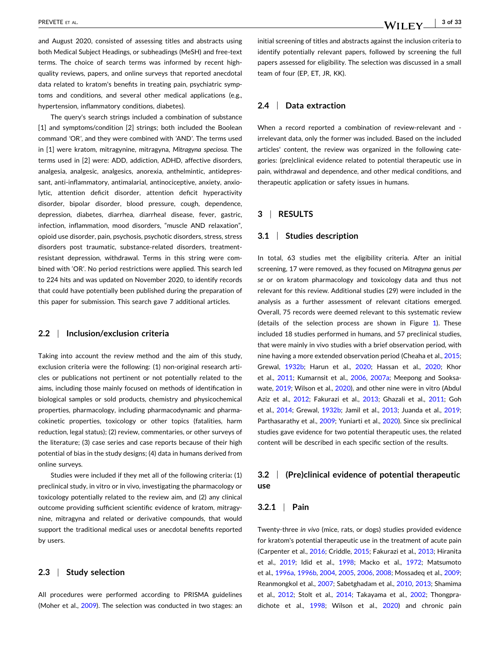and August 2020, consisted of assessing titles and abstracts using both Medical Subject Headings, or subheadings (MeSH) and free‐text terms. The choice of search terms was informed by recent high‐ quality reviews, papers, and online surveys that reported anecdotal data related to kratom's benefits in treating pain, psychiatric symptoms and conditions, and several other medical applications (e.g., hypertension, inflammatory conditions, diabetes).

The query's search strings included a combination of substance [1] and symptoms/condition [2] strings; both included the Boolean command *'*OR*'*, and they were combined with *'*AND*'*. The terms used in [1] were kratom, mitragynine, mitragyna, *Mitragyna speciosa*. The terms used in [2] were: ADD, addiction, ADHD, affective disorders, analgesia, analgesic, analgesics, anorexia, anthelmintic, antidepressant, anti-inflammatory, antimalarial, antinociceptive, anxiety, anxiolytic, attention deficit disorder, attention deficit hyperactivity disorder, bipolar disorder, blood pressure, cough, dependence, depression, diabetes, diarrhea, diarrheal disease, fever, gastric, infection, inflammation, mood disorders, "muscle AND relaxation", opioid use disorder, pain, psychosis, psychotic disorders, stress, stress disorders post traumatic, substance‐related disorders, treatment‐ resistant depression, withdrawal. Terms in this string were combined with 'OR'. No period restrictions were applied. This search led to 224 hits and was updated on November 2020, to identify records that could have potentially been published during the preparation of this paper for submission. This search gave 7 additional articles.

## **2.2** <sup>|</sup> **Inclusion/exclusion criteria**

Taking into account the review method and the aim of this study, exclusion criteria were the following: (1) non-original research articles or publications not pertinent or not potentially related to the aims, including those mainly focused on methods of identification in biological samples or sold products, chemistry and physicochemical properties, pharmacology, including pharmacodynamic and pharmacokinetic properties, toxicology or other topics (fatalities, harm reduction, legal status); (2) review, commentaries, or other surveys of the literature; (3) case series and case reports because of their high potential of bias in the study designs; (4) data in humans derived from online surveys.

Studies were included if they met all of the following criteria**:** (1) preclinical study, in vitro or in vivo, investigating the pharmacology or toxicology potentially related to the review aim, and (2) any clinical outcome providing sufficient scientific evidence of kratom, mitragynine, mitragyna and related or derivative compounds, that would support the traditional medical uses or anecdotal benefits reported by users.

## **2.3** <sup>|</sup> **Study selection**

All procedures were performed according to PRISMA guidelines (Moher et al., [2009\)](#page-30-0). The selection was conducted in two stages: an initial screening of titles and abstracts against the inclusion criteria to identify potentially relevant papers, followed by screening the full papers assessed for eligibility. The selection was discussed in a small team of four (EP, ET, JR, KK).

# **2.4** <sup>|</sup> **Data extraction**

When a record reported a combination of review-relevant and irrelevant data, only the former was included. Based on the included articles' content, the review was organized in the following categories: (pre)clinical evidence related to potential therapeutic use in pain, withdrawal and dependence, and other medical conditions, and therapeutic application or safety issues in humans.

# **3** <sup>|</sup> **RESULTS**

## **3.1** <sup>|</sup> **Studies description**

In total, 63 studies met the eligibility criteria. After an initial screening, 17 were removed, as they focused on *Mitragyna* genus *per se* or on kratom pharmacology and toxicology data and thus not relevant for this review. Additional studies (29) were included in the analysis as a further assessment of relevant citations emerged. Overall, 75 records were deemed relevant to this systematic review (details of the selection process are shown in Figure [1\)](#page-3-0). These included 18 studies performed in humans, and 57 preclinical studies, that were mainly in vivo studies with a brief observation period*,* with nine having a more extended observation period (Cheaha et al., [2015;](#page-27-0) Grewal, [1932b](#page-28-0); Harun et al., [2020;](#page-28-0) Hassan et al., [2020;](#page-28-0) Khor et al., [2011;](#page-29-0) Kumarnsit et al., [2006](#page-29-0), [2007a;](#page-29-0) Meepong and Sooksawate, [2019;](#page-30-0) Wilson et al., [2020\)](#page-32-0), and other nine were in vitro (Abdul Aziz et al., [2012](#page-27-0); Fakurazi et al., [2013;](#page-27-0) Ghazali et al., [2011](#page-28-0); Goh et al., [2014;](#page-28-0) Grewal, [1932b](#page-28-0); Jamil et al., [2013](#page-28-0); Juanda et al., [2019;](#page-28-0) Parthasarathy et al., [2009](#page-30-0); Yuniarti et al., [2020](#page-32-0)). Since six preclinical studies gave evidence for two potential therapeutic uses, the related content will be described in each specific section of the results.

# **3.2** <sup>|</sup> **(Pre)clinical evidence of potential therapeutic use**

## **3.2.1** <sup>|</sup> **Pain**

Twenty‐three *in vivo* (mice, rats, or dogs) studies provided evidence for kratom's potential therapeutic use in the treatment of acute pain (Carpenter et al., [2016](#page-27-0); Criddle, [2015](#page-27-0); Fakurazi et al., [2013;](#page-27-0) Hiranita et al., [2019;](#page-28-0) Idid et al., [1998;](#page-28-0) Macko et al., [1972](#page-29-0); Matsumoto et al., [1996a](#page-29-0), [1996b,](#page-29-0) [2004](#page-29-0), [2005,](#page-29-0) [2006,](#page-29-0) [2008](#page-29-0); Mossadeq et al., [2009;](#page-30-0) Reanmongkol et al., [2007;](#page-30-0) Sabetghadam et al., [2010,](#page-30-0) [2013](#page-30-0); Shamima et al., [2012;](#page-30-0) Stolt et al., [2014;](#page-31-0) Takayama et al., [2002](#page-31-0); Thongpradichote et al., [1998](#page-31-0); Wilson et al., [2020](#page-32-0)) and chronic pain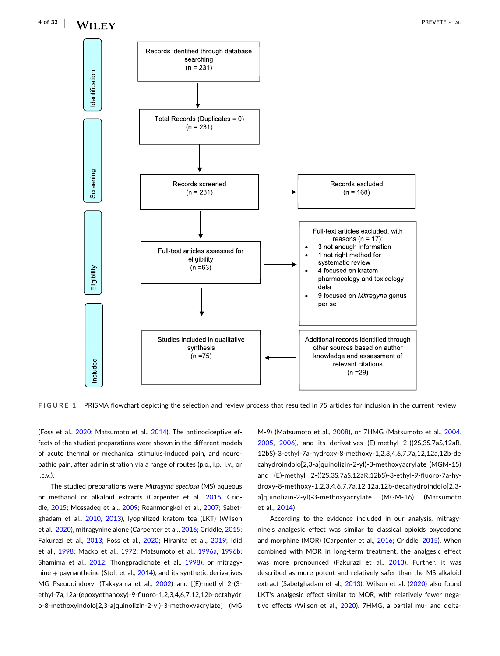<span id="page-3-0"></span>

**FIGURE 1** PRISMA flowchart depicting the selection and review process that resulted in 75 articles for inclusion in the current review

(Foss et al., [2020](#page-28-0); Matsumoto et al., [2014](#page-29-0)). The antinociceptive effects of the studied preparations were shown in the different models of acute thermal or mechanical stimulus‐induced pain, and neuropathic pain, after administration via a range of routes (p.o., i.p., i.v., or i.c.v.).

The studied preparations were *Mitragyna speciosa* (MS) aqueous or methanol or alkaloid extracts (Carpenter et al., [2016](#page-27-0); Criddle, [2015](#page-27-0); Mossadeq et al., [2009](#page-30-0); Reanmongkol et al., [2007;](#page-30-0) Sabet-ghadam et al., [2010](#page-30-0), [2013](#page-30-0)), lyophilized kratom tea (LKT) (Wilson et al., [2020\)](#page-32-0), mitragynine alone (Carpenter et al., [2016;](#page-27-0) Criddle, [2015](#page-27-0); Fakurazi et al., [2013;](#page-27-0) Foss et al., [2020](#page-28-0); Hiranita et al., [2019](#page-28-0); Idid et al., [1998;](#page-28-0) Macko et al., [1972;](#page-29-0) Matsumoto et al., [1996a](#page-29-0), [1996b](#page-29-0); Shamima et al., [2012](#page-30-0); Thongpradichote et al., [1998\)](#page-31-0), or mitragynine  $+$  paynantheine (Stolt et al., [2014](#page-31-0)), and its synthetic derivatives MG Pseudoindoxyl (Takayama et al., [2002](#page-31-0)) and [(E)-methyl 2-(3ethyl‐7a,12a‐(epoxyethanoxy)‐9‐fluoro‐1,2,3,4,6,7,12,12b‐octahydr o‐8‐methoxyindolo[2,3‐a]quinolizin‐2‐yl)‐3‐methoxyacrylate] (MG

M‐9) (Matsumoto et al., [2008](#page-29-0)), or 7HMG (Matsumoto et al., [2004,](#page-29-0) [2005,](#page-29-0) [2006](#page-29-0)), and its derivatives (E)‐methyl 2‐((2S,3S,7aS,12aR, 12bS)‐3‐ethyl‐7a‐hydroxy‐8‐methoxy‐1,2,3,4,6,7,7a,12,12a,12b‐de cahydroindolo[2,3‐a]quinolizin‐2‐yl)‐3‐methoxyacrylate (MGM‐15) and (E)‐methyl 2‐((2S,3S,7aS,12aR,12bS)‐3‐ethyl‐9‐fluoro‐7a‐hydroxy‐8‐methoxy‐1,2,3,4,6,7,7a,12,12a,12b‐decahydroindolo[2,3‐ a]quinolizin‐2‐yl)‐3‐methoxyacrylate (MGM‐16) (Matsumoto et al., [2014](#page-29-0)).

According to the evidence included in our analysis, mitragynine's analgesic effect was similar to classical opioids oxycodone and morphine (MOR) (Carpenter et al., [2016;](#page-27-0) Criddle, [2015\)](#page-27-0). When combined with MOR in long-term treatment, the analgesic effect was more pronounced (Fakurazi et al., [2013\)](#page-27-0). Further, it was described as more potent and relatively safer than the MS alkaloid extract (Sabetghadam et al., [2013\)](#page-30-0). Wilson et al. [\(2020\)](#page-32-0) also found LKT's analgesic effect similar to MOR, with relatively fewer nega-tive effects (Wilson et al., [2020](#page-32-0)). 7HMG, a partial mu- and delta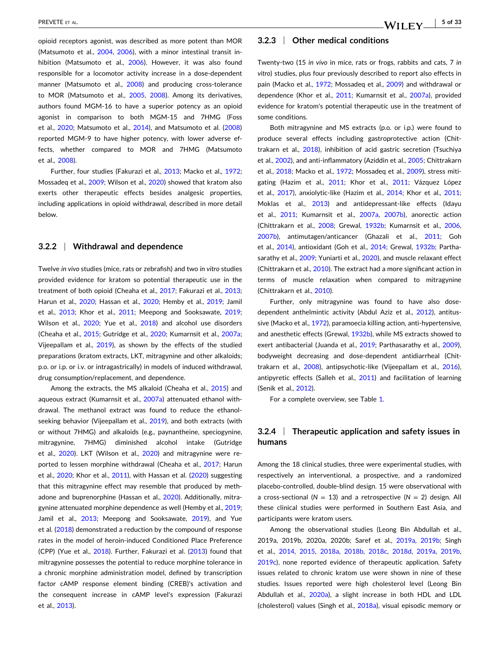opioid receptors agonist, was described as more potent than MOR (Matsumoto et al., [2004](#page-29-0), [2006](#page-29-0)), with a minor intestinal transit in-hibition (Matsumoto et al., [2006](#page-29-0)). However, it was also found responsible for a locomotor activity increase in a dose-dependent manner (Matsumoto et al., [2008](#page-29-0)) and producing cross-tolerance to MOR (Matsumoto et al., [2005](#page-29-0), [2008](#page-29-0)). Among its derivatives, authors found MGM‐16 to have a superior potency as an opioid agonist in comparison to both MGM‐15 and 7HMG (Foss et al., [2020;](#page-28-0) Matsumoto et al., [2014](#page-29-0)), and Matsumoto et al. ([2008](#page-29-0)) reported MGM‐9 to have higher potency, with lower adverse effects, whether compared to MOR and 7HMG (Matsumoto et al., [2008](#page-29-0)).

Further, four studies (Fakurazi et al., [2013;](#page-27-0) Macko et al., [1972](#page-29-0); Mossadeq et al., [2009;](#page-30-0) Wilson et al., [2020](#page-32-0)) showed that kratom also exerts other therapeutic effects besides analgesic properties, including applications in opioid withdrawal, described in more detail below.

#### **3.2.2** <sup>|</sup> **Withdrawal and dependence**

Twelve *in vivo* studies (mice, rats or zebrafish) and two *in vitro* studies provided evidence for kratom so potential therapeutic use in the treatment of both opioid (Cheaha et al., [2017;](#page-27-0) Fakurazi et al., [2013](#page-27-0); Harun et al., [2020;](#page-28-0) Hassan et al., [2020](#page-28-0); Hemby et al., [2019;](#page-28-0) Jamil et al., [2013;](#page-28-0) Khor et al., [2011;](#page-29-0) Meepong and Sooksawate, [2019](#page-30-0); Wilson et al., [2020](#page-32-0); Yue et al., [2018\)](#page-32-0) and alcohol use disorders (Cheaha et al., [2015](#page-27-0); Gutridge et al., [2020;](#page-28-0) Kumarnsit et al., [2007a](#page-29-0); Vijeepallam et al., [2019\)](#page-31-0), as shown by the effects of the studied preparations (kratom extracts, LKT, mitragynine and other alkaloids; p.o. or i.p. or i.v. or intragastrically) in models of induced withdrawal, drug consumption/replacement, and dependence.

Among the extracts, the MS alkaloid (Cheaha et al., [2015\)](#page-27-0) and aqueous extract (Kumarnsit et al., [2007a](#page-29-0)) attenuated ethanol withdrawal. The methanol extract was found to reduce the ethanol‐ seeking behavior (Vijeepallam et al., [2019\)](#page-31-0), and both extracts (with or without 7HMG) and alkaloids (e.g., paynantheine, speciogynine, mitragynine, 7HMG) diminished alcohol intake (Gutridge et al., [2020](#page-28-0)). LKT (Wilson et al., [2020\)](#page-32-0) and mitragynine were re-ported to lessen morphine withdrawal (Cheaha et al., [2017](#page-27-0); Harun et al., [2020](#page-28-0); Khor et al., [2011\)](#page-29-0), with Hassan et al. ([2020](#page-28-0)) suggesting that this mitragynine effect may resemble that produced by methadone and buprenorphine (Hassan et al., [2020\)](#page-28-0). Additionally, mitragynine attenuated morphine dependence as well (Hemby et al., [2019](#page-28-0); Jamil et al., [2013](#page-28-0); Meepong and Sooksawate, [2019\)](#page-30-0), and Yue et al. [\(2018\)](#page-32-0) demonstrated a reduction by the compound of response rates in the model of heroin‐induced Conditioned Place Preference (CPP) (Yue et al., [2018\)](#page-32-0). Further, Fakurazi et al. [\(2013\)](#page-27-0) found that mitragynine possesses the potential to reduce morphine tolerance in a chronic morphine administration model, defined by transcription factor cAMP response element binding (CREB)'s activation and the consequent increase in cAMP level's expression (Fakurazi et al., [2013](#page-27-0)).

## **3.2.3** <sup>|</sup> **Other medical conditions**

Twenty‐two (15 *in vivo* in mice, rats or frogs, rabbits and cats, 7 *in vitro*) studies, plus four previously described to report also effects in pain (Macko et al., [1972](#page-29-0); Mossadeq et al., [2009\)](#page-30-0) and withdrawal or dependence (Khor et al., [2011;](#page-29-0) Kumarnsit et al., [2007a\)](#page-29-0), provided evidence for kratom's potential therapeutic use in the treatment of some conditions.

Both mitragynine and MS extracts (p.o. or i.p.) were found to produce several effects including gastroprotective action (Chittrakarn et al., [2018](#page-27-0)), inhibition of acid gastric secretion (Tsuchiya et al., [2002](#page-31-0)), and anti-inflammatory (Aziddin et al., [2005](#page-27-0); Chittrakarn et al., [2018](#page-27-0); Macko et al., [1972](#page-29-0); Mossadeq et al., [2009\)](#page-30-0), stress miti-gating (Hazim et al., [2011;](#page-28-0) Khor et al., [2011](#page-29-0); Vázquez López et al., [2017\)](#page-31-0), anxiolytic-like (Hazim et al., [2014](#page-28-0); Khor et al., [2011;](#page-29-0) Moklas et al., [2013](#page-30-0)) and antidepressant‐like effects (Idayu et al., [2011](#page-28-0); Kumarnsit et al., [2007a,](#page-29-0) [2007b\)](#page-29-0), anorectic action (Chittrakarn et al., [2008;](#page-27-0) Grewal, [1932b;](#page-28-0) Kumarnsit et al., [2006,](#page-29-0) [2007b\)](#page-29-0), antimutagen/anticancer (Ghazali et al., [2011](#page-28-0); Goh et al., [2014](#page-28-0)), antioxidant (Goh et al., [2014;](#page-28-0) Grewal, [1932b](#page-28-0); Partha-sarathy et al., [2009](#page-30-0); Yuniarti et al., [2020\)](#page-32-0), and muscle relaxant effect (Chittrakarn et al., [2010\)](#page-27-0). The extract had a more significant action in terms of muscle relaxation when compared to mitragynine (Chittrakarn et al., [2010](#page-27-0)).

Further, only mitragynine was found to have also dose‐ dependent anthelmintic activity (Abdul Aziz et al., [2012\)](#page-27-0), antitussive (Macko et al., [1972](#page-29-0)), paramoecia killing action, anti‐hypertensive*,* and anesthetic effects (Grewal, [1932b](#page-28-0)), while MS extracts showed to exert antibacterial (Juanda et al., [2019;](#page-28-0) Parthasarathy et al., [2009\)](#page-30-0), bodyweight decreasing and dose‐dependent antidiarrheal (Chit-trakarn et al., [2008](#page-27-0)), antipsychotic-like (Vijeepallam et al., [2016\)](#page-31-0), antipyretic effects (Salleh et al., [2011](#page-30-0)) and facilitation of learning (Senik et al., [2012](#page-30-0)).

For a complete overview, see Table [1.](#page-5-0)

# **3.2.4** <sup>|</sup> **Therapeutic application and safety issues in humans**

Among the 18 clinical studies, three were experimental studies, with respectively an interventional, a prospective, and a randomized placebo‐controlled, double‐blind design. 15 were observational with a cross-sectional ( $N = 13$ ) and a retrospective ( $N = 2$ ) design. All these clinical studies were performed in Southern East Asia, and participants were kratom users.

Among the observational studies (Leong Bin Abdullah et al., 2019a, 2019b, 2020a, 2020b; Saref et al., [2019a,](#page-30-0) [2019b;](#page-30-0) Singh et al., [2014,](#page-30-0) [2015](#page-31-0), [2018a,](#page-30-0) [2018b,](#page-31-0) [2018c](#page-31-0), [2018d](#page-31-0), [2019a,](#page-30-0) [2019b,](#page-31-0) [2019c](#page-31-0)), none reported evidence of therapeutic application. Safety issues related to chronic kratom use were shown in nine of these studies. Issues reported were high cholesterol level (Leong Bin Abdullah et al., [2020a\)](#page-29-0), a slight increase in both HDL and LDL (cholesterol) values (Singh et al., [2018a](#page-30-0)), visual episodic memory or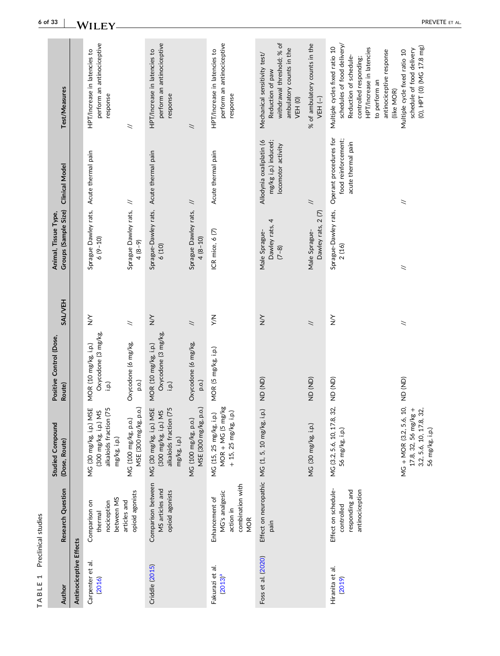| Test/Measures                                |                         | perform an antinociceptive<br>HPT/Increase in latencies to<br>response                                   | $\breve{~}$                                   | perform an antinociceptive<br>HPT/Increase in latencies to<br>response                       | $\overline{\phantom{0}}$                      | perform an antinociceptive<br>HPT/Increase in latencies to<br>response          | withdrawal threshold; % of<br>ambulatory counts in the<br>Mechanical sensitivity test/<br>Reduction of paw<br>VEH (0) | % of ambulatory counts in the<br>VEH (-) | schedules of food delivery/<br>Multiple cycles fixed ratio 10<br>HPT/Increase in latencies<br>antinociceptive response<br>Reduction of schedule-<br>controlled responding;<br>to perform an<br>(like MOR) | (0), HPT (0) (MG 17.8 mg)<br>schedule of food delivery<br>Multiple cycle fixed ratio 10 |
|----------------------------------------------|-------------------------|----------------------------------------------------------------------------------------------------------|-----------------------------------------------|----------------------------------------------------------------------------------------------|-----------------------------------------------|---------------------------------------------------------------------------------|-----------------------------------------------------------------------------------------------------------------------|------------------------------------------|-----------------------------------------------------------------------------------------------------------------------------------------------------------------------------------------------------------|-----------------------------------------------------------------------------------------|
| <b>Clinical Model</b>                        |                         |                                                                                                          |                                               |                                                                                              | $\overline{\phantom{a}}$                      | Acute thermal pain                                                              | Allodynia oxaliplatin (6<br>mg/kg i.p.) induced;<br>locomotor activity                                                | $\tilde{z}$                              | Operant procedures for<br>food reinforcement;<br>acute thermal pain                                                                                                                                       | $\geq$                                                                                  |
| Groups (Sample Size)<br>Animal, Tissue Type, |                         | Sprague Dawley rats, Acute thermal pain<br>$6(9 - 10)$                                                   | Sprague Dawley rats, //<br>$4 (8 - 9)$        | Sprague-Dawley rats, Acute thermal pain<br>6(10)                                             | Sprague Dawley rats,<br>$4(8 - 10)$           | ICR mice, 6 (7)                                                                 | Dawley rats, 4<br>Male Sprague-<br>$(7 - 8)$                                                                          | Dawley rats, 2 (7)<br>Male Sprague-      | Sprague-Dawley rats,<br>2(16)                                                                                                                                                                             | $\geq$                                                                                  |
| <b>SALVEH</b>                                |                         | $\sum_{i=1}^{n}$                                                                                         | $\overline{\phantom{a}}$                      | $\sum_{i=1}^{n}$                                                                             | $\overline{\phantom{a}}$                      | ΧW                                                                              | $\sum_{i=1}^{n}$                                                                                                      | $\overline{\phantom{a}}$                 | $\sum_{i=1}^{n}$                                                                                                                                                                                          | $\geq$                                                                                  |
| Positive Control (Dose,<br>Route)            |                         | Oxycodone (3 mg/kg,<br>MOR (10 mg/kg, i.p.)<br>i.p.)                                                     | Oxycodone (6 mg/kg,<br>p.o.)                  | Oxycodone (3 mg/kg,<br>MOR (10 mg/kg, i.p.)<br>i.p.)                                         | Oxycodone (6 mg/kg,<br>p.o.)                  | MOR (5 mg/kg, i.p.)                                                             | (AD)                                                                                                                  | (QN) QN                                  | 32, ND (ND)                                                                                                                                                                                               |                                                                                         |
| <b>Studied Compound</b><br>(Dose, Route)     |                         | <b>ISE</b><br>(75<br>(300 mg/kg, i.p.) MS<br>MG (30 mg/kg, i.p.) M<br>alkaloids fraction<br>mg/kg, i.p.) | MSE (300 mg/kg, p.o.)<br>MG (100 mg/kg, p.o.) | MG (30 mg/kg, i.p.) MSE<br>(75<br>(300 mg/kg, i.p.) MS<br>alkaloids fraction<br>mg/kg, i.p.) | MSE (300 mg/kg, p.o.)<br>MG (100 mg/kg, p.o.) | MG (15, 25 mg/kg, i.p.)<br>MOR + MG (5 mg/kg<br>+ 15, 25 mg/kg, i.p.)           | Effect on neuropathic MG (1, 5, 10 mg/kg, i.p.)                                                                       | MG (30 mg/kg, i.p.)                      | MG (3.2, 5.6, 10, 17.8,<br>56 mg/kg, i.p.)                                                                                                                                                                | MG + MOR (3.2, 5.6, 10, ND (ND)<br>$17.8, 32, 56$ mg/kg +<br>32,<br>3.2, 5.6, 10, 17.8, |
| Research Question                            |                         | between MS<br>Comparison on<br>nociception<br>thermal                                                    | opioid agonists<br>articles and               | Comparison between<br>MS articles and<br>opioid agonists                                     |                                               | combination with<br>MG's analgesic<br>Enhancement of<br>action in<br><b>MOR</b> | pain                                                                                                                  |                                          | Effect on schedule-<br>responding and<br>antinociception<br>controlled                                                                                                                                    |                                                                                         |
| Author                                       | Antinociceptive Effects | Carpenter et al.<br>(2016)                                                                               |                                               | <b>Criddle</b> (2015)                                                                        |                                               | Fakurazi et al.<br>$(2013)^a$                                                   | Foss et al. (2020)                                                                                                    |                                          | Hiranita et al.<br>(2019)                                                                                                                                                                                 |                                                                                         |

#### <span id="page-5-0"></span>**6 of 33**  $-WILEY$

**TABLE 1** Preclinical studies

TABLE 1 Preclinical studies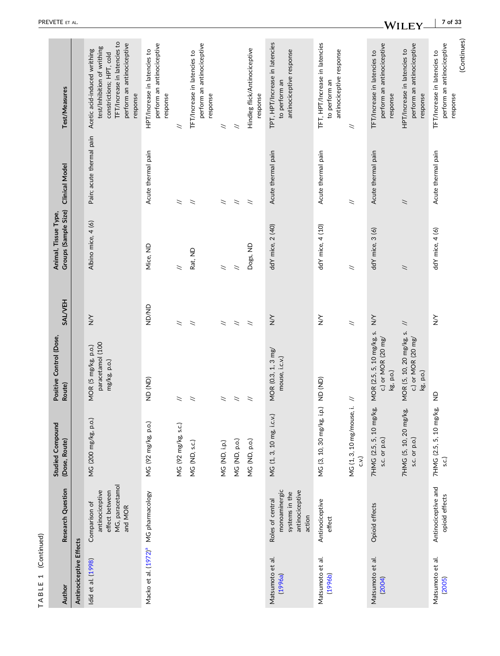| Author                      | Research Question                                                                | <b>Studied Compound</b><br>(Dose, Route) | Positive Control (Dose<br>Route)                                       | <b>SALVEH</b>    | Groups (Sample Size)<br>Animal, Tissue Type, | <b>Clinical Model</b>    | Test/Measures                                                                                                                                                     |
|-----------------------------|----------------------------------------------------------------------------------|------------------------------------------|------------------------------------------------------------------------|------------------|----------------------------------------------|--------------------------|-------------------------------------------------------------------------------------------------------------------------------------------------------------------|
| Antinociceptive Effects     |                                                                                  |                                          |                                                                        |                  |                                              |                          |                                                                                                                                                                   |
| Idid et al. (1998)          | MG, paracetamol<br>antinociceptive<br>effect between<br>Comparison of<br>and MOR | MG (200 mg/kg, p.o.)                     | paracetamol (100<br>MOR (5 mg/kg, p.o.)<br>mg/kg, p.o.)                | $\sum_{i=1}^{n}$ | Albino mice, 4 (6)                           | Pain; acute thermal pain | TFT/Increase in latencies to<br>perform an antinociceptive<br>test/Inhibition of writhing<br>Acetic acid-induced writhing<br>constrictions; HPT, cold<br>response |
|                             | Macko et al. (1972) <sup>ª</sup> MG pharmacology                                 | MG (92 mg/kg, p.o.)                      | (QN) GN                                                                | <b>UD/ND</b>     | Mice, ND                                     | Acute thermal pain       | perform an antinociceptive<br>HPT/Increase in latencies to<br>response                                                                                            |
|                             |                                                                                  | MG (92 mg/kg, s.c.)                      | $\leq$                                                                 | ニ                | $\breve{~}$                                  | ニ                        | ニ                                                                                                                                                                 |
|                             |                                                                                  | MG (ND, s.c.)                            | $\geq$                                                                 | $\breve{~}$      | Rat, ND                                      | $\overline{\phantom{0}}$ | perform an antinociceptive<br>TFT/Increase in latencies to<br>response                                                                                            |
|                             |                                                                                  | MG (ND, i.p.)                            | $\boldsymbol{z}$                                                       | $\breve{~}$      | $\overline{\phantom{0}}$                     | $\overline{\phantom{0}}$ | $\leq$                                                                                                                                                            |
|                             |                                                                                  | MG (ND, p.o.)                            | $\overline{\phantom{a}}$                                               | $\breve{~}$      | $\breve{~}$                                  | $\tilde{z}$              | $\geq$                                                                                                                                                            |
|                             |                                                                                  | MG (ND, p.o.)                            | $\overline{\phantom{a}}$                                               | $\geq$           | Dogs, ND                                     | $\overline{\phantom{0}}$ | Hindleg flick/Antinociceptive<br>response                                                                                                                         |
| Matsumoto et al.<br>(1996a) | monoaminergic<br>antinociceptive<br>systems in the<br>Roles of central<br>action | MG (1, 3, 10 mg, i.c.v.)                 | MOR (0.3, 1, 3 mg/<br>mouse, i.c.v.)                                   | $\sum_{i=1}^{n}$ | ddY mice, 2 (40)                             | Acute thermal pain       | TPT, HPT/Increase in latencies<br>antinociceptive response<br>to perform an                                                                                       |
| Matsumoto et al.<br>(1996b) | Antinociceptive<br>effect                                                        | MG (3, 10, 30 mg/kg, i.p.)               | (GN) GN                                                                | $\sum_{i=1}^{n}$ | ddY mice, 4 (10)                             | Acute thermal pain       | TFT, HPT/Increase in latencies<br>antinociceptive response<br>to perform an                                                                                       |
|                             |                                                                                  | į.<br>MG (1, 3, 10 mg/mouse,<br>(.v      | $\tilde{z}$                                                            | $\geq$           | $\breve{~}$                                  | $\breve{~}$              | $\tilde{z}$                                                                                                                                                       |
| Matsumoto et al.<br>(2004)  | Opioid effects                                                                   | 7HMG (2.5, 5, 10 mg/kg,<br>s.c. or p.o.) | MOR (2.5, 5, 10 mg/kg, s.<br>c.) or MOR $(20 \text{ mg})$<br>kg, p.o.) | $\sum_{i=1}^{n}$ | ddY mice, 3 (6)                              | Acute thermal pain       | perform an antinociceptive<br>TFT/Increase in latencies to<br>response                                                                                            |
|                             |                                                                                  | 7HMG (5, 10, 20 mg/kg,<br>s.c. or p.o.)  | MOR (5, 10, 20 mg/kg, s.<br>c.) or MOR $(20 \text{ mg})$<br>kg, p.o.)  | $\asymp$         | $\asymp$                                     | $\overline{\phantom{0}}$ | perform an antinociceptive<br>HPT/Increase in latencies to<br>response                                                                                            |
| Matsumoto et al.<br>(2005)  | Antinociceptive and<br>opioid effects                                            | 7HMG (2.5, 5, 10 mg/kg,<br>S.C.)         | $\frac{\Omega}{Z}$                                                     | $\sum_{i=1}^{n}$ | ddY mice, 4 (6)                              | Acute thermal pain       | (Continues)<br>perform an antinociceptive<br>TFT/Increase in latencies to<br>response                                                                             |

TABLE 1 (Continued)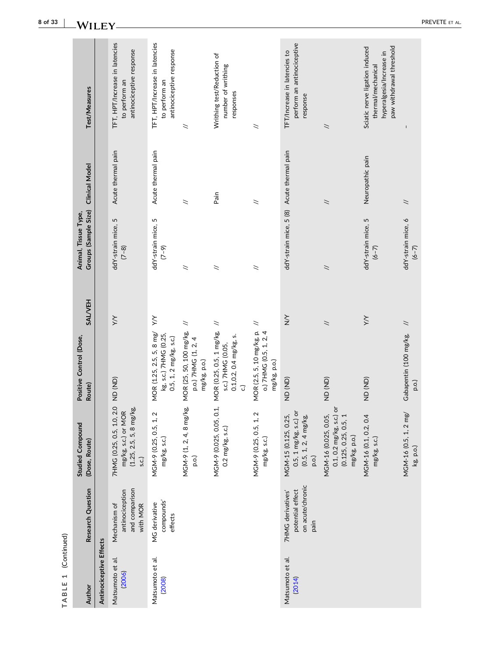| Author                     | Research Question                                                 | <b>Studied Compound</b><br>(Dose, Route)                                                      | Positive Control (Dose,<br>Route)                                               | <b>SALVEH</b>            | Groups (Sample Size)<br>Animal, Tissue Type, | <b>Clinical Model</b>    | <b>Test/Measures</b>                                                                                         |
|----------------------------|-------------------------------------------------------------------|-----------------------------------------------------------------------------------------------|---------------------------------------------------------------------------------|--------------------------|----------------------------------------------|--------------------------|--------------------------------------------------------------------------------------------------------------|
| Antinociceptive Effects    |                                                                   |                                                                                               |                                                                                 |                          |                                              |                          |                                                                                                              |
| Matsumoto et al.<br>(2006) | and comparison<br>antinociception<br>with MOR<br>Mechanism of     | 7HMG (0.25, 0.5, 1.0, 2.0<br>$(1.25, 2.5, 5, 8$ mg/kg,<br>mg/kg, s.c.) or MOR<br>S.C.)        | (AD)<br>(AD)                                                                    | $\times$                 | ddY-strain mice, 5<br>$(7-8)$                | Acute thermal pain       | TFT, HPT/Increase in latencies<br>antinociceptive response<br>to perform an                                  |
| Matsumoto et al.<br>(2008) | compounds'<br>MG derivative<br>effects                            | MGM-9 (0.25, 0.5, 1, 2<br>mg/kg, s.c.)                                                        | MOR (1.25, 2.5, 5, 8 mg/<br>kg, s.c.) 7HMG (0.25,<br>0.5, 1, 2 mg/kg, s.c.)     | $\gtrsim$                | ddY-strain mice, 5<br>$(7 - 9)$              | Acute thermal pain       | TFT, HPT/Increase in latencies<br>antinociceptive response<br>to perform an                                  |
|                            |                                                                   | MGM-9 (1, 2, 4, 8 mg/kg,<br>p.o.)                                                             | MOR (25, 50, 100 mg/kg,<br>p.o.) 7HMG (1, 2, 4<br>mg/kg, p.o.)                  | $\leq$                   | $\overline{\phantom{0}}$                     | $\asymp$                 | $\geq$                                                                                                       |
|                            |                                                                   | MGM-9 (0.025, 0.05, 0.1,<br>$0.2$ mg/kg, s.c.)                                                | MOR (0.25, 0.5, 1 mg/kg,<br>$0.1, 0.2, 0.4$ mg/kg, s.<br>s.c.) 7HMG (0.05,<br>ි | $\overline{\phantom{a}}$ | $\breve{~}$                                  | Pain                     | Writhing test/Reduction of<br>number of writhing<br>responses                                                |
|                            |                                                                   | MGM-9 (0.25, 0.5, 1, 2<br>mg/kg, s.c.)                                                        | MOR (2.5, 5, 10 mg/kg, p.<br>o.) 7HMG (0.5, 1, 2, 4<br>mg/kg, p.o.)             | $\geq$                   | $\overline{\phantom{0}}$                     | $\overline{\phantom{0}}$ | $\geq$                                                                                                       |
| Matsumoto et al.<br>(2014) | on acute/chronic<br>potential effect<br>7HMG derivatives'<br>pain | $0.5, 1 \text{ mg/kg}, s.c.)$ or<br>MGM-15 (0.125, 0.25,<br>$(0.5, 1, 2, 4$ mg/kg,<br>p.o.)   | (UD) QN                                                                         | $\sum_{i=1}^{n}$         | ddY-strain mice, 5 (8) Acute thermal pain    |                          | perform an antinociceptive<br>TFT/Increase in latencies to<br>response                                       |
|                            |                                                                   | ৯<br>$0.1, 0.2$ mg/kg, s.c.)<br>MGM-16 (0.025, 0.05,<br>(0.125, 0.25, 0.5, 1)<br>mg/kg, p.o.) | (GN) GN                                                                         | $\overline{\phantom{0}}$ | $\overline{\phantom{0}}$                     | $\asymp$                 | $\tilde{z}$                                                                                                  |
|                            |                                                                   | MGM-16 (0.1, 0.2, 0.4<br>mg/kg, s.c.)                                                         | (AD)                                                                            | $\geq$                   | ddY-strain mice, 5<br>$(6 - 7)$              | Neuropathic pain         | Sciatic nerve ligation induced<br>paw withdrawal threshold<br>hyperalgesia/Increase in<br>thermal/mechanical |
|                            |                                                                   | MGM-16 (0.5, 1, 2 mg/<br>kg, p.o.)                                                            | Gabapentin (100 mg/kg,<br>p.o.)                                                 | $\overline{\phantom{a}}$ | ddY-strain mice, 6<br>$(6 - 7)$              | $\overline{\phantom{a}}$ |                                                                                                              |

#### **8 of 33**  $-WILEY -$

**TABLE 1** (Continued)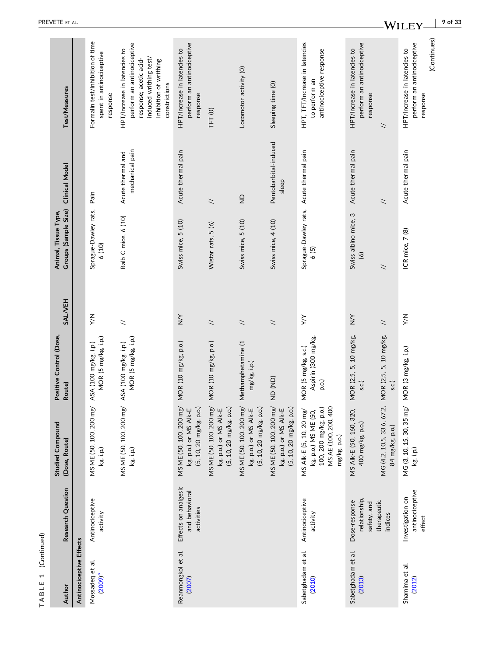| Author                        | Research Question                                    | <b>Studied Compound</b><br>(Dose, Route)                                                                         | Positive Control (Dose,<br>Route)                   | <b>SALVEH</b>            | Groups (Sample Size)<br>Animal, Tissue Type, | <b>Clinical Model</b>                | Test/Measures                                                                                                                                             |
|-------------------------------|------------------------------------------------------|------------------------------------------------------------------------------------------------------------------|-----------------------------------------------------|--------------------------|----------------------------------------------|--------------------------------------|-----------------------------------------------------------------------------------------------------------------------------------------------------------|
| Antinociceptive Effects       |                                                      |                                                                                                                  |                                                     |                          |                                              |                                      |                                                                                                                                                           |
| Mossadeq et al.<br>$(2009)^a$ | Antinociceptive<br>activity                          | MS ME (50, 100, 200 mg/<br>kg, i.p.)                                                                             | MOR (5 mg/kg, i.p.)<br>ASA (100 mg/kg, i.p.)        | $\frac{1}{2}$            | Sprague-Dawley rats,<br>6(10)                | Pain                                 | Formalin test/Inhibition of time<br>spent in antinociceptive<br>response                                                                                  |
|                               |                                                      | MS ME (50, 100, 200 mg/<br>kg, i.p.)                                                                             | MOR (5 mg/kg, i.p.)<br>ASA (100 mg/kg, i.p.)        | $\overline{\phantom{0}}$ | Balb C mice, 6 (10)                          | mechanical pain<br>Acute thermal and | perform an antinociceptive<br>HPT/Increase in latencies to<br>induced writhing test/<br>response; acetic acid-<br>Inhibition of writhing<br>constrictions |
| Reanmongkol et al.<br>(2007)  | Effects on analgesic<br>and behavioral<br>activities | MS ME (50, 100, 200 mg/ MOR (10 mg/kg, p.o.)<br>(5, 10, 20 mg/kg, p.o.)<br>kg, p.o.) or MS Alk-E                 |                                                     | $\sum_{i=1}^{n}$         | Swiss mice, 5 (10)                           | Acute thermal pain                   | perform an antinociceptive<br>HPT/Increase in latencies to<br>response                                                                                    |
|                               |                                                      | MS ME (50, 100, 200 mg/<br>(5, 10, 20 mg/kg, p.o.)<br>kg, p.o.) or MS Alk-E                                      | MOR (10 mg/kg, p.o.)                                | $\overline{\phantom{a}}$ | Wistar rats, 5 (6)                           | $\overline{\phantom{0}}$             | TFT <sub>(0)</sub>                                                                                                                                        |
|                               |                                                      | MS ME (50, 100, 200 mg/<br>(5, 10, 20 mg/kg, p.o.)<br>kg, p.o.) or MS Alk-E                                      | Methamphetamine (1<br>mg/kg, i.p.)                  | $\overline{\phantom{0}}$ | Swiss mice, 5 (10)                           | $\frac{D}{Z}$                        | Locomotor activity (O)                                                                                                                                    |
|                               |                                                      | MS ME (50, 100, 200 mg/<br>kg, p.o.) or MS Alk-E<br>(5, 10, 20 mg/kg, p.o.)                                      | (AD)                                                | $\overline{\phantom{a}}$ | Swiss mice, 4 (10)                           | Pentobarbital-induced<br>sleep       | Sleeping time (0)                                                                                                                                         |
| Sabetghadam et al.<br>(2010)  | Antinociceptive<br>activity                          | MS AE (100, 200, 400<br>100, 200 mg/kg, p.o.)<br>MS Alk-E (5, 10, 20 mg/<br>kg, p.o.) MS ME (50,<br>mg/kg, p.o.) | Aspirin (300 mg/kg,<br>MOR (5 mg/kg, s.c.)<br>p.o.) | $\gtrsim$                | Sprague-Dawley rats,<br>6(5)                 | Acute thermal pain                   | HPT, TFT/Increase in latencies<br>antinociceptive response<br>to perform an                                                                               |
| Sabetghadam et al.<br>(2013)  | relationship,<br>Dose-response<br>safety, and        | MS Alk-E (50, 160, 320,<br>400 mg/kg, p.o.)                                                                      | 5, 10 mg/kg,<br><b>MOR</b> (2.5,<br>s.c.)           | $\geq$                   | Swiss albino mice, 3<br>$\circ$              | Acute thermal pain                   | perform an antinociceptive<br>HPT/Increase in latencies to<br>response                                                                                    |
|                               | therapeutic<br>indices                               | MG (4.2, 10.5, 33.6, 67.2,<br>84 mg/kg, p.o.)                                                                    | MOR (2.5, 5, 10 mg/kg,<br>(.s.c                     | $\overline{\phantom{0}}$ | $\overline{\phantom{0}}$                     | $\overline{\phantom{0}}$             | $\asymp$                                                                                                                                                  |
| Shamima et al.<br>(2012)      | antinociceptive<br>Investigation on<br>effect        | MG (3, 10, 15, 30, 35 mg/<br>$kg$ , i.p.)                                                                        | MOR (3 mg/kg, i.p.)                                 | $\frac{1}{2}$            | ICR mice, 7 (8)                              | Acute thermal pain                   | (Continues)<br>perform an antinociceptive<br>HPT/Increase in latencies to<br>response                                                                     |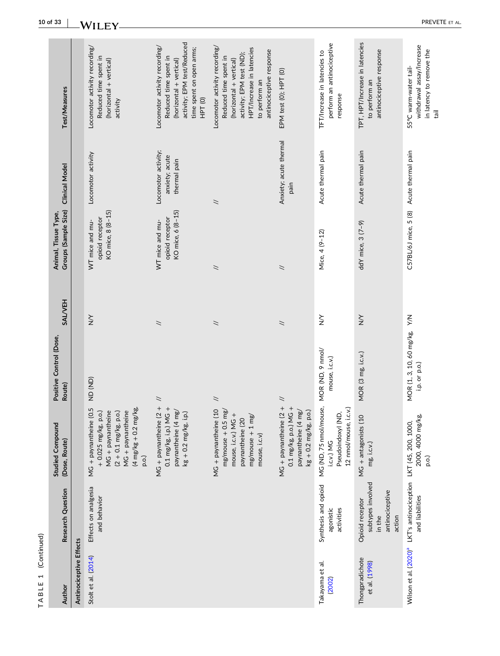| (Continued)<br>$\overline{\phantom{0}}$<br>TABLE |                                                                                                |                                                                                                                                                                                                                   |                                               |                          |                                                         |                                                       |                                                                                                                                                                                        |
|--------------------------------------------------|------------------------------------------------------------------------------------------------|-------------------------------------------------------------------------------------------------------------------------------------------------------------------------------------------------------------------|-----------------------------------------------|--------------------------|---------------------------------------------------------|-------------------------------------------------------|----------------------------------------------------------------------------------------------------------------------------------------------------------------------------------------|
| Author                                           | Research Question                                                                              | <b>Studied Compound</b><br>(Dose, Route)                                                                                                                                                                          | Positive Control (Dose,<br>Route)             | <b>SALVEH</b>            | Groups (Sample Size)<br>Animal, Tissue Type,            | <b>Clinical Model</b>                                 | Test/Measures                                                                                                                                                                          |
| Antinociceptive Effects                          |                                                                                                |                                                                                                                                                                                                                   |                                               |                          |                                                         |                                                       |                                                                                                                                                                                        |
| Stolt et al. (2014)                              | Effects on analgesia<br>and behavior                                                           | $(4 \, \text{mg/kg} + 0.2 \, \text{mg/kg})$<br>i + paynantheine (0.5<br>+ 0.025 mg/kg, p.o.)<br>MG + paynantheine<br>$(2 + 0.1 \text{ mg/kg}, \text{p.o.})$<br>MG + paynantheine<br>MG + paynantheine (0<br>p.o.) | (AD)                                          | $\sum_{i=1}^{n}$         | KO mice, 8 (8-15)<br>opioid receptor<br>WT mice and mu- | Locomotor activity                                    | Locomotor activity recording/<br>Reduced time spent in<br>(horizontal + vertical)<br>activity                                                                                          |
|                                                  |                                                                                                | $\qquad \qquad +$<br>$^{\mathrm{+}}$<br>paynantheine (4 mg/<br>$kg + 0.2$ mg/kg, i.p.)<br>MG + paynantheine (2<br>$0.1 \text{ mg/kg}$ , i.p.) MG                                                                  | $\tilde{z}$                                   | $\overline{\phantom{0}}$ | KO mice, 6 (8-15)<br>opioid receptor<br>WT mice and mu- | Locomotor activity;<br>anxiety; acute<br>thermal pain | activity; EPM test/Reduced<br>Locomotor activity recording/<br>time spent on open arms;<br>Reduced time spent in<br>(horizontal + vertical)<br>HPT <sub>(0)</sub>                      |
|                                                  |                                                                                                | MG + paynantheine (10<br>$mg/mouse + 0.5 mg/$<br>mouse, i.c.v.) MG +<br>$mg/mouse + 1 mg/$<br>paynantheine (20<br>mouse, i.c.v)                                                                                   | $\tilde{z}$                                   | $\overline{\phantom{0}}$ | $\overline{\phantom{0}}$                                | $\overline{\phantom{a}}$                              | Locomotor activity recording<br>HPT/Increase in latencies<br>antinociceptive response<br>activity; EPM test (ND);<br>Reduced time spent in<br>(horizontal + vertical)<br>to perform an |
|                                                  |                                                                                                | $\begin{array}{c} + \end{array}$<br>$\pm$<br>paynantheine (4 mg/<br>$kg + 0.2$ mg/kg, p.o.)<br>MG + paynantheine (2<br>$0.1$ mg/kg, p.o.) MG                                                                      | $\tilde{z}$                                   | $\overline{\phantom{0}}$ | $\overline{\phantom{a}}$                                | Anxiety; acute thermal<br>pain                        | EPM test (0); HPT (0)                                                                                                                                                                  |
| Takayama et al.<br>(2002)                        | Synthesis and opioid<br>agonistic<br>activities                                                | MG (ND, 75 nmol/mouse,<br>12 nmol/mouse, i.c.v.)<br>Pseudoindoxyl (ND,<br>i.c.v.) MG                                                                                                                              | MOR (ND, 9 nmol/<br>mouse, i.c.v.)            | $\sum_{i=1}^{n}$         | Mice, 4 (9-12)                                          | Acute thermal pain                                    | perform an antinociceptive<br>TFT/Increase in latencies to<br>response                                                                                                                 |
| Thongpradichote<br>et al. (1998)                 | subtypes involved<br>antinociceptive<br>Opioid receptor<br>action<br>in the                    | MG + antagonists (10<br>mg, i.c.v.)                                                                                                                                                                               | MOR (3 mg, i.c.v.)                            | $\sum_{i=1}^{n}$         | ddY mice, 3 (7-9)                                       | Acute thermal pain                                    | TPT, HPT/Increase in latencies<br>antinociceptive response<br>to perform an                                                                                                            |
|                                                  | Wilson et al. (2020) <sup>ª</sup> LKT's antinociception LKT (45, 200, 1000,<br>and liabilities | 2000, 4000 mg/kg,<br>p.o.)                                                                                                                                                                                        | MOR (1, 3, 10, 60 mg/kg, Y/N<br>i.p. or p.o.) |                          | C57BL/6J mice, 5 (8)                                    | Acute thermal pain                                    | withdrawal assay/Increase<br>in latency to remove the<br>55°C warm-water tail-<br>tail                                                                                                 |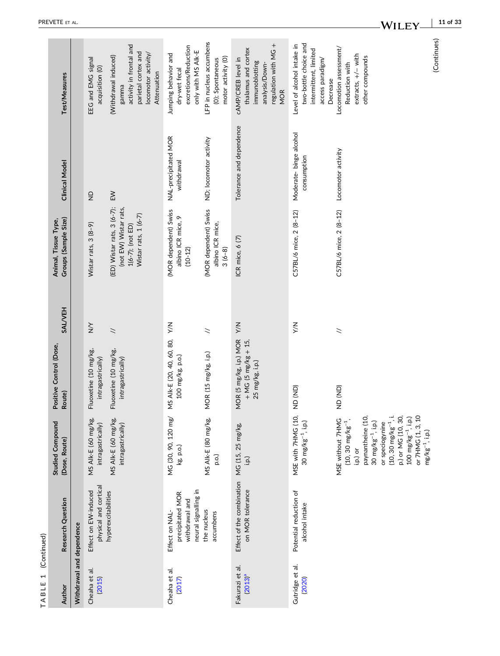| Test/Measures                                |                           | EEG and EMG signal<br>acquisition (O)         | activity in frontal and<br>parietal cortex and<br>locomotor activity/<br>(Withdrawal induced)<br>Attenuation<br>gamma | excretions/Reduction<br>only with MS Alk-E<br>Jumping behavior and<br>dry-wet fecal | LFP in nucleus accumbens<br>motor activity (O)<br>(0); Spontaneous | regulation with MG +<br>thalamus and cortex<br>cAMP/CREB level in<br>immunoblotting<br>analysis/Down-<br><b>MOR</b> | two-bottle choice and<br>Level of alcohol intake in<br>intermittent, limited<br>access paradigm/<br>Decrease | Locomotion assessment/<br>extracts, +/- with<br>other compounds<br>Reduction with                                                                                                                                                                                           | (Continues) |
|----------------------------------------------|---------------------------|-----------------------------------------------|-----------------------------------------------------------------------------------------------------------------------|-------------------------------------------------------------------------------------|--------------------------------------------------------------------|---------------------------------------------------------------------------------------------------------------------|--------------------------------------------------------------------------------------------------------------|-----------------------------------------------------------------------------------------------------------------------------------------------------------------------------------------------------------------------------------------------------------------------------|-------------|
| <b>Clinical Model</b>                        |                           | $\frac{\Omega}{\Sigma}$                       | $\geq$                                                                                                                | NAL-precipitated MOR<br>withdrawal                                                  | ND; locomotor activity                                             | Tolerance and dependence                                                                                            | Moderate-binge alcohol<br>consumption                                                                        | Locomotor activity                                                                                                                                                                                                                                                          |             |
| Groups (Sample Size)<br>Animal, Tissue Type, |                           | Wistar rats, 3 (8-9)                          | (ED) Wistar rats, 3 (6-7);<br>(not EW) Wistar rats,<br>Wistar rats, 1 (6-7)<br>$1(6-7)$ ; (not ED)                    | (MOR dependent) Swiss<br>albino ICR mice, 9<br>$(10 - 12)$                          | (MOR dependent) Swiss<br>albino ICR mice,<br>$3(6-8)$              | ICR mice, 6 (7)                                                                                                     | C57BL/6 mice, 2 (8-12)                                                                                       | C57BL/6 mice, 2 (8-12)                                                                                                                                                                                                                                                      |             |
| <b>SAL/VEH</b>                               |                           | $\geq$                                        | $\geq$                                                                                                                | ΥN                                                                                  | $\geq$                                                             |                                                                                                                     | $\leq$                                                                                                       | $\geq$                                                                                                                                                                                                                                                                      |             |
| Positive Control (Dose,<br>Route)            |                           | Fluoxetine (10 mg/kg,<br>intragastrically)    | Fluoxetine (10 mg/kg,<br>intragastrically)                                                                            | MS AIK-E (20, 40, 60, 80,<br>100 mg/kg, p.o.)                                       | MOR (15 mg/kg, i.p.)                                               | MOR (5 mg/kg, i.p.) MOR Y/N<br>$+$ MG (5 mg/kg + 15,<br>25 mg/kg, i.p.)                                             | (AD)                                                                                                         | (AD)                                                                                                                                                                                                                                                                        |             |
| <b>Studied Compound</b><br>(Dose, Route)     |                           | MS Alk-E (60 mg/kg,<br>intragastrically)      | MS Alk-E (60 mg/kg,<br>intragastrically)                                                                              | MG (30, 90, 120 mg/<br>kg, p.o.)                                                    | MS Alk-E (80 mg/kg,<br>p.o.)                                       | i.p.)                                                                                                               | MSE with 7HMG (10,<br>30 $mg/kg^{-1}$ , i.p.)                                                                | paynantheine (10,<br>$(10, 30 \text{ mg/kg}^{-1}, i.$<br>p.) or MG (10, 30,<br>$100 \text{ mg/kg}^{-1}$ , i.p.)<br>or 7HMG (1, 3, 10<br>MSE without 7HMG<br>$(10, 30 \text{ mg/kg}^{-1},$<br>30 $mg/kg^{-1}$ , i.p.)<br>or speciogynine<br>$mg/kg^{-1}$ , i.p.)<br>i.p.) or |             |
| Research Question                            |                           | physical and cortical<br>Effect on EW-induced | hyperexcitabilities                                                                                                   | neural signalling in<br>precipitated MOR<br>withdrawal and<br>Effect on NAL         | the nucleus<br>accumbens                                           | Effect of the combination MG (15, 25 mg/kg,<br>on MOR tolerance                                                     | Potential reduction of<br>alcohol intake                                                                     |                                                                                                                                                                                                                                                                             |             |
| Author                                       | Withdrawal and dependence | Cheaha et al.<br>(2015)                       |                                                                                                                       | Cheaha et al.<br>(2017)                                                             |                                                                    | Fakurazi et al.<br>(2013) <sup>a</sup>                                                                              | Gutridge et al.<br>(2020)                                                                                    |                                                                                                                                                                                                                                                                             |             |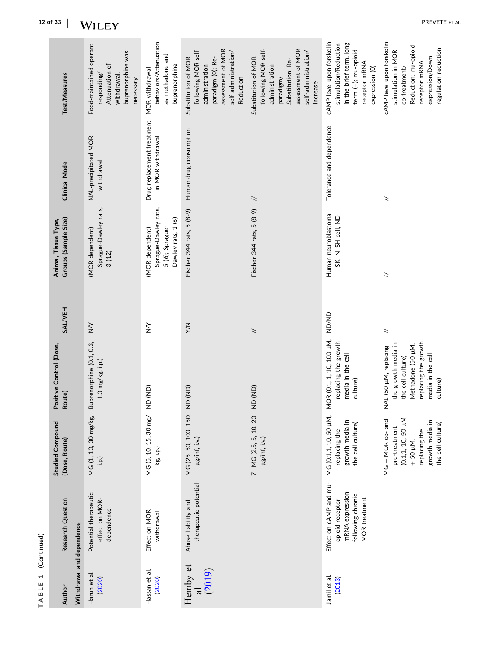| TABLE 1                   | (Continued)                                                                                               |                                                                                                                             |                                                                                                                                                 |                  |                                                                                  |                                                 |                                                                                                                                                         |
|---------------------------|-----------------------------------------------------------------------------------------------------------|-----------------------------------------------------------------------------------------------------------------------------|-------------------------------------------------------------------------------------------------------------------------------------------------|------------------|----------------------------------------------------------------------------------|-------------------------------------------------|---------------------------------------------------------------------------------------------------------------------------------------------------------|
| Author                    | Research Question                                                                                         | <b>Studied Compound</b><br>(Dose, Route)                                                                                    | Positive Control (Dose,<br>Route)                                                                                                               | <b>SALVEH</b>    | Groups (Sample Size)<br>Animal, Tissue Type,                                     | <b>Clinical Model</b>                           | Test/Measures                                                                                                                                           |
| Withdrawal and dependence |                                                                                                           |                                                                                                                             |                                                                                                                                                 |                  |                                                                                  |                                                 |                                                                                                                                                         |
| Harun et al.<br>(2020)    | Potential therapeutic<br>effect on MOR-<br>dependence                                                     | MG (1, 10, 30 mg/kg,<br>(i.q.i                                                                                              | Buprenorphine (0.1, 0.3,<br>1.0 mg/kg, i.p.)                                                                                                    | $\geq$           | Sprague-Dawley rats,<br>(MOR dependent)<br>3(12)                                 | NAL-precipitated MOR<br>withdrawal              | Food-maintained operant<br>buprenorphine was<br>Attenuation of<br>responding/<br>withdrawal,<br>necessary                                               |
| Hassan et al.<br>(2020)   | Effect on MOR<br>withdrawal                                                                               | MG (5, 10, 15, 30 mg/<br>kg, i.p.)                                                                                          | (GN) GN                                                                                                                                         | $\sum_{i=1}^{n}$ | Sprague-Dawley rats,<br>Dawley rats, 1 (6)<br>(MOR dependent)<br>5 (6); Sprague- | Drug replacement treatment<br>in MOR withdrawal | behaviors/Attenuation<br>as methadone and<br>buprenorphine<br>MOR withdrawal                                                                            |
| Hemby et<br>al.<br>(2019) | therapeutic potential<br>Abuse liability and                                                              | MG (25, 50, 100, 150<br>µg/inf, i.v.)                                                                                       | (AD)                                                                                                                                            | $\leq$           | Fischer 344 rats, 5 (8-9)                                                        | Human drug consumption                          | following MOR self-<br>assessment of MOR<br>self-administration/<br>paradigm (0); Re-<br>Substitution of MOR<br>administration<br>Reduction             |
|                           |                                                                                                           | 7HMG (2.5, 5, 10, 20<br>µg/inf, i.v.)                                                                                       | (AD)                                                                                                                                            | $\tilde{z}$      | Fischer 344 rats, 5 (8-9)                                                        | $\overline{\phantom{0}}$                        | following MOR self-<br>assessment of MOR<br>self-administration/<br>Substitution of MOR<br>Substitution; Re-<br>administration<br>paradigm/<br>Increase |
| Jamil et al.<br>(2013)    | Effect on cAMP and mu-<br>mRNA expression<br>following chronic<br><b>MOR</b> treatment<br>opioid receptor | MG (0.1,1, 10, 50 µM,<br>growth media in<br>the cell culture)<br>replacing the                                              | MOR (0.1, 1, 10, 100 µM,<br>replacing the growth<br>media in the cell<br>culture)                                                               | <b>AD/ND</b>     | Human neuroblastoma<br>SK-N-SH cell, ND                                          | Tolerance and dependence                        | cAMP level upon forskolin<br>in the brief term, long<br>stimulation/Reduction<br>term (-); mu-opioid<br>receptor mRNA<br>expression (0)                 |
|                           |                                                                                                           | (0.1,1, 10, 50 µM<br>MG + MOR co- and<br>growth media in<br>the cell culture)<br>pre-treatment<br>replacing the<br>+ 50 µM, | replacing the growth<br>the growth media in<br>Methadone (50 µM,<br>NAL (50 µM, replacing<br>media in the cell<br>the cell culture)<br>culture) | $\geq$           | $\overline{\phantom{0}}$                                                         | $\tilde{ }$                                     | cAMP level upon forskolin<br>Reduction; mu-opioid<br>regulation reduction<br>stimulation in MOR<br>expression/Down-<br>receptor mRNA<br>co-treatment/   |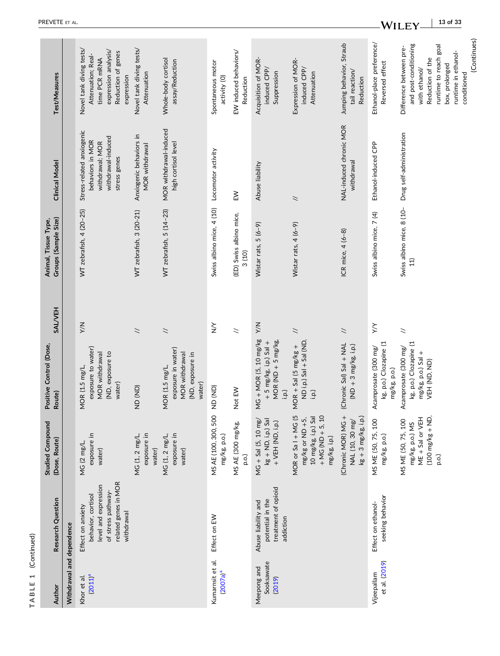| Author                              | Research Question                                                                                                           | <b>Studied Compound</b><br>(Dose, Route)                                                                           | Positive Control (Dose,<br>Route)                                                    | <b>SAL/VEH</b>           | Groups (Sample Size)<br>Animal, Tissue Type, | <b>Clinical Model</b>                                                                                  | Test/Measures                                                                                                                                                                         |
|-------------------------------------|-----------------------------------------------------------------------------------------------------------------------------|--------------------------------------------------------------------------------------------------------------------|--------------------------------------------------------------------------------------|--------------------------|----------------------------------------------|--------------------------------------------------------------------------------------------------------|---------------------------------------------------------------------------------------------------------------------------------------------------------------------------------------|
| Withdrawal and dependence           |                                                                                                                             |                                                                                                                    |                                                                                      |                          |                                              |                                                                                                        |                                                                                                                                                                                       |
| (2011) <sup>a</sup><br>Khor et al.  | related genes in MOR<br>level and expression<br>of stress pathway-<br>behavior, cortisol<br>Effect on anxiety<br>withdrawal | exposure in<br>MG (2 mg/L<br>water)                                                                                | exposure to water)<br>(ND, exposure to<br>MOR withdrawal<br>MOR (1.5 mg/L<br>water)  | XW                       | WT zebrafish, 4 (20-25)                      | Stress-related anxiogenic<br>withdrawal-induced<br>behaviors in MOR<br>withdrawal; MOR<br>stress genes | Novel tank diving tests/<br>expression analysis/<br>Reduction of genes<br>Attenuation; Real-<br>time PCR mRNA<br>expression                                                           |
|                                     |                                                                                                                             | exposure in<br>MG (1, 2 mg/L,<br>water)                                                                            | (AD)                                                                                 | $\overline{\phantom{a}}$ | WT zebrafish, 3 (20-21)                      | Anxiogenic behaviors in<br>MOR withdrawal                                                              | Novel tank diving tests/<br>Attenuation                                                                                                                                               |
|                                     |                                                                                                                             | exposure in<br>MG (1, 2 mg/L,<br>water)                                                                            | exposure in water)<br>MOR withdrawal<br>(ND, exposure in<br>MOR (1.5 mg/L,<br>water) | $\overline{\phantom{a}}$ | WT zebrafish, 5 (14-23)                      | MOR withdrawal-induced<br>high cortisol level                                                          | Whole-body cortisol<br>assay/Reduction                                                                                                                                                |
| Kumarnsit et al.<br>$(2007a)^a$     | Effect on EW                                                                                                                | MS AE (100, 300, 500<br>mg/kg, p.o.)                                                                               | (GN) QN                                                                              | $\sum_{i=1}^{n}$         | Swiss albino mice, 4 (10)                    | Locomotor activity                                                                                     | Spontaneous motor<br>activity (O)                                                                                                                                                     |
|                                     |                                                                                                                             | MS AE (300 mg/kg,<br>p.o.)                                                                                         | Not EW                                                                               | $\geq$                   | (ED) Swiss albino mice,<br>3(10)             | $\geq$                                                                                                 | EW induced behaviors/<br>Reduction                                                                                                                                                    |
| Sooksawate<br>Meepong and<br>(2019) | treatment of opioid<br>potential in the<br>Abuse liability and<br>addiction                                                 | $MG + Sal (5, 10 mg/$<br>$kg + ND$ , i.p.) Sal<br>+ VEH (ND, i.p.)                                                 | MG + MOR (5, 10 mg/kg<br>MOR (ND $+$ 5 mg/kg,<br>$+5$ mg/kg, i.p.) Sal +<br>i.p.)    | XN                       | Wistar rats, 5 (6-9)                         | Abuse liability                                                                                        | Acquisition of MOR-<br>induced CPP/<br>Suppression                                                                                                                                    |
|                                     |                                                                                                                             | $+$ MG (ND $+$ 5, 10<br>MOR or Sal + MG (5<br>10 mg/kg, i.p.) Sal<br>mg/kg or ND +5,<br>$mg/kg$ , i.p.)            | ND i.p.) Sal + Sal (ND,<br>MOR + Sal (5 $mg/kg +$<br>(i.q.i                          | $\overline{\phantom{a}}$ | Wistar rats, 4 (6-9)                         | $\tilde{ }$                                                                                            | Expression of MOR-<br>induced CPP/<br>Attenuation                                                                                                                                     |
|                                     |                                                                                                                             | (Chronic MOR) MG +<br>$kg + 3 mg/kg$ , i.p.)<br>NAL (10, 30 mg/                                                    | (Chronic Sal) Sal + NAL<br>$(ND + 3 mg/kg, i.p.)$                                    | $\overline{\phantom{a}}$ | ICR mice, 4 (6-8)                            | NAL-induced chronic MOR<br>withdrawal                                                                  | Jumping behavior, Straub<br>tail reaction/<br>Reduction                                                                                                                               |
| et al. (2019)<br>Vijeepallam        | seeking behavior<br>Effect on ethanol-                                                                                      | MS ME (50, 75, 100<br>mg/kg, p.o.)                                                                                 | kg, p.o.) Clozapine (1<br>Acamprosate (300 mg/<br>mg/kg, p.o.)                       | $\times$                 | Swiss albino mice, 7 (4)                     | Ethanol-induced CPP                                                                                    | Ethanol-place preference/<br>Reversed effect                                                                                                                                          |
|                                     |                                                                                                                             | $(100 \text{ mg/kg} + \text{ND})$<br>ME + Sal or VEH<br>MS ME (50, 75, 100<br>mg/kg, p.o.) MS<br>$\overline{p.o.}$ | kg, p.o.) Clozapine (1<br>Acamprosate (300 mg/<br>mg/kg, p.o.) Sal +<br>VEH (ND, ND) | $\geq$                   | Swiss albino mice, 8 (10-<br>11)             | Drug self-administration                                                                               | (Continues)<br>and post-conditioning<br>runtime to reach goal<br>Difference between pre-<br>runtime in ethanol-<br>Reduction of the<br>box, prolonged<br>with ethanol/<br>conditioned |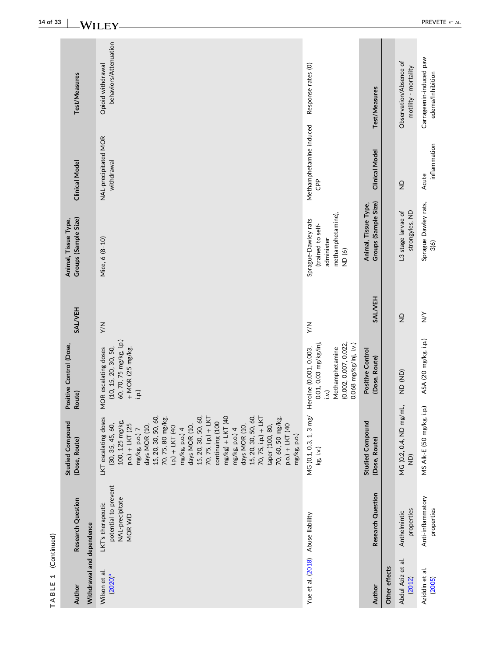| $\overline{\phantom{0}}$<br>TABLE | (Continued)                                                            |                                                                                                                                                                                                                                                                                                                                                                                                                                                                           |                                                                                                                             |                  |                                                                                                  |                                            |                                                |
|-----------------------------------|------------------------------------------------------------------------|---------------------------------------------------------------------------------------------------------------------------------------------------------------------------------------------------------------------------------------------------------------------------------------------------------------------------------------------------------------------------------------------------------------------------------------------------------------------------|-----------------------------------------------------------------------------------------------------------------------------|------------------|--------------------------------------------------------------------------------------------------|--------------------------------------------|------------------------------------------------|
| Author                            | Research Question                                                      | <b>Studied Compound</b><br>(Dose, Route)                                                                                                                                                                                                                                                                                                                                                                                                                                  | Positive Control (Dose,<br>Route)                                                                                           | <b>SALVEH</b>    | Groups (Sample Size)<br>Animal, Tissue Type,                                                     | <b>Clinical Model</b>                      | Test/Measures                                  |
| Withdrawal and dependence         |                                                                        |                                                                                                                                                                                                                                                                                                                                                                                                                                                                           |                                                                                                                             |                  |                                                                                                  |                                            |                                                |
| Wilson et al.<br>$(2020)^a$       | potential to prevent<br>NAL-precipitate<br>LKT's therapeutic<br>MOR WD | 15, 20, 30, 50, 60,<br>15, 20, 30, 50, 60,<br>70, 75, i.p.) + LKT<br>$mg/kg$ ) + LKT (40<br>15, 20, 30, 50, 60,<br>70, 75, i.p.) + LKT<br>70, 75, 80 mg/kg,<br>70, 60, 50 mg/kg,<br>LKT escalating doses<br>continuing (100<br>100, 125 mg/kg,<br>(30, 35, 45, 60,<br>taper (100, 80,<br>p.o.) + LKT (40<br>days MOR (10,<br>days MOR (10,<br>p.o.) + LKT (25<br>days MOR (10,<br>$i.p.) + LKT (40$<br>mg/kg, p.o.) 4<br>mg/kg, p.o.) 4<br>mg/kg, p.o.) 7<br>mg/kg, p.o.) | 60, 70, 75 mg/kg, i.p.)<br>(10, 15, 20, 30, 50,<br>$+$ MOR (25 mg/kg,<br>MOR escalating doses<br>i.p.)                      | $\leq$           | Mice, 6 (8-10)                                                                                   | NAL-precipitated MOR<br>withdrawal         | behaviors/Attenuation<br>Opioid withdrawal     |
| Yue et al. (2018)                 | Abuse liability                                                        | MG (0.1, 0.3, 1, 3 mg/<br>$kg$ , $i.v.$ )                                                                                                                                                                                                                                                                                                                                                                                                                                 | (0.002, 0.007, 0.022,<br>0.068 mg/kg/inj, i.v.)<br>0.01, 0.03 mg/kg/inj<br>Methamphetamine<br>Heroine (0.001, 0.003,<br>ix) | <b>X/X</b>       | methamphetamine),<br>Sprague-Dawley rats<br>(trained to self-<br>administer<br>ND <sub>(6)</sub> | Methamphetamine induced<br>CP <sub>P</sub> | Response rates (0)                             |
| Author                            | Research Question                                                      | <b>Studied Compound</b><br>(Dose, Route)                                                                                                                                                                                                                                                                                                                                                                                                                                  | Positive Control<br>(Dose, Route)                                                                                           | <b>SALVEH</b>    | Groups (Sample Size)<br>Animal, Tissue Type,                                                     | <b>Clinical Model</b>                      | Test/Measures                                  |
| Other effects                     |                                                                        |                                                                                                                                                                                                                                                                                                                                                                                                                                                                           |                                                                                                                             |                  |                                                                                                  |                                            |                                                |
| Abdul Aziz et al.<br>(2012)       | properties<br>Anthelmintic                                             | MG (0.2, 0.4, ND mg/mL,<br>$\widehat{Q}$                                                                                                                                                                                                                                                                                                                                                                                                                                  | (AD)                                                                                                                        | $\frac{D}{Z}$    | strongyles, ND<br>L3 stage larvae of                                                             | $\frac{1}{2}$                              | Observation/Absence of<br>motility - mortality |
| Aziddin et al.<br>(2005)          | Anti-inflammatory<br>properties                                        | i.p.)<br>MS AIK-E (50 mg/kg,                                                                                                                                                                                                                                                                                                                                                                                                                                              | ASA (20 mg/kg, i.p.)                                                                                                        | $\sum_{i=1}^{n}$ | Sprague Dawley rats,<br>3(6)                                                                     | inflammation<br>Acute                      | Carrageenin-induced paw<br>edema/Inhibition    |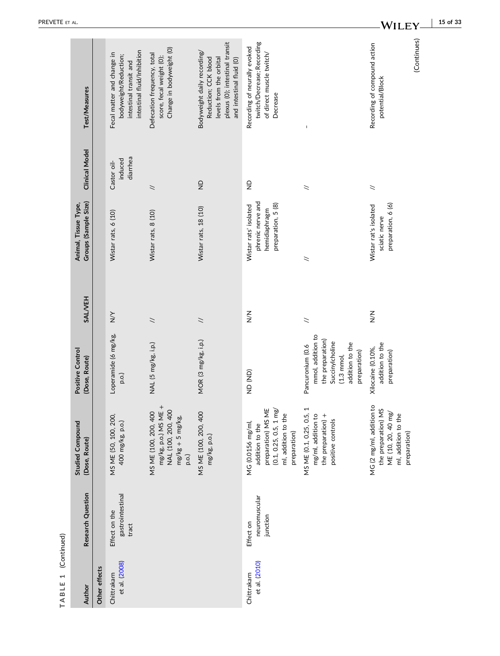| Author                       | Research Question                          | <b>Studied Compound</b><br>(Dose, Route)                                                                                              | Positive Control<br>(Dose, Route)                                                                                                       | <b>SALVEH</b>            | Groups (Sample Size)<br>Animal, Tissue Type,                                      | <b>Clinical Model</b>              | Test/Measures                                                                                                                                |
|------------------------------|--------------------------------------------|---------------------------------------------------------------------------------------------------------------------------------------|-----------------------------------------------------------------------------------------------------------------------------------------|--------------------------|-----------------------------------------------------------------------------------|------------------------------------|----------------------------------------------------------------------------------------------------------------------------------------------|
| Other effects                |                                            |                                                                                                                                       |                                                                                                                                         |                          |                                                                                   |                                    |                                                                                                                                              |
| et al. (2008)<br>Chittrakarn | gastrointestinal<br>Effect on the<br>tract | MS ME (50, 100, 200,<br>400 mg/kg, p.o.)                                                                                              | Loperamide (6 mg/kg,<br>p.o.)                                                                                                           | $\sum_{i=1}^{n}$         | Wistar rats, 6 (10)                                                               | diarrhea<br>induced<br>Castor oil- | intestinal fluid/Inhibition<br>Fecal matter and change in<br>bodyweight/Reduction;<br>intestinal transit and                                 |
|                              |                                            | mg/kg, p.o.) MS ME +<br>NAL (100, 200, 400<br>MS ME (100, 200, 400<br>$mg/kg + 5 mg/kg$<br>p.o.                                       | NAL (5 mg/kg, i.p.)                                                                                                                     | $\overline{\phantom{0}}$ | Wistar rats, 8 (10)                                                               | $\overline{\phantom{0}}$           | Change in bodyweight (0)<br>Defecation frequency, total<br>score, fecal weight (0);                                                          |
|                              |                                            | MS ME (100, 200, 400<br>mg/kg, p.o.)                                                                                                  | MOR (3 mg/kg, i.p.)                                                                                                                     | $\tilde{z}$              | Wistar rats, 18 (10)                                                              | $\frac{\Omega}{\Sigma}$            | plexus (O); intestinal transit<br>Bodyweight daily recording/<br>levels from the orbital<br>Reduction; CCK blood<br>and intestinal fluid (0) |
| et al. (2010)<br>Chittrakarn | neuromuscular<br>junction<br>Effect on     | preparation) MS ME<br>$(0.1, 0.25, 0.5, 1 \text{ mg})$<br>ml, addition to the<br>MG (0.0156 mg/ml,<br>addition to the<br>preparation) | (AD)                                                                                                                                    | $\sum_{i=1}^{n}$         | phrenic nerve and<br>preparation, 5 (8)<br>Wistar rats' isolated<br>hemidiaphragm | $\frac{\Omega}{Z}$                 | twitch/Decrease; Recording<br>Recording of neurally evoked<br>of direct muscle twitch/<br>Decrease                                           |
|                              |                                            | MS ME (0.1, 0.25, 0.5,<br>mg/ml, addition to<br>the preparation) +<br>positive controls                                               | mmol, addition to<br>the preparation)<br>Succinylcholine<br>addition to the<br>Pancuronium (0.6<br>preparation)<br>$(1.3 \text{ mmol},$ | $\leq$                   | $\geq$                                                                            | $\leq$                             |                                                                                                                                              |
|                              |                                            | MG (2 mg/ml, addition to<br>the preparation) MS<br>ME (10, 20, 40 mg/<br>ml, addition to the<br>preparation)                          | addition to the<br>Xilocaine (0.10%,<br>preparation)                                                                                    | $\leqq$                  | preparation, 6 (6)<br>Wistar rat's isolated<br>sciatic nerve                      | $\leq$                             | (Continues)<br>Recording of compound action<br>potential/Block                                                                               |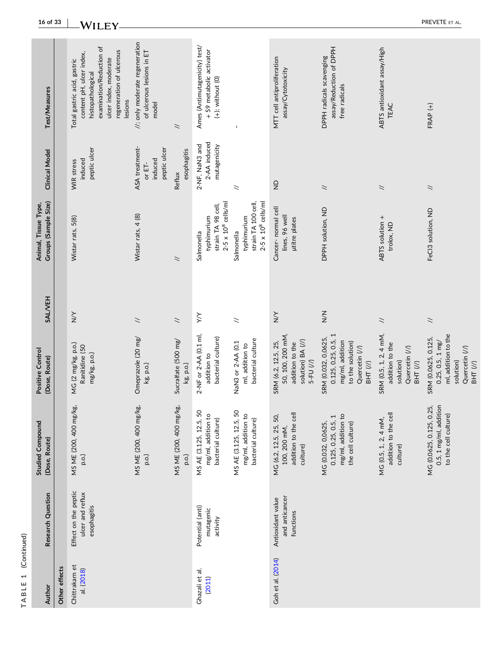| Author                       | Research Question                                       | <b>Studied Compound</b><br>(Dose, Route)                                             | Positive Control<br>(Dose, Route)                                                                                         | <b>SALVEH</b>            | Groups (Sample Size)<br>Animal, Tissue Type,                                   | <b>Clinical Model</b>                               | Test/Measures                                                                                                                                                            |
|------------------------------|---------------------------------------------------------|--------------------------------------------------------------------------------------|---------------------------------------------------------------------------------------------------------------------------|--------------------------|--------------------------------------------------------------------------------|-----------------------------------------------------|--------------------------------------------------------------------------------------------------------------------------------------------------------------------------|
| Other effects                |                                                         |                                                                                      |                                                                                                                           |                          |                                                                                |                                                     |                                                                                                                                                                          |
| Chittrakarn et<br>al. (2018) | Effect on the peptic<br>ulcer and reflux<br>esophagitis | MS ME (200, 400 mg/kg,<br>p.o.)                                                      | MG (2 mg/kg, p.o.)<br>Ranitidine (50<br>mg/kg, p.o.)                                                                      | $\sum_{i=1}^{n}$         | Wistar rats, 5(8)                                                              | peptic ulcer<br>induced<br>WIR stress               | examination/Reduction of<br>regeneration of ulcerous<br>content pH, ulcer index,<br>ulcer index, moderate<br>Total gastric acid, gastric<br>histopathological<br>lesions |
|                              |                                                         | MS ME (200, 400 mg/kg,<br>p.o.)                                                      | Omeprazole (20 mg/<br>kg, p.o.)                                                                                           | $\overline{\phantom{a}}$ | Wistar rats, 4 (8)                                                             | ASA treatment-<br>peptic ulcer<br>induced<br>or ET- | //; only moderate regeneration<br>of ulcerous lesions in ET<br>model                                                                                                     |
|                              |                                                         | MS ME (200, 400 mg/kg,<br>p.o.)                                                      | Sucralfate (500 mg/<br>kg, p.o.)                                                                                          | $\overline{\phantom{a}}$ | $\overline{\phantom{0}}$                                                       | esophagitis<br>Reflux                               | $\overline{\phantom{a}}$                                                                                                                                                 |
| Ghazali et al.<br>(2011)     | Potential (anti)<br>mutagenic<br>activity               | MS AE (3.125, 12.5, 50<br>mg/ml, addition to<br>bacterial culture)                   | 2-NF or 2-AA (0.1 ml,<br>bacterial culture)<br>addition to                                                                | $\times$                 | $2-5 \times 10^8$ cells/ml<br>strain TA 98 cell,<br>typhimurium<br>Salmonella  | 2-AA induced<br>2-NF, NaN3 and<br>mutagenicity      | Ames (Antimutagenicity) test/<br>+ S9 metabolic activator<br>$(+);$ without $(0)$                                                                                        |
|                              |                                                         | MS AE (3.125, 12.5, 50<br>mg/ml, addition to<br>bacterial culture)                   | bacterial culture<br>NaN3 or 2-AA (0.1<br>ml, addition to                                                                 | $\overline{\phantom{a}}$ | strain TA 100 cell,<br>$2-5 \times 10^8$ cells/ml<br>typhimurium<br>Salmonella | $\tilde{z}$                                         |                                                                                                                                                                          |
| Goh et al. (2014)            | and anticancer<br>Antioxidant value<br>functions        | addition to the cell<br>MG (6.2, 12.5, 25, 50,<br>100, 200 mM,<br>culture)           | 50, 100, 200 mM,<br>solution) BA (//)<br>SRM (6.2, 12.5, 25,<br>addition to the<br>$5-FU(1)$                              | $\sum_{i=1}^{n}$         | Cancer-normal cell<br>lines, 96 well<br>µtitre plates                          | $\frac{1}{2}$                                       | MTT cell antiproliferation<br>assay/Cytotoxicity                                                                                                                         |
|                              |                                                         | mg/ml, addition to<br>0.125, 0.25, 0.5, 1<br>the cell culture)<br>MG (0.032, 0,0625, | 0.125, 0.25, 0.5, 1<br>SRM (0.032, 0,0625,<br>mg/ml, addition<br>to the solution)<br>Quercetin (//)<br>BHT <sub>(/)</sub> | $\sum_{i=1}^{n}$         | DPPH solution, ND                                                              | $\tilde{z}$                                         | assay/Reduction of DPPH<br>DPPH radicals scavenging<br>free radicals                                                                                                     |
|                              |                                                         | addition to the cell<br>MG (0.5, 1, 2, 4 mM,<br>culture)                             | SRM (0.5, 1, 2, 4 mM,<br>addition to the<br>Quercetin (//)<br>solution)<br>BHT <sub>(/)</sub>                             | $\tilde{z}$              | ABTS solution +<br>trolox, ND                                                  | $\asymp$                                            | ABTS antioxidant assay/High<br>TEAC                                                                                                                                      |
|                              |                                                         | 0.5, 1 mg/ml, addition<br>MG (0.0625, 0.125, 0.25,<br>to the cell culture)           | ml, addition to the<br>SRM (0.0625, 0.125,<br>$0.25, 0.5, 1$ mg/<br>Quercetin (//)<br>solution)<br>BHT <sub>(/)</sub>     | $\overline{\phantom{a}}$ | FeCl3 solution, ND                                                             | $\overline{\phantom{0}}$                            | $FRAP$ $(+)$                                                                                                                                                             |

**16 of 33**  $-WILEY$ 

**TABLE 1** (Continued)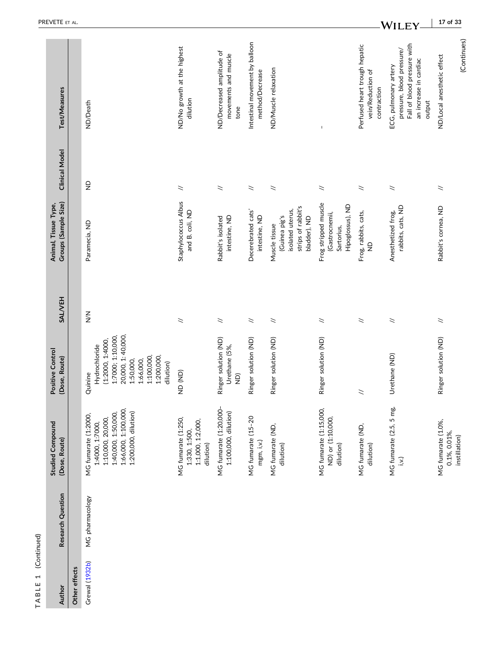| Author         | Research Question | <b>Studied Compound</b><br>(Dose, Route)                                                                                           | Positive Control<br>(Dose, Route)                                                                                                                         | <b>SALVEH</b>            | Groups (Sample Size)<br>Animal, Tissue Type,                                             | <b>Clinical Model</b>    | Test/Measures                                                                                                         |
|----------------|-------------------|------------------------------------------------------------------------------------------------------------------------------------|-----------------------------------------------------------------------------------------------------------------------------------------------------------|--------------------------|------------------------------------------------------------------------------------------|--------------------------|-----------------------------------------------------------------------------------------------------------------------|
| Other effects  |                   |                                                                                                                                    |                                                                                                                                                           |                          |                                                                                          |                          |                                                                                                                       |
| Grewal (1932b) | MG pharmacology   | 1:66,000, 1:100,000<br>1:200,000, dilution)<br>1:40,000, 1:50,000,<br>MG fumarate (1:2000,<br>1:10,000, 20,000,<br>1:4000, 1:7000, | 20,000, 1:40,000,<br>1:7000; 1:10,000,<br>(1:2000, 1:4000,<br>Hydrochloride<br>1:100,000,<br>1:200,000,<br>1:50,000,<br>1:66,000,<br>dilution)<br>Quinine | $\sum_{i=1}^{n}$         | Paramecia, ND                                                                            | $\frac{\Omega}{Z}$       | ND/Death                                                                                                              |
|                |                   | MG fumarate (1:250,<br>1:1,000, 1:2,000,<br>1:330, 1:500,<br>dilution)                                                             | (AD)                                                                                                                                                      | $\overline{z}$           | Staphylococcus Albus<br>and B. coli, ND                                                  | $\overline{\phantom{a}}$ | ND/No growth at the highest<br>dilution                                                                               |
|                |                   | MG fumarate (1:20,000-<br>1:100,000, dilution)                                                                                     | Ringer solution (ND)<br>Urethane (5%,<br>$\widehat{\Xi}$                                                                                                  | $\overline{\phantom{0}}$ | intestine, ND<br>Rabbit's isolated                                                       | $\overline{\phantom{a}}$ | ND/Decreased amplitude of<br>movements and muscle<br>tone                                                             |
|                |                   | MG fumarate (15-20<br>mgm, i,v.)                                                                                                   | Ringer solution (ND)                                                                                                                                      | $\asymp$                 | Decerebrated cats'<br>intestine, ND                                                      | $\overline{\phantom{a}}$ | Intestinal movement by balloon<br>method/Decrease                                                                     |
|                |                   | MG fumarate (ND,<br>dilution)                                                                                                      | Ringer solution (ND)                                                                                                                                      | $\overline{\phantom{0}}$ | strips of rabbit's<br>isolated uterus,<br>(Guinea pig's<br>bladder), ND<br>Muscle tissue | $\asymp$                 | ND/Muscle relaxation                                                                                                  |
|                |                   | MG fumarate (1:15,000,<br>ND) or (1:10,000,<br>dilution)                                                                           | Ringer solution (ND)                                                                                                                                      | $\overline{\phantom{0}}$ | Frog stripped muscle<br>Hipoglossus), ND<br>(Gastrocnemii,<br>Sartorius,                 | $\overline{\phantom{a}}$ |                                                                                                                       |
|                |                   | MG fumarate (ND,<br>dilution)                                                                                                      | $\overline{z}$                                                                                                                                            | $\overline{\phantom{0}}$ | Frog, rabbits, cats,<br>$\frac{\Omega}{Z}$                                               | $\asymp$                 | Perfused heart trough hepatic<br>vein/Reduction of<br>contraction                                                     |
|                |                   | MG fumarate (2.5, 5 mg,<br>i.v.j                                                                                                   | Urethane (ND)                                                                                                                                             | $\overline{\phantom{a}}$ | rabbits, cats, ND<br>Anesthetized frog,                                                  | $\overline{\phantom{a}}$ | Fall of blood pressure with<br>pressure, blood pressure/<br>an increase in cardiac<br>ECG, pulmonary artery<br>output |
|                |                   | MG fumarate (1.0%,<br>0.1%, 0.01%,<br>instillation)                                                                                | Ringer solution (ND)                                                                                                                                      | $\geq$                   | Rabbit's cornea, ND                                                                      | $\geq$                   | (Continues)<br>ND/Local anesthetic effect                                                                             |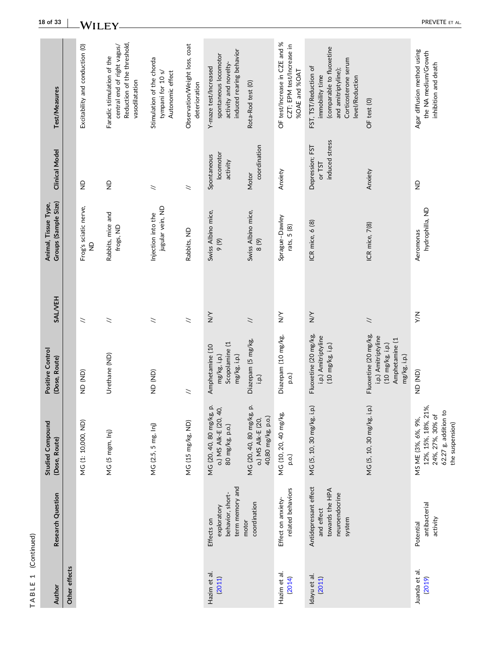| 18 of 33                                     |               | <b>WILEY</b>                    |                                                                                                            |                                                                    |                                                |                                                                                                     |                                                                     |                                                                             |                                                                                                                                         |                                                                                                    | PREVETE ET AL                                                                                            |
|----------------------------------------------|---------------|---------------------------------|------------------------------------------------------------------------------------------------------------|--------------------------------------------------------------------|------------------------------------------------|-----------------------------------------------------------------------------------------------------|---------------------------------------------------------------------|-----------------------------------------------------------------------------|-----------------------------------------------------------------------------------------------------------------------------------------|----------------------------------------------------------------------------------------------------|----------------------------------------------------------------------------------------------------------|
| Test/Measures                                |               | Excitability and conduction (0) | Reduction of the threshold,<br>central end of right vagus/<br>Faradic stimulation of the<br>vasodilatation | Stimulation of the chorda<br>Autonomic effect<br>tympani for 10 s/ | Observation/Weight loss, coat<br>deterioration | induced rearing behavior<br>spontaneous locomotor<br>activity and novelty-<br>Y-maze test/Increased | Rota-Rod test (0)                                                   | OF test/Increase in CZE and %<br>CZT; EPM test/Increase in<br>%OAE and %OAT | (comparable to fluoxetine<br>Corticosterone serum<br>FST, TST/Reduction of<br>and amitriptyline);<br>immobility time<br>level/Reduction | OF test (0)                                                                                        | Agar diffusion method using<br>the NA medium/Growth<br>inhibition and death                              |
| <b>Clinical Model</b>                        |               | $\frac{1}{2}$                   | $\frac{\Omega}{Z}$                                                                                         | $\overline{\phantom{a}}$                                           | $\geq$                                         | locomotor<br>Spontaneous<br>activity                                                                | coordination<br>Motor                                               | Anxiety                                                                     | induced stress<br>Depression; FST<br>$or$ TST                                                                                           | Anxiety                                                                                            | $\frac{\Omega}{Z}$                                                                                       |
| Groups (Sample Size)<br>Animal, Tissue Type, |               | Frog's sciatic nerve,<br>$\Xi$  | Rabbits, mice and<br>frogs, ND                                                                             | jugular vein, ND<br>Injection into the                             | Rabbits, ND                                    | Swiss Albino mice,<br>9(9)                                                                          | Swiss Albino mice,<br>8(9)                                          | Sprague-Dawley<br>rats, 5 (8)                                               | ICR mice, 6 (8)                                                                                                                         | ICR mice, 7(8)                                                                                     | hydrophilla, ND<br>Aeromonas                                                                             |
| <b>SALVEH</b>                                |               | $\overline{z}$                  | $\geq$                                                                                                     | $\geq$                                                             | $\geq$                                         | $\sum_{i=1}^{n}$                                                                                    | $\tilde{z}$                                                         | $\sum_{i=1}^{n}$                                                            | $\sum_{i=1}^{n}$                                                                                                                        | $\overline{\phantom{0}}$                                                                           | $\leq$                                                                                                   |
| Positive Control<br>(Dose, Route)            |               | (AD)                            | Urethane (ND)                                                                                              | ND <sub>(ND)</sub>                                                 | $\geq$                                         | Scopolamine (1<br>Amphetamine (10<br>mg/kg, i.p.)<br>mg/kg, i.p.)                                   | Diazepam (5 mg/kg,<br>i.p.)                                         | Diazepam (10 mg/kg,<br>p.o.)                                                | Fluoxetine (20 mg/kg,<br>i.p.) Amitriptyline<br>$(10 \text{ mg/kg}, i.p.)$                                                              | Fluoxetine (20 mg/kg,<br>i.p.) Amitriptyline<br>Amphetamine (1<br>(10 mg/kg, i.p.)<br>mg/kg, i.p.) | (AD)                                                                                                     |
| <b>Studied Compound</b><br>(Dose, Route)     |               | MG (1: 10,000, ND)              | MG (5 mgm, Inj)                                                                                            | MG (2.5, 5 mg, lnj)                                                | MG (15 mg/kg, ND)                              | MG (20, 40, 80 mg/kg, p.<br>o.) MS Alk-E (20, 40,<br>80 mg/kg, p.o.)                                | MG (20, 40, 80 mg/kg, p.<br>40,80 mg/kg, p.o.)<br>o.) MS Alk-E (20, | MG (10, 20, 40 mg/kg,<br>p.o.)                                              | MG (5, 10, 30 mg/kg, i.p.)                                                                                                              | MG (5, 10, 30 mg/kg, i.p.)                                                                         | 12%, 15%, 18%, 21%,<br>62.27 g, addition to<br>24%, 27%, 30% of<br>MS ME (3%, 6%, 9%,<br>the suspension) |
| Research Question                            |               |                                 |                                                                                                            |                                                                    |                                                | term memory and<br>behavior, short-<br>exploratory<br>Effects on                                    | coordination<br>motor                                               | related behaviors<br>Effect on anxiety-                                     | Antidepressant effect<br>towards the HPA<br>neuroendocrine<br>and effect<br>system                                                      |                                                                                                    | antibacterial<br>activity<br>Potential                                                                   |
| Author                                       | Other effects |                                 |                                                                                                            |                                                                    |                                                | Hazim et al.<br>(2011)                                                                              |                                                                     | Hazim et al.<br>(2014)                                                      | Idayu et al.<br>(2011)                                                                                                                  |                                                                                                    | Juanda et al.<br>(2019)                                                                                  |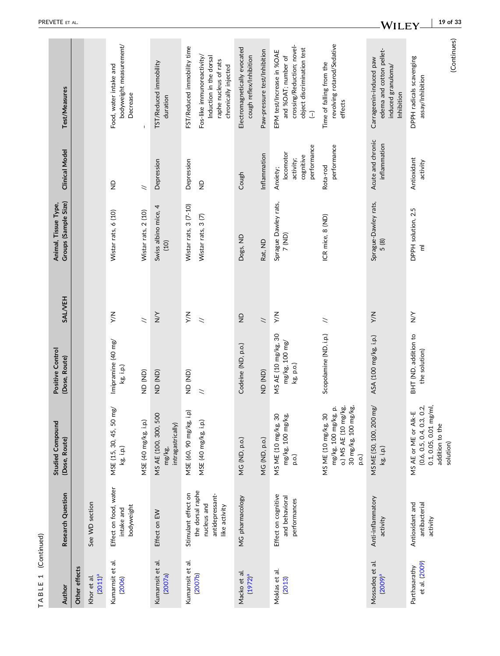| ⊣<br>۹<br>ī |
|-------------|
|             |
| ι           |

| Author                         | Research Question                                                   | <b>Studied Compound</b><br>(Dose, Route)                                                                    | Positive Control<br>(Dose, Route)                  | <b>SALVEH</b>            | Groups (Sample Size)<br>Animal, Tissue Type, | <b>Clinical Model</b>                                          | <b>Test/Measures</b>                                                                                                                                                                    |
|--------------------------------|---------------------------------------------------------------------|-------------------------------------------------------------------------------------------------------------|----------------------------------------------------|--------------------------|----------------------------------------------|----------------------------------------------------------------|-----------------------------------------------------------------------------------------------------------------------------------------------------------------------------------------|
| Other effects                  |                                                                     |                                                                                                             |                                                    |                          |                                              |                                                                |                                                                                                                                                                                         |
| $(2011)^a$<br>Khor et al.      | See WD section                                                      |                                                                                                             |                                                    |                          |                                              |                                                                |                                                                                                                                                                                         |
| Kumarnsit et al.<br>(2006)     | Effect on food, water<br>bodyweight<br>intake and                   | MSE (15, 30, 45, 50 mg/<br>kg, i.p.)                                                                        | Imipramine (40 mg/<br>kg, i.p.)                    | ΧŃ                       | Wistar rats, 6 (10)                          | $\frac{\Omega}{Z}$                                             | bodyweight measurement/<br>Food, water intake and<br>Decrease                                                                                                                           |
|                                |                                                                     | MSE (40 mg/kg, i.p.)                                                                                        | (UN) QN                                            | $\overline{\phantom{a}}$ | Wistar rats, 2 (10)                          | $\overline{\phantom{0}}$                                       |                                                                                                                                                                                         |
| Kumarnsit et al.<br>(2007a)    | Effect on EW                                                        | MS AE (100, 300, 500<br>intragastrically)<br>mg/kg                                                          | (AD)                                               | $\gtrapprox$             | Swiss albino mice, 4<br>(10)                 | Depression                                                     | TST/Reduced immobility<br>duration                                                                                                                                                      |
| Kumarnsit et al.               | Stimulant effect on                                                 | MSE (60, 90 mg/kg, i.p)                                                                                     | (AD)                                               | $\leq$                   | Wistar rats, 3 (7-10)                        | Depression                                                     | FST/Reduced immobility time                                                                                                                                                             |
| (2007b)                        | the dorsal raphe<br>antidepressant-<br>nucleus and<br>like activity | MSE (40 mg/kg, i.p.)                                                                                        | $\overline{\phantom{0}}$                           | $\overline{\phantom{a}}$ | Wistar rats, 3(7)                            | $\frac{\Omega}{Z}$                                             | Fos-like immunoreactivity/<br>Induction in the dorsal<br>raphe nucleus of rats<br>chronically injected                                                                                  |
| Macko et al.<br>$(1972)^a$     | MG pharmacology                                                     | MG (ND, p.o.)                                                                                               | Codeine (ND, p.o.)                                 | $\frac{\Omega}{Z}$       | Dogs, ND                                     | Cough                                                          | Electromagnetically evocated<br>cough reflex/Inhibition                                                                                                                                 |
|                                |                                                                     | MG (ND, p.o.)                                                                                               | (AD)                                               | $\overline{\phantom{a}}$ | Rat, ND                                      | Inflammation                                                   | Paw-pressure test/Inhibition                                                                                                                                                            |
| Moklas et al.<br>(2013)        | Effect on cognitive<br>and behavioral<br>performances               | MS ME (10 mg/kg, 30<br>mg/kg, 100 mg/kg,<br>p.o.)                                                           | MS AE (10 mg/kg, 30<br>mg/kg, 100 mg/<br>kg, p.o.) | ΧX                       | Sprague Dawley rats,<br>7 (ND)               | performance<br>locomotor<br>cognitive<br>activity;<br>Anxiety; | crossing/Reduction; novel-<br>object discrimination test<br>EPM test/Increase in %OAE<br>and %OAT; number of<br>$\begin{tabular}{c} \hline \multicolumn{3}{c}{}\\ \hline \end{tabular}$ |
|                                |                                                                     | o.) MS AE (10 mg/kg,<br>ρô<br>đ.<br>30 mg/kg, 100 mg/k<br>mg/kg, 100 mg/kg,<br>MS ME (10 mg/kg, 30<br>p.o.) | Scopolamine (ND, i.p.)                             | $\geq$                   | ICR mice, 8 (ND)                             | performance<br>Rota-rod                                        | revolving rotarod/Sedative<br>Time of falling from the<br>effects                                                                                                                       |
| Mossadeq et al.<br>$(2009)^a$  | Anti-inflammatory<br>activity                                       | MS ME (50, 100, 200 mg/<br>kg, i.p.)                                                                        | ASA (100 mg/kg, i.p.)                              | XW                       | Sprague-Dawley rats,<br>5(8)                 | Acute and chronic<br>inflammation                              | edema and cotton pellet-<br>Carrageenin-induced paw<br>induced granuloma/<br>Inhibition                                                                                                 |
| et al. (2009)<br>Parthasarathy | antibacterial<br>Antioxidant and<br>activity                        | $(0.6, 0.5, 0.4, 0.3, 0.2, 0.1, 0.05, 0.01$ mg/ml,<br>MS AE or ME or Alk-E<br>addition to the<br>solution)  | BHT (ND, addition to<br>the solution)              | $\sum_{i=1}^{n}$         | DPPH solution, 2.5<br>$\overline{\epsilon}$  | Antioxidant<br>activity                                        | (Continues)<br>DPPH radicals scavenging<br>assay/Inhibition                                                                                                                             |
|                                |                                                                     |                                                                                                             |                                                    |                          |                                              |                                                                |                                                                                                                                                                                         |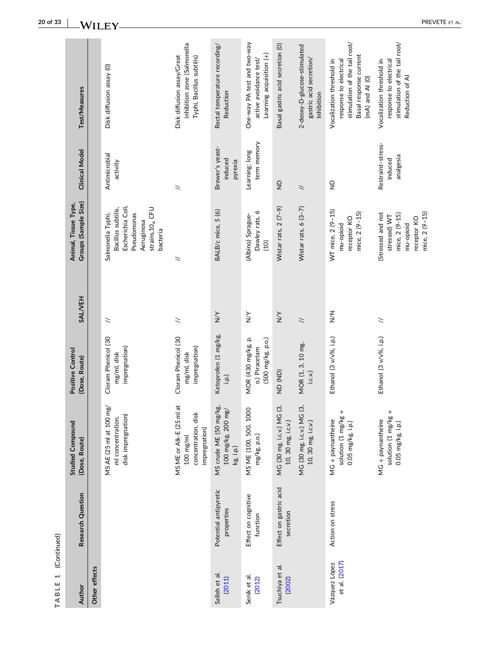| $\overline{\phantom{0}}$<br>TABLE | (Continued)                         |                                                                                           |                                                          |                          |                                                                                                                                       |                                           |                                                                                                                                   |
|-----------------------------------|-------------------------------------|-------------------------------------------------------------------------------------------|----------------------------------------------------------|--------------------------|---------------------------------------------------------------------------------------------------------------------------------------|-------------------------------------------|-----------------------------------------------------------------------------------------------------------------------------------|
| Author                            | Research Question                   | <b>Studied Compound</b><br>(Dose, Route)                                                  | Positive Control<br>(Dose, Route)                        | <b>SALVEH</b>            | Groups (Sample Size)<br>Animal, Tissue Type,                                                                                          | <b>Clinical Model</b>                     | Test/Measures                                                                                                                     |
| Other effects                     |                                     |                                                                                           |                                                          |                          |                                                                                                                                       |                                           |                                                                                                                                   |
|                                   |                                     | mg/<br>disk impregnation)<br>MS AE (25 ml at 100<br>ml concentration,                     | Cloram Phenicol (30<br>impregnation)<br>mg/ml, disk      | $\leq$                   | Escherichia Coli,<br>strains, 10 <sub>6</sub> CFU<br>Bacillus subtilis,<br>Salmonella Typhi,<br>Pseudomonas<br>Aeruginosa<br>bacteria | Antimicrobial<br>activity                 | Disk diffusion assay (0)                                                                                                          |
|                                   |                                     | MS ME or Alk-E (25 ml at<br>concentration, disk<br>impregnation)<br>$100 \, \text{mg/ml}$ | Cloram Phenicol (30<br>impregnation)<br>mg/ml, disk      | $\geq$                   | $\tilde{z}$                                                                                                                           | $\geq$                                    | inhibition zone (Salmonella<br>Disk diffusion assay/Great<br>Typhi, Bacillus subtilis)                                            |
| Salleh et al.<br>(2011)           | Potential antipyretic<br>properties | MS crude ME (50 mg/kg,<br>100 mg/kg, 200 mg/<br>kg, i.p.)                                 | Ketoprofen (1 mg/kg,<br>$\vdots$                         | $\sum_{i=1}^{n}$         | BALB/c mice, 5 (6)                                                                                                                    | Brewer's yeast-<br>induced<br>pyrexia     | Rectal temperature recording/<br>Reduction                                                                                        |
| Senik et al.<br>(2012)            | Effect on cognitive<br>function     | MS ME (100, 500, 1000<br>mg/kg, p.o.)                                                     | MOR (430 mg/kg, p.<br>(500 mg/kg, p.o.)<br>o.) Piracetam | $\sum_{i=1}^{n}$         | Dawley rats, 6<br>(Albino) Sprague-<br>(10)                                                                                           | term memory<br>Learning; long             | One-way PA test and two-way<br>Learning acquisition (+)<br>active avoidance test/                                                 |
| Tsuchiya et al.<br>(2002)         | Effect on gastric acid<br>secretion | MG (30 mg, i.c.v.) MG (3,<br>10, 30 mg, i.c.v.)                                           | (AD)                                                     | $\sum_{i=1}^{n}$         | Wistar rats, 2 (7-9)                                                                                                                  | $\frac{\Omega}{Z}$                        | Basal gastric acid secretion (O)                                                                                                  |
|                                   |                                     | MG (30 mg, i.c.v.) MG (3,<br>10, 30 mg, i.c.v.)                                           | MOR (1, 3, 10 mg,<br>i.c.v.                              | $\overline{\phantom{0}}$ | Wistar rats, $6(3-7)$                                                                                                                 | $\geq$                                    | 2-deoxy-D-glucose-stimulated<br>gastric acid secretion/<br>Inhibition                                                             |
| et al. (2017)<br>Vázquez López    | Action on stress                    | $^{+}$<br>solution (1 mg/kg<br>$MG + paynantine$<br>0.05 mg/kg, i.p.)                     | Ethanol (3 v/v%, i.p.)                                   | $\frac{z}{\geq}$         | WT mice, 2 (9-15)<br>mice, 2 (9-15)<br>receptor KO<br>mu-opioid                                                                       | $\frac{\Omega}{Z}$                        | stimulation of the tail root/<br>Basal response current<br>Vocalization threshold in<br>response to electrical<br>(mA) and AI (0) |
|                                   |                                     | $^{+}$<br>solution (1 mg/kg<br>$MG + payment$<br>0.05 mg/kg, i.p.)                        | Ethanol (3 v/v%, i.p.)                                   | $\tilde{z}$              | mice, 2 (9-15)<br>(Stressed and not<br>mice, 2 (9-15)<br>stressed) WT<br>receptor KO<br>mu-opioid                                     | Restraint-stress-<br>analgesia<br>induced | stimulation of the tail root/<br>Vocalization threshold in<br>response to electrical<br>Reduction of AI                           |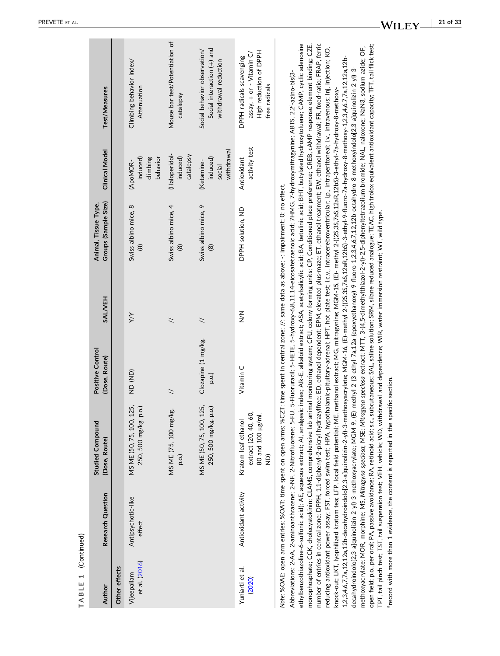| TABLE 1 (Continued)          |                                                                         |                                                                                                                                                                                                                                                                                                                                                                                                                                                                                                                                                                                                                                                                                                                                                                                                                                                                                               |                                   |               |                                                                                                               |                                                |                                                                                                                                                                                                                                                                                                                                                                                                                                                                                                                                                                                                                                                                                                                                                                                                                                                                                                                                                                                                                                                                                                                                                                                                                                                                                    |
|------------------------------|-------------------------------------------------------------------------|-----------------------------------------------------------------------------------------------------------------------------------------------------------------------------------------------------------------------------------------------------------------------------------------------------------------------------------------------------------------------------------------------------------------------------------------------------------------------------------------------------------------------------------------------------------------------------------------------------------------------------------------------------------------------------------------------------------------------------------------------------------------------------------------------------------------------------------------------------------------------------------------------|-----------------------------------|---------------|---------------------------------------------------------------------------------------------------------------|------------------------------------------------|------------------------------------------------------------------------------------------------------------------------------------------------------------------------------------------------------------------------------------------------------------------------------------------------------------------------------------------------------------------------------------------------------------------------------------------------------------------------------------------------------------------------------------------------------------------------------------------------------------------------------------------------------------------------------------------------------------------------------------------------------------------------------------------------------------------------------------------------------------------------------------------------------------------------------------------------------------------------------------------------------------------------------------------------------------------------------------------------------------------------------------------------------------------------------------------------------------------------------------------------------------------------------------|
| Author                       | Research Question                                                       | <b>Studied Compound</b><br>(Dose, Route)                                                                                                                                                                                                                                                                                                                                                                                                                                                                                                                                                                                                                                                                                                                                                                                                                                                      | Positive Control<br>(Dose, Route) | <b>SALVEH</b> | Groups (Sample Size)<br>Animal, Tissue Type,                                                                  | <b>Clinical Model</b>                          | Test/Measures                                                                                                                                                                                                                                                                                                                                                                                                                                                                                                                                                                                                                                                                                                                                                                                                                                                                                                                                                                                                                                                                                                                                                                                                                                                                      |
| Other effects                |                                                                         |                                                                                                                                                                                                                                                                                                                                                                                                                                                                                                                                                                                                                                                                                                                                                                                                                                                                                               |                                   |               |                                                                                                               |                                                |                                                                                                                                                                                                                                                                                                                                                                                                                                                                                                                                                                                                                                                                                                                                                                                                                                                                                                                                                                                                                                                                                                                                                                                                                                                                                    |
| et al. (2016)<br>Vijeepallam | Antipsychotic-like<br>effect                                            | MS ME (50, 75, 100, 125,<br>250, 500 mg/kg, p.o.)                                                                                                                                                                                                                                                                                                                                                                                                                                                                                                                                                                                                                                                                                                                                                                                                                                             | (AD)                              | $\times$      | Swiss albino mice, 8<br>$\circledcirc$                                                                        | induced)<br>climbing<br>behavior<br>(ApoMOR-   | Climbing behavior index/<br>Attenuation                                                                                                                                                                                                                                                                                                                                                                                                                                                                                                                                                                                                                                                                                                                                                                                                                                                                                                                                                                                                                                                                                                                                                                                                                                            |
|                              |                                                                         | MS ME (75, 100 mg/kg,<br>p.o.)                                                                                                                                                                                                                                                                                                                                                                                                                                                                                                                                                                                                                                                                                                                                                                                                                                                                | $\geq$                            | $\tilde{z}$   | Swiss albino mice, 4<br>$\circledR$                                                                           | (Haloperidol-<br>catalepsy<br>induced)         | Mouse bar test/Potentiation of<br>catalepsy                                                                                                                                                                                                                                                                                                                                                                                                                                                                                                                                                                                                                                                                                                                                                                                                                                                                                                                                                                                                                                                                                                                                                                                                                                        |
|                              |                                                                         | MS ME (50, 75, 100, 125,<br>250, 500 mg/kg, p.o.)                                                                                                                                                                                                                                                                                                                                                                                                                                                                                                                                                                                                                                                                                                                                                                                                                                             | Clozapine (1 mg/kg,<br>p.o.)      | $\tilde{z}$   | Swiss albino mice, 9<br>$\circledR$                                                                           | withdrawal<br>induced)<br>(Ketamine-<br>social | Social interaction (+) and<br>Social behavior observation/<br>withdrawal reduction                                                                                                                                                                                                                                                                                                                                                                                                                                                                                                                                                                                                                                                                                                                                                                                                                                                                                                                                                                                                                                                                                                                                                                                                 |
| Yuniarti et al.<br>(2020)    | Antioxidant activity                                                    | extract (20, 40, 60<br>80 and 100 µg/ml,<br>Kratom leaf ethanol<br>ĝ                                                                                                                                                                                                                                                                                                                                                                                                                                                                                                                                                                                                                                                                                                                                                                                                                          | Vitamin C                         | $\leq$        | DPPH solution, ND                                                                                             | activity test<br>Antioxidant                   | High reduction of DPPH<br>assay, + or - Vitamin C/<br>DPPH radicals scavenging<br>free radicals                                                                                                                                                                                                                                                                                                                                                                                                                                                                                                                                                                                                                                                                                                                                                                                                                                                                                                                                                                                                                                                                                                                                                                                    |
|                              | knock-out; LKT, lyophilized kratom tea; LFP, local field potential; ME, | 1,2,3,4,6,7,7a,122a,12b-decahydroindolo[2,3-a]quinolizin-2-yl)-3-methoxyacrylate; MGM-16, (E)-methyl 2-((2S,3S,7aS,12aR,12bS)-3-ethyl-9-fluoro-7a-hydroxy-8-methoxy-1,2,3,4,6,7,7a,122b-<br>decahydroindolo[2,3-a]quinolizin-2-yl)-3-methoxyacrylate; MGM-9, (E)-methyl 2-(3-ethyl-7a,12a-(epoxyethanoxy)-9-fluoro-1,2,3,4,6,7,1212b-octahydro-8-methoxyindolo[2,3-a]quinolizin-2-yl)-3-<br>Abbreviations: 2-AA, 2-aminoanthracene; 2-NF, 2-Nitrofluorene; 5-FU, 5-Fluoruracil; 5-HETE, 5-hydroxy-6,8,11,14-eicosatetraenoic acid; 7HMG, 7-hydroxymitragynine; ABTS, 2,2'-azino-bis(3-<br>Note: %OAE: open arm entries; %OAT: time spent on open arms; %CZT: time spent in central zone; //: same data as above; -: impairment; 0: no effect.<br>TPT, tail pinch test; TST, tail suspension test; VEH, vehicle; WD, withdrawal and dependence; WIR, water immersion restraint; WT, wild type. |                                   |               | methanol extract; MG, mitragynine; MGM-15, (E)- methyl 2-((2S,3S,7aS,12aR,12bS)-3-ethyl-7a-hydroxy-8-methoxy- |                                                | ethylbenzothiazoline-6-sulfonic acid); AE, aqueous extract; AI, analgesic index; AIk-E, alkaloid extract; ASA, acetylsalicylic acid; BA, betulinic acid; BHT, butylated hydroxytoluene; CAMP, cyclic adenosine<br>number of entries in central zone; DPPH, 1,1-diphenyl-2-picryl hydrazylfree; ED, ethanol dependent; EPM, elevated plus-maze; ET, ethanol treatment; EW, ethanol withdrawal; FR, fixed-ratio; FRAP, ferric<br>open field; p.o., per oral; PA, passive avoidance; RA, retinoid acid; s.c., subcutaneous; SAL, saline solution; SRM, silane reduced analogue; TEAC, high trolox equivalent antioxidant capacity; TFT, tail flick test;<br>monophosphate; CCK, cholecystokinin; CLAMS, comprehensive lab animal monitoring system; CFU, colony forming units; CP, Conditioned place preference; CREB, cAMP response element binding; CZE,<br>methoxyacrylate; MOR, morphine; MS, Mitragyna speciosa; MSE: Mitragyna speciosa extract; MTT, 3-(4,5-dimethylthiazol-2-yl)-2.5-diphenyltetrazolium bromide; NAL, naloxone; NaN3, sodium azide; OF,<br>reducing antioxidant power assay, FST, forced swim test; HPA, hypothalamic-pituitary-adrenal; HPT, hot plate test; i.c.v., intracerebroventricular; i.p., intraperitoneal; i.v., intravenous; Inj, injection; KO, |

<span id="page-20-0"></span>PREVETE ET AL .

arecord with more than 1 evidence, the content is reported in the specific section.

<sup>3</sup>record with more than 1 evidence, the content is reported in the specific section.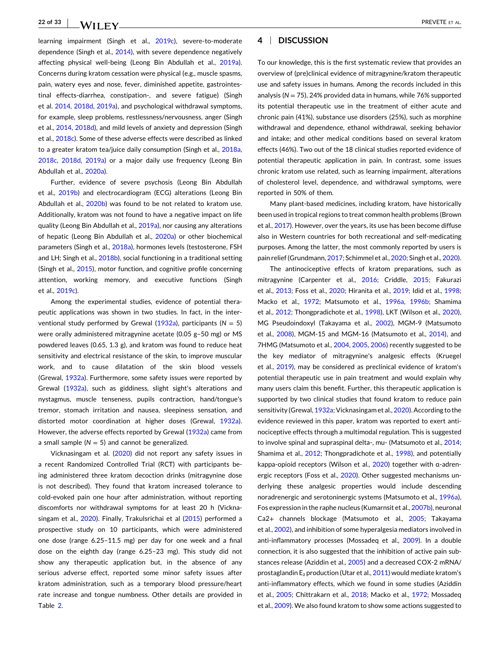learning impairment (Singh et al., [2019c](#page-31-0)), severe-to-moderate dependence (Singh et al., [2014\)](#page-30-0), with severe dependence negatively affecting physical well-being (Leong Bin Abdullah et al., [2019a](#page-29-0)). Concerns during kratom cessation were physical (e.g., muscle spasms, pain, watery eyes and nose, fever, diminished appetite, gastrointestinal effects‐diarrhea, constipation‐, and severe fatigue) (Singh et al. [2014,](#page-30-0) [2018d](#page-31-0), [2019a\)](#page-30-0), and psychological withdrawal symptoms, for example, sleep problems, restlessness/nervousness, anger (Singh et al., [2014](#page-30-0), [2018d](#page-31-0)), and mild levels of anxiety and depression (Singh et al., [2018c](#page-31-0)). Some of these adverse effects were described as linked to a greater kratom tea/juice daily consumption (Singh et al., [2018a,](#page-30-0) [2018c,](#page-31-0) [2018d](#page-31-0), [2019a](#page-30-0)) or a major daily use frequency (Leong Bin Abdullah et al., [2020a](#page-29-0)).

Further, evidence of severe psychosis (Leong Bin Abdullah et al., [2019b\)](#page-29-0) and electrocardiogram (ECG) alterations (Leong Bin Abdullah et al., [2020b\)](#page-29-0) was found to be not related to kratom use. Additionally, kratom was not found to have a negative impact on life quality (Leong Bin Abdullah et al., [2019a\)](#page-29-0), nor causing any alterations of hepatic (Leong Bin Abdullah et al., [2020a\)](#page-29-0) or other biochemical parameters (Singh et al., [2018a](#page-30-0)), hormones levels (testosterone, FSH and LH; Singh et al., [2018b](#page-31-0)), social functioning in a traditional setting (Singh et al., [2015](#page-31-0)), motor function, and cognitive profile concerning attention, working memory, and executive functions (Singh et al., [2019c\)](#page-31-0).

Among the experimental studies, evidence of potential therapeutic applications was shown in two studies. In fact, in the interventional study performed by Grewal [\(1932a\)](#page-28-0), participants (*N* = 5) were orally administered mitragynine acetate (0.05 g–50 mg) or MS powdered leaves (0.65, 1.3 g), and kratom was found to reduce heat sensitivity and electrical resistance of the skin, to improve muscular work, and to cause dilatation of the skin blood vessels (Grewal, [1932a](#page-28-0)). Furthermore, some safety issues were reported by Grewal [\(1932a\)](#page-28-0), such as giddiness, slight sight's alterations and nystagmus, muscle tenseness, pupils contraction, hand/tongue's tremor, stomach irritation and nausea, sleepiness sensation, and distorted motor coordination at higher doses (Grewal, [1932a](#page-28-0)). However, the adverse effects reported by Grewal [\(1932a\)](#page-28-0) came from a small sample  $(N = 5)$  and cannot be generalized.

Vicknasingam et al. ([2020](#page-31-0)) did not report any safety issues in a recent Randomized Controlled Trial (RCT) with participants being administered three kratom decoction drinks (mitragynine dose is not described). They found that kratom increased tolerance to cold‐evoked pain one hour after administration, without reporting discomforts nor withdrawal symptoms for at least 20 h (Vickna-singam et al., [2020\)](#page-31-0). Finally, Trakulsrichai et al [\(2015\)](#page-31-0) performed a prospective study on 10 participants, which were administered one dose (range 6.25–11.5 mg) per day for one week and a final dose on the eighth day (range 6.25–23 mg). This study did not show any therapeutic application but, in the absence of any serious adverse effect, reported some minor safety issues after kratom administration, such as a temporary blood pressure/heart rate increase and tongue numbness. Other details are provided in Table [2](#page-22-0).

# **4** <sup>|</sup> **DISCUSSION**

To our knowledge, this is the first systematic review that provides an overview of (pre)clinical evidence of mitragynine/kratom therapeutic use and safety issues in humans. Among the records included in this analysis (*N* = 75), 24% provided data in humans, while 76% supported its potential therapeutic use in the treatment of either acute and chronic pain (41%), substance use disorders (25%), such as morphine withdrawal and dependence, ethanol withdrawal, seeking behavior and intake; and other medical conditions based on several kratom effects (46%). Two out of the 18 clinical studies reported evidence of potential therapeutic application in pain. In contrast, some issues chronic kratom use related, such as learning impairment, alterations of cholesterol level, dependence, and withdrawal symptoms, were reported in 50% of them.

Many plant‐based medicines, including kratom, have historically been used in tropical regions to treat common health problems (Brown et al., [2017](#page-27-0)). However, over the years, its use has been become diffuse also in Western countries for both recreational and self‐medicating purposes. Among the latter, the most commonly reported by users is pain relief(Grundmann, [2017](#page-28-0); Schimmel et al., [2020](#page-30-0); Singh et al., [2020\)](#page-31-0).

The antinociceptive effects of kratom preparations, such as mitragynine (Carpenter et al., [2016](#page-27-0); Criddle, [2015;](#page-27-0) Fakurazi et al., [2013](#page-27-0); Foss et al., [2020](#page-28-0); Hiranita et al., [2019;](#page-28-0) Idid et al., [1998;](#page-28-0) Macko et al., [1972](#page-29-0); Matsumoto et al., [1996a](#page-29-0), [1996b;](#page-29-0) Shamima et al., [2012;](#page-30-0) Thongpradichote et al., [1998](#page-31-0)), LKT (Wilson et al., [2020\)](#page-32-0), MG Pseudoindoxyl (Takayama et al., [2002\)](#page-31-0), MGM‐9 (Matsumoto et al., [2008\)](#page-29-0), MGM‐15 and MGM‐16 (Matsumoto et al., [2014\)](#page-29-0), and 7HMG (Matsumoto et al., [2004,](#page-29-0) [2005,](#page-29-0) [2006\)](#page-29-0) recently suggested to be the key mediator of mitragynine's analgesic effects (Kruegel et al., [2019\)](#page-29-0), may be considered as preclinical evidence of kratom's potential therapeutic use in pain treatment and would explain why many users claim this benefit. Further, this therapeutic application is supported by two clinical studies that found kratom to reduce pain sensitivity (Grewal, [1932a](#page-28-0); Vicknasingam et al., [2020](#page-31-0)). According to the evidence reviewed in this paper, kratom was reported to exert antinociceptive effects through a multimodal regulation. This is suggested to involve spinal and supraspinal delta-, mu- (Matsumoto et al., [2014;](#page-29-0) Shamima et al., [2012;](#page-30-0) Thongpradichote et al., [1998\)](#page-31-0), and potentially kappa‐opioid receptors (Wilson et al., [2020](#page-32-0)) together with α‐adrenergic receptors (Foss et al., [2020](#page-28-0)). Other suggested mechanisms underlying these analgesic properties would include descending noradrenergic and serotoninergic systems (Matsumoto et al., [1996a\)](#page-29-0), Fos expression in the raphe nucleus (Kumarnsit et al., [2007b\)](#page-29-0), neuronal Ca2+ channels blockage (Matsumoto et al., [2005](#page-29-0); Takayama et al., [2002](#page-31-0)), and inhibition of some hyperalgesia mediators involved in anti-inflammatory processes (Mossadeq et al., [2009](#page-30-0)). In a double connection, it is also suggested that the inhibition of active pain sub-stances release (Aziddin et al., [2005](#page-27-0)) and a decreased COX-2 mRNA/ prostaglandin  $E_2$  production (Utar et al., [2011\)](#page-31-0) would mediate kratom's anti-inflammatory effects, which we found in some studies (Aziddin et al., [2005;](#page-27-0) Chittrakarn et al., [2018;](#page-27-0) Macko et al., [1972;](#page-29-0) Mossadeq et al., [2009](#page-30-0)). We also found kratom to show some actions suggested to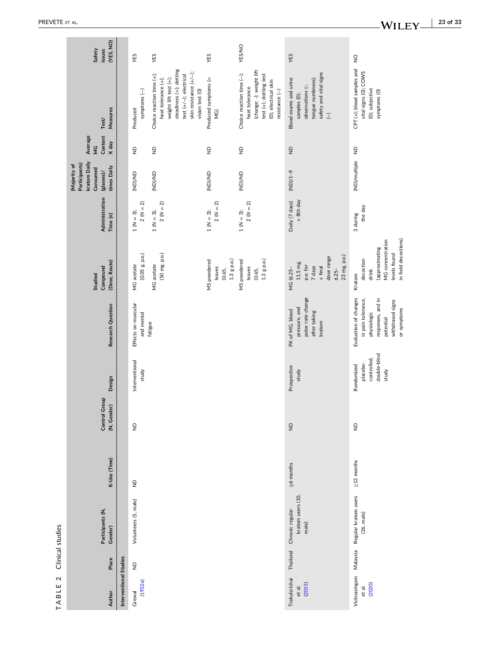<span id="page-22-0"></span>

| (YES, NO)<br>Safety<br>issues                                                          |                        | YES                               | YES                                                                                                                                                                           | YES                                              | <b>YES/NO</b>                                                                                                                               | YES                                                                                                                          | $\frac{1}{2}$                                                                                                                   |
|----------------------------------------------------------------------------------------|------------------------|-----------------------------------|-------------------------------------------------------------------------------------------------------------------------------------------------------------------------------|--------------------------------------------------|---------------------------------------------------------------------------------------------------------------------------------------------|------------------------------------------------------------------------------------------------------------------------------|---------------------------------------------------------------------------------------------------------------------------------|
| Measures<br>Test/                                                                      |                        | symptoms (-)<br>Produced          | steadiness (+); dotting<br>skin resistance $(+/-);$<br>Choice reaction time (+);<br>test (+/-); electrical<br>weight lift test (+);<br>heat tolerance (+);<br>vision test (0) | Produced symptoms (=<br>$\widetilde{\Xi}$        | (change: -); weight lift<br>Choice reaction time (-);<br>test (+); dotting test<br>(0); electrical skin<br>heat tolerance<br>resistance (-) | safety and vital signs<br>Blood exams and urine<br>tongue numbness);<br>observations (-;<br>samples (0);<br>$\widehat{\bot}$ | CPT (+); blood samples and<br>vital signs (0); COWS<br>(0); subjective<br>symptoms (O)                                          |
| Average<br>Content<br>X day<br>$\frac{c}{2}$                                           |                        | $\frac{1}{2}$                     | $\varrho$                                                                                                                                                                     | $\varrho$                                        | $\frac{\mathsf{D}}{\mathsf{D}}$                                                                                                             | $\frac{\Omega}{\Sigma}$                                                                                                      |                                                                                                                                 |
| kratom Daily<br>Participants)<br>(Majority of<br>times Daily<br>Consumed<br>(glasses)/ |                        | <b>GN/(GN)</b>                    | <b>GN/(GN)</b>                                                                                                                                                                | <b>GN/(GN)</b>                                   | <b>GN/GN)</b>                                                                                                                               | $(ND)/1-9$                                                                                                                   | (ND)/multiple ND                                                                                                                |
| Administration<br>Time (n)                                                             |                        | $2 (N = 2)$<br>$1 (N = 3);$       | $2 (N = 2)$<br>$1 (N = 3);$                                                                                                                                                   | $2 (N = 2)$<br>$1 (N = 3);$                      | $2 (N = 2)$<br>$1 (N = 3);$                                                                                                                 | + 8th day<br>Daily (7 days)                                                                                                  | the day<br>3 during                                                                                                             |
| (Dose, Route)<br>Compound<br><b>Studied</b>                                            |                        | (0.05 g, p.o.)<br>MG acetate      | (50 mg, p.o.)<br>MG acetate                                                                                                                                                   | $1.3$ g p.o.)<br>MS powdered<br>leaves<br>(0.65, | 1.3 g p.o.)<br>MS powdered<br>leaves<br>(0.65,                                                                                              | 23 mg, p.o.)<br>dose range<br>11.5 mg,<br>p.o. for<br>7 days<br>$+$ final<br>MG (6.25-<br>$6.25 -$                           | in field decoctions)<br>MG concentration<br>(approximating<br>levels found<br>decoction<br>drink<br>Kratom                      |
| Research Question                                                                      |                        | Effects on muscular<br>and mental | fatigue                                                                                                                                                                       |                                                  |                                                                                                                                             | pulse rate change<br>pressure, and<br>PK of MG, blood<br>after taking<br>kratom                                              | Evaluation of changes<br>responses, and in<br>in pain tolerance,<br>withdrawal signs<br>or symptoms<br>physiologic<br>potential |
| Design                                                                                 |                        | Interventional<br>study           |                                                                                                                                                                               |                                                  |                                                                                                                                             | Prospective<br>study                                                                                                         | double-blind<br>controlled,<br>placebo-<br>Randomized<br>study                                                                  |
| Control Group<br>(N, Gender)                                                           |                        | $\frac{\Omega}{\Sigma}$           |                                                                                                                                                                               |                                                  |                                                                                                                                             | $\frac{1}{2}$                                                                                                                | $\frac{\mathsf{D}}{\mathsf{D}}$                                                                                                 |
| K-Use (Time)                                                                           |                        | $\frac{\Omega}{\Sigma}$           |                                                                                                                                                                               |                                                  |                                                                                                                                             | ≥6 months                                                                                                                    | $\geq$ 12 months                                                                                                                |
| Participants (N,<br>Gender)                                                            |                        | Volunteers (5, male)              |                                                                                                                                                                               |                                                  |                                                                                                                                             | kratom users (10,<br>Chronic regular<br>male)                                                                                | Vicknasingam Malaysia Regular kratom users<br>(26, male)                                                                        |
| Place                                                                                  |                        | $\frac{\mathsf{D}}{\mathsf{D}}$   |                                                                                                                                                                               |                                                  |                                                                                                                                             | Thailand                                                                                                                     |                                                                                                                                 |
| Author                                                                                 | Interventional Studies | (1932a)<br>Grewal                 |                                                                                                                                                                               |                                                  |                                                                                                                                             | Trakulsrichai<br>(2015)<br>et al.                                                                                            | (2020)<br>et al.                                                                                                                |

**TABLE 2** Clinical studies

TABLE 2 Clinical studies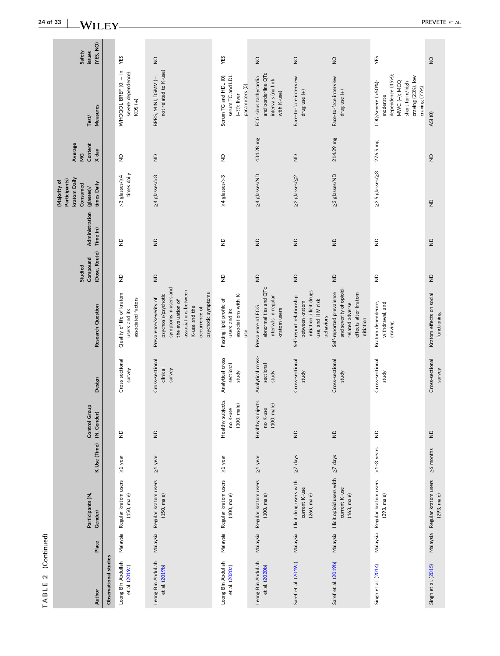| (YES, NO)<br>Safety<br>issues                                                          |                       | YES                                                              | $\frac{1}{2}$                                                                                                                                                               | YES                                                                            | $\frac{1}{2}$                                                                      | $\frac{1}{2}$                                                                                             | $\frac{1}{2}$                                                                                                | YES                                                                                                                           | $\frac{1}{2}$                                |
|----------------------------------------------------------------------------------------|-----------------------|------------------------------------------------------------------|-----------------------------------------------------------------------------------------------------------------------------------------------------------------------------|--------------------------------------------------------------------------------|------------------------------------------------------------------------------------|-----------------------------------------------------------------------------------------------------------|--------------------------------------------------------------------------------------------------------------|-------------------------------------------------------------------------------------------------------------------------------|----------------------------------------------|
| Measures<br>Test/                                                                      |                       | WHOQOL-BREF (0; - in<br>severe dependence);<br>$KDS (+)$         | not related to K-use)<br>BPRS, MINI, DSMV (-;                                                                                                                               | Serum TG and HDL (0);<br>serum TC and LDL<br>parameters (0)<br>$(-22)$ ; liver | and borderline QTc<br>ECG sinus tachycardia<br>intervals (no link<br>with K-use)   | Face-to-face interview<br>drug use (+)                                                                    | Face-to-face interview<br>drug use (+)                                                                       | dependence (45%);<br>craving (23%), low<br>LDQ/severe (>50%)-<br>MWC (-); MCQ<br>short form/high<br>craving (77%)<br>moderate | ASI(O)                                       |
| Average<br>Content<br>X day<br>$\frac{c}{2}$                                           |                       | $\frac{1}{2}$                                                    | $\varrho$                                                                                                                                                                   | $\frac{\mathsf{D}}{\mathsf{D}}$                                                | 434.28 mg                                                                          | $\frac{\Omega}{\Sigma}$                                                                                   | 214.29 mg                                                                                                    | 276.5 mg                                                                                                                      | $\frac{1}{2}$                                |
| kratom Daily<br>Participants)<br>(Majority of<br>times Daily<br>Consumed<br>(glasses)/ |                       | times daily<br>>3 glasses/24                                     | ≥4 glasses/>3                                                                                                                                                               | ≥4 glasses/>3                                                                  | 24 glasses/ND                                                                      | ≥2 glasses/ ≤2                                                                                            | 23 glasses/ND                                                                                                | ≥3.5 glasses/≥3                                                                                                               | $\frac{1}{2}$                                |
| Administration<br>Time (n)                                                             |                       | $\frac{1}{2}$                                                    | $\frac{\Omega}{\Delta}$                                                                                                                                                     | $\frac{\mathsf{D}}{\mathsf{D}}$                                                | $\frac{1}{2}$                                                                      | $\frac{\Omega}{\Sigma}$                                                                                   | $\mathsf{P}$                                                                                                 | $\triangleq$                                                                                                                  | $\frac{1}{2}$                                |
| (Dose, Route)<br>Compound<br>Studied                                                   |                       | $\frac{1}{2}$                                                    | $\varrho$                                                                                                                                                                   | $\frac{\mathsf{D}}{\mathsf{D}}$                                                | $\frac{\Omega}{\Sigma}$                                                            | $\frac{\mathsf{D}}{\mathsf{D}}$                                                                           | $\frac{\Omega}{\Sigma}$                                                                                      | $\varrho$                                                                                                                     | $\frac{1}{2}$                                |
| Research Question                                                                      |                       | Quality of life of kratom<br>associated factors<br>users and its | symptoms in users and<br>associations between<br>psychotic symptoms<br>psychosis/psychotic<br>Prevalence/severity of<br>the evaluation of<br>K-use and the<br>occurrence of | associations with K-<br>Fasting lipid profile of<br>users and its<br>use       | abnormalities and QTc<br>intervals in regular<br>Prevalence of ECG<br>kratom users | initiation, illicit drugs<br>Self-report relationship<br>use, and HIV risk<br>between kratom<br>behaviors | and severity of opioid-<br>Self-reported prevalence<br>effects after kratom<br>related adverse<br>initiation | Kratom dependence,<br>withdrawal, and<br>craving                                                                              | Kratom effects on social<br>functioning      |
| Design                                                                                 |                       | Cross-sectional<br>survey                                        | Cross-sectional<br>clinical<br>survey                                                                                                                                       | Analytical cross-<br>sectional<br>study                                        | Analytical cross-<br>sectional<br>study                                            | Cross-sectional<br>study                                                                                  | Cross-sectional<br>study                                                                                     | Cross-sectional<br>study                                                                                                      | Cross-sectional<br>survey                    |
| Control Group<br>(N, Gender)                                                           |                       | ę                                                                | $\frac{\Omega}{\Sigma}$                                                                                                                                                     | Healthy subjects,<br>male)<br>no K-use<br>(100,                                | Healthy subjects,<br>male)<br>no K-use<br>(100,                                    | $\frac{\mathsf{D}}{\mathsf{D}}$                                                                           | $\ensuremath{\mathsf{P}}$                                                                                    | $\varrho$                                                                                                                     | $\frac{1}{2}$                                |
| K-Use (Time)                                                                           |                       | $\geq$ 1 year                                                    | $\geq$ 1 year                                                                                                                                                               | $\geq$ 1 year                                                                  | $\geq$ 1 year                                                                      | $\geq$ 7 days                                                                                             | $\geq$ 7 days                                                                                                | $>1-3$ years                                                                                                                  | $\geq$ months                                |
| Participants (N,<br>Gender)                                                            |                       | Malaysia Regular kratom users<br>(150, male)                     | Malaysia Regular kratom users<br>(150, male)                                                                                                                                | Malaysia Regular kratom users<br>(100, male)                                   | Malaysia Regular kratom users<br>(100, male)                                       | Malaysia Illicit drug users with<br>current K-use<br>(260, male)                                          | Malaysia Illicit opioid users with<br>current K-use<br>(163, male)                                           | Malaysia Regular kratom users<br>(293, male)                                                                                  | Malaysia Regular kratom users<br>(293, male) |
| Place                                                                                  |                       |                                                                  |                                                                                                                                                                             |                                                                                |                                                                                    |                                                                                                           |                                                                                                              |                                                                                                                               |                                              |
| Author                                                                                 | Observational studies | Leong Bin Abdullah<br>et al. (2019a)                             | Leong Bin Abdullah<br>et al. (2019b)                                                                                                                                        | Leong Bin Abdullah<br>et al. (2020a)                                           | Leong Bin Abdullah<br>et al. (2020b)                                               | Saref et al. (2019a).                                                                                     | Saref et al. (2019b)                                                                                         | Singh et al. (2014)                                                                                                           | Singh et al. (2015)                          |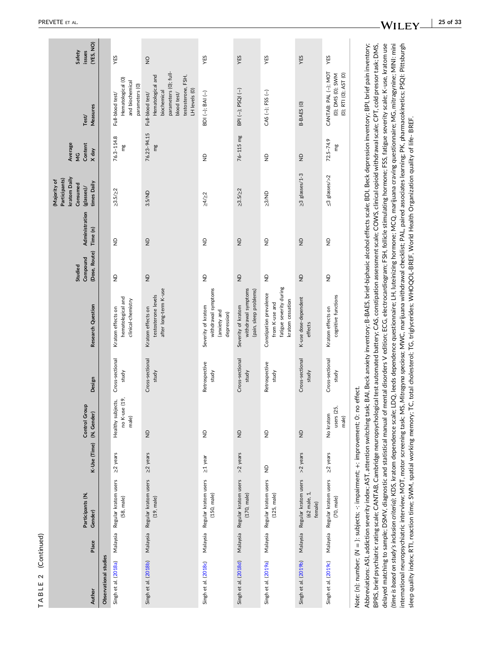| Ξ |   |
|---|---|
|   |   |
|   |   |
|   |   |
|   |   |
|   |   |
|   |   |
|   |   |
|   |   |
|   |   |
| Ľ |   |
|   |   |
|   |   |
|   |   |
|   |   |
|   |   |
|   |   |
| с | ↘ |
|   |   |
|   |   |
|   |   |
|   |   |
|   |   |
|   |   |
|   |   |
|   |   |
| п |   |
|   |   |
|   |   |
| 1 |   |
|   |   |
|   |   |
|   |   |
|   |   |
|   |   |

|                       |          |                                                                        |                         |                                             |                          |                                                                                          | Studied                         |                            | kratom Daily<br>Participants)<br>Majority of<br>Consumed | Average<br>$\frac{c}{2}$ |                                                                                                                                     | Safety              |
|-----------------------|----------|------------------------------------------------------------------------|-------------------------|---------------------------------------------|--------------------------|------------------------------------------------------------------------------------------|---------------------------------|----------------------------|----------------------------------------------------------|--------------------------|-------------------------------------------------------------------------------------------------------------------------------------|---------------------|
| Author                | Place    | Participants (N,<br>Gender)                                            | K-Use (Time)            | <b>Control Group</b><br>(N, Gender)         | Design                   | Research Question                                                                        | (Dose, Route)<br>Compound       | Administration<br>Time (n) | times Daily<br>(glasses)/                                | Content<br>X day         | Measures<br>Test/                                                                                                                   | (YES, NO)<br>issues |
| Observational studies |          |                                                                        |                         |                                             |                          |                                                                                          |                                 |                            |                                                          |                          |                                                                                                                                     |                     |
| Singh et al. (2018a)  |          | Malaysia Regular kratom users<br>(58, male)                            | $\geq$ 2 years          | no K-use (19,<br>Healthy subjects,<br>male) | Cross-sectional<br>study | hematological and<br>clinical-chemistry<br>Kratom effects on                             | $\varrho$                       | $\frac{1}{2}$              | $\geq 3.5 / \geq 2$                                      | 76.3-114.8<br>mg         | Hematological (0)<br>and biochemical<br>parameters (O)<br>Full-blood test/                                                          | YES                 |
| Singh et al. (2018b)  |          | Malaysia Regular kratom users<br>(19, male)                            | ≥2 years                | $\frac{1}{2}$                               | Cross-sectional<br>study | after long-term K-use<br>testosterone levels<br>Kratom effects on                        | $\frac{1}{2}$                   | $\frac{1}{2}$              | 3.5/ND                                                   | 76.23-94.15<br>mg        | parameters (0); full-<br>Hematological and<br>testosterone, FSH,<br>LH levels (O)<br>biochemical<br>Full-blood test/<br>blood test/ | $\frac{1}{2}$       |
| Singh et al. (2018c)  | Malaysia | Regular kratom users<br>(150, male)                                    | $\geq$ 1 year           | $\frac{\Omega}{\Sigma}$                     | Retrospective<br>study   | withdrawal symptoms<br>Severity of kratom<br>(anxiety and<br>depression)                 | $\frac{\mathsf{D}}{\mathsf{D}}$ | $\frac{\Omega}{\Sigma}$    | $\geq 4/2$                                               | $\frac{\Omega}{\Sigma}$  | BDI (-); BAI (-)                                                                                                                    | YES                 |
| Singh et al. (2018d)  |          | Malaysia Regular kratom users<br>(170, male)                           | >2 years                | $\frac{\Omega}{\Sigma}$                     | Cross-sectional<br>study | withdrawal symptoms<br>(pain, sleep problems)<br>Severity of kratom                      | $\frac{\Omega}{\Sigma}$         | $\frac{\Omega}{\Sigma}$    | $\geq 3.5 / \geq 2$                                      | $76 - 115$ mg            | BPI (-); PSQI (-)                                                                                                                   | YES                 |
| Singh et al. (2019a)  | Malaysia | Regular kratom users<br>(125, male)                                    | $\frac{\Omega}{\Sigma}$ | $\frac{\Omega}{\Sigma}$                     | Retrospective<br>study   | fatigue severity during<br>Constipation prevalence<br>kratom cessation<br>from K-use and | $\frac{\Omega}{\Sigma}$         | $\frac{\Omega}{\Sigma}$    | 23/ND                                                    | $\frac{\Omega}{\Sigma}$  | $CAS$ $(-)$ ; FSS $(-)$                                                                                                             | YES                 |
| Singh et al. (2019b)  |          | Malaysia Regular kratom users<br>(62 male, 1,<br>female)               | >2 years                | $\overline{z}$                              | Cross-sectional<br>study | K-use dose-dependent<br>effects                                                          | $\ominus$                       | $\frac{\Omega}{\Sigma}$    | $\geq$ 3 glasses/1-3                                     | $\frac{\Omega}{\Sigma}$  | B-BAES (O)                                                                                                                          | YES                 |
| Singh et al. (2019c)  | Nalaysia | Regular kratom users<br>(70, male)                                     | $\geq$ 2 years          | users (25,<br>No kratom<br>male)            | Cross-sectional<br>study | cognitive functions<br>Kratom effects on                                                 | $\frac{\Omega}{\Sigma}$         | $\frac{1}{2}$              | $\leq$ 3 glasses/>2                                      | $72.5 - 74.9$<br>mg      | CANTAB: PAL (-); MOT<br>(0); DMS (0); SWM<br>(0); RTI (0); AST (0)                                                                  | YES                 |
|                       |          | Note: (n): number; (N = ): subjects; -: impairment; +: improvement; 0: |                         | no effect.                                  |                          |                                                                                          |                                 |                            |                                                          |                          |                                                                                                                                     |                     |

Abbreviations: ASI, addiction severity index: AST, attention switching task; BAI, Beck anxiety inventory; B-BAES, brief-biphasic alcohol effects scale; BDI, Beck depression inventory; BPI, brief pain inventory; delayed matching to sample; DSMV, diagnostic and statistical manual of mental disorders V edition; ECG, electrocardiogram; FSH, follicle stimulating hormone; FSS, fatigue severity scale; K-use, kratom use (time is based on study's inclusion criteria); KDS, kratom dependence scale; LDQ, leeds dependence questionnaire; LH, luteinizing hormone; MCQ, marijuana craving questionnaire; MG, mitragynine; MINI: mini BPRS, brief psychiatric rating scale; CANTAB, Cambridge neuropsychological test automated battery; CAS, constipation assessment scale; COWS, clinical opioid withdrawal scale; CPT, cold pressor task; DMS, international neuropsychiatric interview; MOT, motor screening task; MS, Mitragyna speciosa; MWC, marijuana withdrawal checklist; PAL, paired associates learning; PK, pharmacokinetics; PSQI: Pittsburgh Abbreviations: ASI, addiction severity index; AST, attention switching task; BAI, Beck anxiety inventory; BeAES, brief‐biphasic alcohol effects scale; BDI, Beck depression inventory; BPI, brief pain inventory; BPRS, brief psychiatric rating scale; CANTAB, Cambridge neuropsychological test automated battery; CAS, constipation assessment scale; COWS, clinical opioid withdrawal scale; CPT, cold pressor task; DMS, delayed matching to sample; DSMV, diagnostic and statistical manual of mental disorders V edition; ECG, electrocardiogram; FSH, follicle stimulating hormone; FSS, fatigue severity scale; K‐use, kratom use (time is based on study's inclusion criteria); KDS, kratom dependence scale; LDQ, leeds dependence questionnaire; LH, luteinizing hormone; MCQ, marijuana craving questionnaire; MG, mitragynine; MINI: mini international neuropsychiatric interview; MOT, motor screening task; MS, *Mitragyna speciosa*; MWC, marijuana withdrawal checklist; PAL, paired associates learning; PK, pharmacokinetics; PSQI: Pittsburgh sleep quality index; RTI, reaction time; SWM, spatial working memory; TC, total cholesterol; TG, triglycerides; WHOQOL-BREF, World Health Organization quality of life- BREF. sleep quality index; RTI, reaction time; SWM, spatial working memory; TC, total cholesterol; TG, triglycerides; WHOQOL‐BREF, World Health Organization quality of life‐ BREF.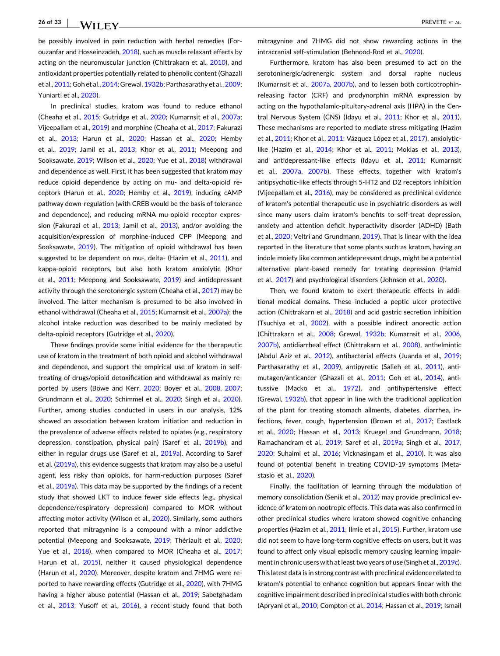be possibly involved in pain reduction with herbal remedies (Forouzanfar and Hosseinzadeh, [2018](#page-27-0)), such as muscle relaxant effects by acting on the neuromuscular junction (Chittrakarn et al., [2010\)](#page-27-0), and antioxidant properties potentially related to phenolic content (Ghazali et al., [2011](#page-28-0); Goh et al., [2014;](#page-28-0) Grewal, [1932b;](#page-28-0) Parthasarathy et al., [2009](#page-30-0); Yuniarti et al., [2020\)](#page-32-0).

In preclinical studies, kratom was found to reduce ethanol (Cheaha et al., [2015](#page-27-0); Gutridge et al., [2020;](#page-28-0) Kumarnsit et al., [2007a](#page-29-0); Vijeepallam et al., [2019](#page-31-0)) and morphine (Cheaha et al., [2017](#page-27-0); Fakurazi et al., [2013](#page-27-0); Harun et al., [2020;](#page-28-0) Hassan et al., [2020;](#page-28-0) Hemby et al., [2019](#page-28-0); Jamil et al., [2013;](#page-28-0) Khor et al., [2011](#page-29-0); Meepong and Sooksawate, [2019](#page-30-0); Wilson et al., [2020;](#page-32-0) Yue et al., [2018\)](#page-32-0) withdrawal and dependence as well. First, it has been suggested that kratom may reduce opioid dependence by acting on mu‐ and delta‐opioid receptors (Harun et al., [2020](#page-28-0); Hemby et al., [2019\)](#page-28-0), inducing cAMP pathway down‐regulation (with CREB would be the basis of tolerance and dependence), and reducing mRNA mu-opioid receptor expres-sion (Fakurazi et al., [2013;](#page-27-0) Jamil et al., [2013\)](#page-28-0), and/or avoiding the acquisition/expression of morphine‐induced CPP (Meepong and Sooksawate, [2019\)](#page-30-0). The mitigation of opioid withdrawal has been suggested to be dependent on mu-, delta- (Hazim et al., [2011](#page-28-0)), and kappa‐opioid receptors, but also both kratom anxiolytic (Khor et al., [2011](#page-29-0); Meepong and Sooksawate, [2019](#page-30-0)) and antidepressant activity through the serotonergic system (Cheaha et al., [2017](#page-27-0)) may be involved. The latter mechanism is presumed to be also involved in ethanol withdrawal (Cheaha et al., [2015](#page-27-0); Kumarnsit et al., [2007a\)](#page-29-0); the alcohol intake reduction was described to be mainly mediated by delta-opioid receptors (Gutridge et al., [2020\)](#page-28-0).

These findings provide some initial evidence for the therapeutic use of kratom in the treatment of both opioid and alcohol withdrawal and dependence, and support the empirical use of kratom in self‐ treating of drugs/opioid detoxification and withdrawal as mainly reported by users (Bowe and Kerr, [2020;](#page-27-0) Boyer et al., [2008,](#page-27-0) [2007](#page-27-0); Grundmann et al., [2020;](#page-28-0) Schimmel et al., [2020](#page-30-0); Singh et al., [2020](#page-31-0)). Further, among studies conducted in users in our analysis, 12% showed an association between kratom initiation and reduction in the prevalence of adverse effects related to opiates (e.g., respiratory depression, constipation, physical pain) (Saref et al., [2019b](#page-30-0)), and either in regular drugs use (Saref et al., [2019a](#page-30-0)). According to Saref et al. ([2019a](#page-30-0)), this evidence suggests that kratom may also be a useful agent, less risky than opioids, for harm‐reduction purposes (Saref et al., [2019a](#page-30-0)). This data may be supported by the findings of a recent study that showed LKT to induce fewer side effects (e.g., physical dependence/respiratory depression) compared to MOR without affecting motor activity (Wilson et al., [2020\)](#page-32-0). Similarly, some authors reported that mitragynine is a compound with a minor addictive potential (Meepong and Sooksawate, [2019;](#page-30-0) Thériault et al., [2020](#page-31-0); Yue et al., [2018](#page-32-0)), when compared to MOR (Cheaha et al., [2017](#page-27-0); Harun et al., [2015](#page-28-0)), neither it caused physiological dependence (Harun et al., [2020](#page-28-0)). Moreover, despite kratom and 7HMG were reported to have rewarding effects (Gutridge et al., [2020](#page-28-0)), with 7HMG having a higher abuse potential (Hassan et al., [2019;](#page-28-0) Sabetghadam et al., [2013](#page-30-0); Yusoff et al., [2016\)](#page-32-0), a recent study found that both

mitragynine and 7HMG did not show rewarding actions in the intracranial self‐stimulation (Behnood‐Rod et al., [2020\)](#page-27-0).

Furthermore, kratom has also been presumed to act on the serotoninergic/adrenergic system and dorsal raphe nucleus (Kumarnsit et al., [2007a](#page-29-0), [2007b](#page-29-0)), and to lessen both corticotrophin‐ releasing factor (CRF) and prodynorphin mRNA expression by acting on the hypothalamic‐pituitary‐adrenal axis (HPA) in the Central Nervous System (CNS) (Idayu et al., [2011;](#page-28-0) Khor et al., [2011\)](#page-29-0). These mechanisms are reported to mediate stress mitigating (Hazim et al., [2011](#page-28-0); Khor et al., [2011;](#page-29-0) Vázquez López et al., [2017\)](#page-31-0), anxiolyticlike (Hazim et al., [2014;](#page-28-0) Khor et al., [2011;](#page-29-0) Moklas et al., [2013\)](#page-30-0), and antidepressant-like effects (Idayu et al., [2011;](#page-28-0) Kumarnsit et al., [2007a,](#page-29-0) [2007b](#page-29-0)). These effects, together with kratom's antipsychotic‐like effects through 5‐HT2 and D2 receptors inhibition (Vijeepallam et al., [2016](#page-31-0)), may be considered as preclinical evidence of kratom's potential therapeutic use in psychiatric disorders as well since many users claim kratom's benefits to self-treat depression, anxiety and attention deficit hyperactivity disorder (ADHD) (Bath et al., [2020;](#page-27-0) Veltri and Grundmann, [2019](#page-31-0)). That is linear with the idea reported in the literature that some plants such as kratom, having an indole moiety like common antidepressant drugs, might be a potential alternative plant‐based remedy for treating depression (Hamid et al., [2017](#page-28-0)) and psychological disorders (Johnson et al., [2020](#page-28-0)).

Then, we found kratom to exert therapeutic effects in additional medical domains. These included a peptic ulcer protective action (Chittrakarn et al., [2018](#page-27-0)) and acid gastric secretion inhibition (Tsuchiya et al., [2002\)](#page-31-0), with a possible indirect anorectic action (Chittrakarn et al., [2008;](#page-27-0) Grewal, [1932b;](#page-28-0) Kumarnsit et al., [2006,](#page-29-0) [2007b\)](#page-29-0), antidiarrheal effect (Chittrakarn et al., [2008](#page-27-0)), anthelmintic (Abdul Aziz et al., [2012](#page-27-0)), antibacterial effects (Juanda et al., [2019;](#page-28-0) Parthasarathy et al., [2009](#page-30-0)), antipyretic (Salleh et al., [2011](#page-30-0)), antimutagen/anticancer (Ghazali et al., [2011](#page-28-0); Goh et al., [2014](#page-28-0)), antitussive (Macko et al., [1972](#page-29-0)), and antihypertensive effect (Grewal, [1932b](#page-28-0)), that appear in line with the traditional application of the plant for treating stomach ailments, diabetes, diarrhea, in-fections, fever, cough, hypertension (Brown et al., [2017;](#page-27-0) Eastlack et al., [2020;](#page-27-0) Hassan et al., [2013;](#page-28-0) Kruegel and Grundmann, [2018;](#page-29-0) Ramachandram et al., [2019](#page-30-0); Saref et al., [2019a;](#page-30-0) Singh et al., [2017,](#page-31-0) [2020](#page-31-0); Suhaimi et al., [2016;](#page-31-0) Vicknasingam et al., [2010\)](#page-31-0). It was also found of potential benefit in treating COVID‐19 symptoms (Metastasio et al., [2020\)](#page-30-0).

Finally, the facilitation of learning through the modulation of memory consolidation (Senik et al., [2012](#page-30-0)) may provide preclinical evidence of kratom on nootropic effects. This data was also confirmed in other preclinical studies where kratom showed cognitive enhancing properties (Hazim et al., [2011](#page-28-0); Ilmie et al., [2015](#page-28-0)). Further, kratom use did not seem to have long‐term cognitive effects on users, but it was found to affect only visual episodic memory causing learning impair-ment in chronic users with at least two years of use (Singh et al., [2019c\)](#page-31-0). This latest data is in strong contrast with preclinical evidence related to kratom's potential to enhance cognition but appears linear with the cognitive impairment described in preclinical studies with both chronic (Apryani et al., [2010;](#page-27-0) Compton et al., [2014](#page-27-0); Hassan et al., [2019](#page-28-0); Ismail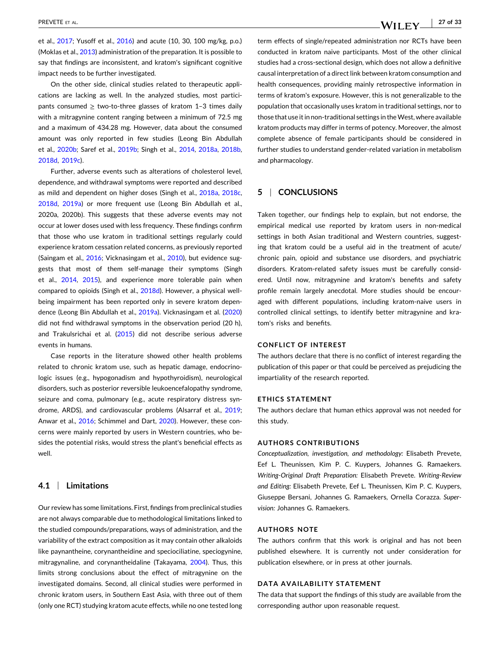et al., [2017](#page-28-0); Yusoff et al., [2016\)](#page-32-0) and acute (10, 30, 100 mg/kg, p.o.) (Moklas et al., [2013](#page-30-0)) administration of the preparation. It is possible to say that findings are inconsistent, and kratom's significant cognitive impact needs to be further investigated.

On the other side, clinical studies related to therapeutic applications are lacking as well. In the analyzed studies, most participants consumed  $\geq$  two-to-three glasses of kratom 1–3 times daily with a mitragynine content ranging between a minimum of 72.5 mg and a maximum of 434.28 mg. However, data about the consumed amount was only reported in few studies (Leong Bin Abdullah et al., [2020b](#page-29-0); Saref et al., [2019b](#page-30-0); Singh et al., [2014,](#page-30-0) [2018a](#page-30-0), [2018b,](#page-31-0) [2018d,](#page-31-0) [2019c\)](#page-31-0).

Further, adverse events such as alterations of cholesterol level, dependence, and withdrawal symptoms were reported and described as mild and dependent on higher doses (Singh et al., [2018a,](#page-30-0) [2018c,](#page-31-0) [2018d,](#page-31-0) [2019a\)](#page-30-0) or more frequent use (Leong Bin Abdullah et al., 2020a, 2020b). This suggests that these adverse events may not occur at lower doses used with less frequency. These findings confirm that those who use kratom in traditional settings regularly could experience kratom cessation related concerns, as previously reported (Saingam et al., [2016](#page-30-0); Vicknasingam et al., [2010\)](#page-31-0), but evidence suggests that most of them self‐manage their symptoms (Singh et al., [2014](#page-30-0), [2015\)](#page-31-0), and experience more tolerable pain when compared to opioids (Singh et al., [2018d](#page-31-0)). However, a physical well‐ being impairment has been reported only in severe kratom dependence (Leong Bin Abdullah et al., [2019a\)](#page-29-0). Vicknasingam et al. ([2020](#page-31-0)) did not find withdrawal symptoms in the observation period (20 h), and Trakulsrichai et al. ([2015](#page-31-0)) did not describe serious adverse events in humans.

Case reports in the literature showed other health problems related to chronic kratom use, such as hepatic damage, endocrinologic issues (e.g., hypogonadism and hypothyroidism), neurological disorders, such as posterior reversible leukoencefalopathy syndrome, seizure and coma, pulmonary (e.g., acute respiratory distress syndrome, ARDS), and cardiovascular problems (Alsarraf et al., [2019](#page-27-0); Anwar et al., [2016](#page-27-0); Schimmel and Dart, [2020\)](#page-30-0). However, these concerns were mainly reported by users in Western countries, who besides the potential risks, would stress the plant's beneficial effects as well.

# **4.1** <sup>|</sup> **Limitations**

Our review has some limitations. First, findings from preclinical studies are not always comparable due to methodological limitations linked to the studied compounds/preparations, ways of administration, and the variability of the extract composition as it may contain other alkaloids like paynantheine, corynantheidine and speciociliatine, speciogynine, mitragynaline, and corynantheidaline (Takayama, [2004](#page-31-0)). Thus, this limits strong conclusions about the effect of mitragynine on the investigated domains. Second, all clinical studies were performed in chronic kratom users, in Southern East Asia, with three out of them (only one RCT) studying kratom acute effects, while no one tested long

term effects of single/repeated administration nor RCTs have been conducted in kratom naive participants. Most of the other clinical studies had a cross‐sectional design, which does not allow a definitive causal interpretation of a direct link between kratom consumption and health consequences, providing mainly retrospective information in terms of kratom's exposure. However, this is not generalizable to the population that occasionally uses kratom in traditional settings, nor to those that use it in non-traditional settings in the West, where available kratom products may differ in terms of potency. Moreover, the almost complete absence of female participants should be considered in further studies to understand gender‐related variation in metabolism and pharmacology.

# **5** <sup>|</sup> **CONCLUSIONS**

Taken together, our findings help to explain, but not endorse, the empirical medical use reported by kratom users in non-medical settings in both Asian traditional and Western countries, suggesting that kratom could be a useful aid in the treatment of acute/ chronic pain, opioid and substance use disorders, and psychiatric disorders. Kratom-related safety issues must be carefully considered. Until now, mitragynine and kratom's benefits and safety profile remain largely anecdotal. More studies should be encouraged with different populations, including kratom-naive users in controlled clinical settings, to identify better mitragynine and kratom's risks and benefits.

## **CONFLICT OF INTEREST**

The authors declare that there is no conflict of interest regarding the publication of this paper or that could be perceived as prejudicing the impartiality of the research reported.

### **ETHICS STATEMENT**

The authors declare that human ethics approval was not needed for this study.

#### **AUTHORS CONTRIBUTIONS**

*Conceptualization, investigation, and methodology:* Elisabeth Prevete, Eef L. Theunissen, Kim P. C. Kuypers, Johannes G. Ramaekers. *Writing‐Original Draft Preparation:* Elisabeth Prevete. *Writing‐Review and Editing:* Elisabeth Prevete, Eef L. Theunissen, Kim P. C. Kuypers, Giuseppe Bersani, Johannes G. Ramaekers, Ornella Corazza. *Supervision:* Johannes G. Ramaekers.

## **AUTHORS NOTE**

The authors confirm that this work is original and has not been published elsewhere. It is currently not under consideration for publication elsewhere, or in press at other journals.

## **DATA AVAILABILITY STATEMENT**

The data that support the findings of this study are available from the corresponding author upon reasonable request.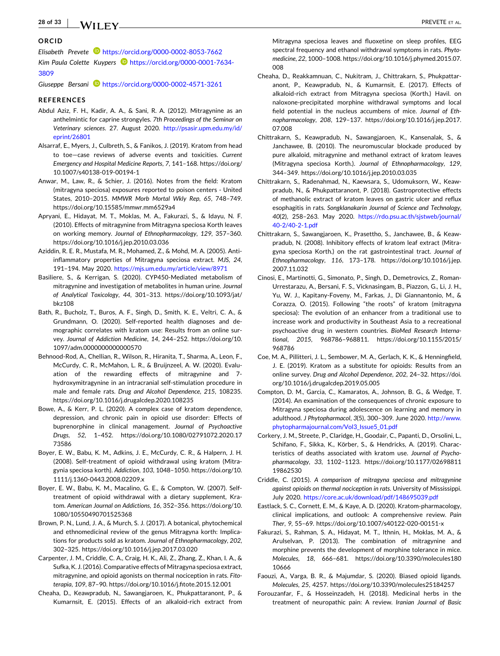## <span id="page-27-0"></span>**ORCID**

*Elisabeth Prevete* <https://orcid.org/0000-0002-8053-7662>

Kim Paula Colette Kuypers **b** [https://orcid.org/0000-0001-7634-](https://orcid.org/0000-0001-7634-3809) [3809](https://orcid.org/0000-0001-7634-3809)

*Giuseppe Bersani* <https://orcid.org/0000-0002-4571-3261>

#### **REFERENCES**

- Abdul Aziz, F. H., Kadir, A. A., & Sani, R. A. (2012). Mitragynine as an anthelmintic for caprine strongyles. *7th Proceedings of the Seminar on Veterinary sciences*. 27. August 2020. [http://psasir.upm.edu.my/id/](http://psasir.upm.edu.my/id/eprint/26801) [eprint/26801](http://psasir.upm.edu.my/id/eprint/26801)
- Alsarraf, E., Myers, J., Culbreth, S., & Fanikos, J. (2019). Kratom from head to toe—case reviews of adverse events and toxicities. *Current Emergency and Hospital Medicine Reports*, *7*, 141–168. [https://doi.org/](https://doi.org/10.1007/s40138-019-00194-1) [10.1007/s40138](https://doi.org/10.1007/s40138-019-00194-1)‐019‐00194‐1
- Anwar, M., Law, R., & Schier, J. (2016). Notes from the field: Kratom (mitragyna speciosa) exposures reported to poison centers ‐ United States, 2010–2015. *MMWR Morb Mortal Wkly Rep*, *65*, 748–749. <https://doi.org/10.15585/mmwr.mm6529a4>
- Apryani, E., Hidayat, M. T., Moklas, M. A., Fakurazi, S., & Idayu, N. F. (2010). Effects of mitragynine from Mitragyna speciosa Korth leaves on working memory. *Journal of Ethnopharmacology*, *129*, 357–360. <https://doi.org/10.1016/j.jep.2010.03.036>
- Aziddin, R. E. R., Mustafa, M. R., Mohamed, Z., & Mohd, M. A. (2005). Anti‐ inflammatory properties of Mitragyna speciosa extract. *MJS*, *24*, 191–194. May 2020. <https://mjs.um.edu.my/article/view/8971>
- Basiliere, S., & Kerrigan, S. (2020). CYP450‐Mediated metabolism of mitragynine and investigation of metabolites in human urine. *Journal of Analytical Toxicology*, *44*, 301–313. [https://doi.org/10.1093/jat/](https://doi.org/10.1093/jat/bkz108) [bkz108](https://doi.org/10.1093/jat/bkz108)
- Bath, R., Bucholz, T., Buros, A. F., Singh, D., Smith, K. E., Veltri, C. A., & Grundmann, O. (2020). Self‐reported health diagnoses and demographic correlates with kratom use: Results from an online survey. *Journal of Addiction Medicine*, *14*, 244–252. [https://doi.org/10.](https://doi.org/10.1097/adm.0000000000000570) [1097/adm.0000000000000570](https://doi.org/10.1097/adm.0000000000000570)
- Behnood‐Rod, A., Chellian, R., Wilson, R., Hiranita, T., Sharma, A., Leon, F., McCurdy, C. R., McMahon, L. R., & Bruijnzeel, A. W. (2020). Evaluation of the rewarding effects of mitragynine and 7‐ hydroxymitragynine in an intracranial self‐stimulation procedure in male and female rats. *Drug and Alcohol Dependence*, *215*, 108235. <https://doi.org/10.1016/j.drugalcdep.2020.108235>
- Bowe, A., & Kerr, P. L. (2020). A complex case of kratom dependence, depression, and chronic pain in opioid use disorder: Effects of buprenorphine in clinical management. *Journal of Psychoactive Drugs*, *52*, 1–452. [https://doi.org/10.1080/02791072.2020.17](https://doi.org/10.1080/02791072.2020.1773586) [73586](https://doi.org/10.1080/02791072.2020.1773586)
- Boyer, E. W., Babu, K. M., Adkins, J. E., McCurdy, C. R., & Halpern, J. H. (2008). Self‐treatment of opioid withdrawal using kratom (Mitragynia speciosa korth). *Addiction*, *103*, 1048–1050. [https://doi.org/10.](https://doi.org/10.1111/j.1360-0443.2008.02209.x) 1111/j.1360‐[0443.2008.02209.x](https://doi.org/10.1111/j.1360-0443.2008.02209.x)
- Boyer, E. W., Babu, K. M., Macalino, G. E., & Compton, W. (2007). Self‐ treatment of opioid withdrawal with a dietary supplement, Kratom. *American Journal on Addictions*, *16*, 352–356. [https://doi.org/10.](https://doi.org/10.1080/10550490701525368) [1080/10550490701525368](https://doi.org/10.1080/10550490701525368)
- Brown, P. N., Lund, J. A., & Murch, S. J. (2017). A botanical, phytochemical and ethnomedicinal review of the genus Mitragyna korth: Implications for products sold as kratom. *Journal of Ethnopharmacology*, *202*, 302–325. <https://doi.org/10.1016/j.jep.2017.03.020>
- Carpenter, J. M., Criddle, C. A., Craig, H. K., Ali, Z., Zhang, Z., Khan, I. A., & Sufka, K. J. (2016).Comparative effects of Mitragyna speciosa extract, mitragynine, and opioid agonists on thermal nociception in rats. *Fitoterapia*, *109*, 87–90. <https://doi.org/10.1016/j.fitote.2015.12.001>
- Cheaha, D., Keawpradub, N., Sawangjaroen, K., Phukpattaranont, P., & Kumarnsit, E. (2015). Effects of an alkaloid‐rich extract from

Mitragyna speciosa leaves and fluoxetine on sleep profiles, EEG spectral frequency and ethanol withdrawal symptoms in rats. *Phytomedicine*, *22*, 1000–1008. [https://doi.org/10.1016/j.phymed.2015.07.](https://doi.org/10.1016/j.phymed.2015.07.008) [008](https://doi.org/10.1016/j.phymed.2015.07.008)

- Cheaha, D., Reakkamnuan, C., Nukitram, J., Chittrakarn, S., Phukpattaranont, P., Keawpradub, N., & Kumarnsit, E. (2017). Effects of alkaloid‐rich extract from Mitragyna speciosa (Korth.) Havil. on naloxone‐precipitated morphine withdrawal symptoms and local field potential in the nucleus accumbens of mice. *Journal of Ethnopharmacology*, *208*, 129–137. [https://doi.org/10.1016/j.jep.2017.](https://doi.org/10.1016/j.jep.2017.07.008) [07.008](https://doi.org/10.1016/j.jep.2017.07.008)
- Chittrakarn, S., Keawpradub, N., Sawangjaroen, K., Kansenalak, S., & Janchawee, B. (2010). The neuromuscular blockade produced by pure alkaloid, mitragynine and methanol extract of kratom leaves (Mitragyna speciosa Korth.). *Journal of Ethnopharmacology*, *129*, 344–349. <https://doi.org/10.1016/j.jep.2010.03.035>
- Chittrakarn, S., Radenahmad, N., Kaewsara, S., Udomuksorn, W., Keawpradub, N., & Phukpattaranont, P. (2018). Gastroprotective effects of methanolic extract of kratom leaves on gastric ulcer and reflux esophagitis in rats. *Songklanakarin Journal of Science and Technology*, *40*(2), 258–263. May 2020. [https://rdo.psu.ac.th/sjstweb/journal/](https://rdo.psu.ac.th/sjstweb/journal/40-2/40-2%2D1.pdf) 40‐2/40‐2‐[1.pdf](https://rdo.psu.ac.th/sjstweb/journal/40-2/40-2%2D1.pdf)
- Chittrakarn, S., Sawangjaroen, K., Prasettho, S., Janchawee, B., & Keawpradub, N. (2008). Inhibitory effects of kratom leaf extract (Mitragyna speciosa Korth.) on the rat gastrointestinal tract. *Journal of Ethnopharmacology*, *116*, 173–178. [https://doi.org/10.1016/j.jep.](https://doi.org/10.1016/j.jep.2007.11.032) [2007.11.032](https://doi.org/10.1016/j.jep.2007.11.032)
- Cinosi, E., Martinotti, G., Simonato, P., Singh, D., Demetrovics, Z., Roman‐ Urrestarazu, A., Bersani, F. S., Vicknasingam, B., Piazzon, G., Li, J. H., Yu, W. J., Kapitany‐Foveny, M., Farkas, J., Di Giannantonio, M., & Corazza, O. (2015). Following "the roots" of kratom (mitragyna speciosa): The evolution of an enhancer from a traditional use to increase work and productivity in Southeast Asia to a recreational psychoactive drug in western countries. *BioMed Research International*, *2015*, 968786–968811. [https://doi.org/10.1155/2015/](https://doi.org/10.1155/2015/968786) [968786](https://doi.org/10.1155/2015/968786)
- Coe, M. A., Pillitteri, J. L., Sembower, M. A., Gerlach, K. K., & Henningfield, J. E. (2019). Kratom as a substitute for opioids: Results from an online survey. *Drug and Alcohol Dependence*, *202*, 24–32. [https://doi.](https://doi.org/10.1016/j.drugalcdep.2019.05.005) [org/10.1016/j.drugalcdep.2019.05.005](https://doi.org/10.1016/j.drugalcdep.2019.05.005)
- Compton, D. M., Garcia, C., Kamaratos, A., Johnson, B. G., & Wedge, T. (2014). An examination of the consequences of chronic exposure to Mitragyna speciosa during adolescence on learning and memory in adulthood. *J Phytopharmacol*, *3*(5), 300–309. June 2020. [http://www.](http://www.phytopharmajournal.com/Vol3%5FIssue5%5F01.pdf) [phytopharmajournal.com/Vol3\\_Issue5\\_01.pdf](http://www.phytopharmajournal.com/Vol3%5FIssue5%5F01.pdf)
- Corkery, J. M., Streete, P., Claridge, H., Goodair, C., Papanti, D., Orsolini, L., Schifano, F., Sikka, K., Körber, S., & Hendricks, A. (2019). Characteristics of deaths associated with kratom use. *Journal of Psychopharmacology*, *33*, 1102–1123. [https://doi.org/10.1177/02698811](https://doi.org/10.1177/0269881119862530) [19862530](https://doi.org/10.1177/0269881119862530)
- Criddle, C. (2015). *A comparison of mitragyna speciosa and mitragynine against opioids on thermal nociception in rats*. University of Mississippi. July 2020. <https://core.ac.uk/download/pdf/148695039.pdf>
- Eastlack, S. C., Cornett, E. M., & Kaye, A. D. (2020). Kratom‐pharmacology, clinical implications, and outlook: A comprehensive review. *Pain Ther*, *9*, 55–69. [https://doi.org/10.1007/s40122](https://doi.org/10.1007/s40122-020-00151%2Dx)‐020‐00151‐x
- Fakurazi, S., Rahman, S. A., Hidayat, M. T., Ithnin, H., Moklas, M. A., & Arulselvan, P. (2013). The combination of mitragynine and morphine prevents the development of morphine tolerance in mice. *Molecules*, *18*, 666–681. [https://doi.org/10.3390/molecules180](https://doi.org/10.3390/molecules18010666) [10666](https://doi.org/10.3390/molecules18010666)
- Faouzi, A., Varga, B. R., & Majumdar, S. (2020). Biased opioid ligands. *Molecules*, *25*, 4257. <https://doi.org/10.3390/molecules25184257>
- Forouzanfar, F., & Hosseinzadeh, H. (2018). Medicinal herbs in the treatment of neuropathic pain: A review. *Iranian Journal of Basic*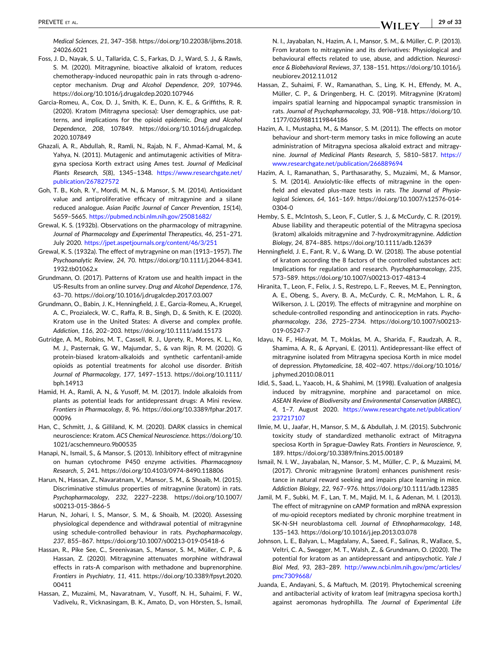<span id="page-28-0"></span>*Medical Sciences*, *21*, 347–358. [https://doi.org/10.22038/ijbms.2018.](https://doi.org/10.22038/ijbms.2018.24026.6021) [24026.6021](https://doi.org/10.22038/ijbms.2018.24026.6021)

- Foss, J. D., Nayak, S. U., Tallarida, C. S., Farkas, D. J., Ward, S. J., & Rawls, S. M. (2020). Mitragynine, bioactive alkaloid of kratom, reduces chemotherapy‐induced neuropathic pain in rats through α‐adrenoceptor mechanism. *Drug and Alcohol Dependence*, *209*, 107946. <https://doi.org/10.1016/j.drugalcdep.2020.107946>
- Garcia‐Romeu, A., Cox, D. J., Smith, K. E., Dunn, K. E., & Griffiths, R. R. (2020). Kratom (Mitragyna speciosa): User demographics, use patterns, and implications for the opioid epidemic. *Drug and Alcohol Dependence*, *208*, 107849. [https://doi.org/10.1016/j.drugalcdep.](https://doi.org/10.1016/j.drugalcdep.2020.107849) [2020.107849](https://doi.org/10.1016/j.drugalcdep.2020.107849)
- Ghazali, A. R., Abdullah, R., Ramli, N., Rajab, N. F., Ahmad‐Kamal, M., & Yahya, N. (2011). Mutagenic and antimutagenic activities of Mitragyna speciosa Korth extract using Ames test. *Journal of Medicinal Plants Research*, *5*(8), 1345–1348. [https://www.researchgate.net/](https://www.researchgate.net/publication/267827572) [publication/267827572](https://www.researchgate.net/publication/267827572)
- Goh, T. B., Koh, R. Y., Mordi, M. N., & Mansor, S. M. (2014). Antioxidant value and antiproliferative efficacy of mitragynine and a silane reduced analogue. *Asian Pacific Journal of Cancer Prevention*, *15*(14), 5659–5665. <https://pubmed.ncbi.nlm.nih.gov/25081682/>
- Grewal, K. S. (1932b). Observations on the pharmacology of mitragynine. *Journal of Pharmacology and Experimental Therapeutics*, *46*, 251–271. July 2020. <https://jpet.aspetjournals.org/content/46/3/251>
- Grewal, K. S. (1932a). The effect of mytragynine on man (1913–1957). *The Psychoanalytic Review*, *24*, 70. [https://doi.org/10.1111/j.2044](https://doi.org/10.1111/j.2044-8341.1932.tb01062.x)‐8341. [1932.tb01062.x](https://doi.org/10.1111/j.2044-8341.1932.tb01062.x)
- Grundmann, O. (2017). Patterns of Kratom use and health impact in the US‐Results from an online survey. *Drug and Alcohol Dependence*, *176*, 63–70. <https://doi.org/10.1016/j.drugalcdep.2017.03.007>
- Grundmann, O., Babin, J. K., Henningfield, J. E., Garcia‐Romeu, A., Kruegel, A. C., Prozialeck, W. C., Raffa, R. B., Singh, D., & Smith, K. E. (2020). Kratom use in the United States: A diverse and complex profile. *Addiction*, *116*, 202–203. <https://doi.org/10.1111/add.15173>
- Gutridge, A. M., Robins, M. T., Cassell, R. J., Uprety, R., Mores, K. L., Ko, M. J., Pasternak, G. W., Majumdar, S., & van Rijn, R. M. (2020). G protein‐biased kratom‐alkaloids and synthetic carfentanil‐amide opioids as potential treatments for alcohol use disorder. *British Journal of Pharmacology*, *177*, 1497–1513. [https://doi.org/10.1111/](https://doi.org/10.1111/bph.14913) [bph.14913](https://doi.org/10.1111/bph.14913)
- Hamid, H. A., Ramli, A. N., & Yusoff, M. M. (2017). Indole alkaloids from plants as potential leads for antidepressant drugs: A Mini review. *Frontiers in Pharmacology*, *8*, 96. [https://doi.org/10.3389/fphar.2017.](https://doi.org/10.3389/fphar.2017.00096) [00096](https://doi.org/10.3389/fphar.2017.00096)
- Han, C., Schmitt, J., & Gilliland, K. M. (2020). DARK classics in chemical neuroscience: Kratom. *ACS Chemical Neuroscience*. [https://doi.org/10.](https://doi.org/10.1021/acschemneuro.9b00535) [1021/acschemneuro.9b00535](https://doi.org/10.1021/acschemneuro.9b00535)
- Hanapi, N., Ismail, S., & Mansor, S. (2013). Inhibitory effect of mitragynine on human cytochrome P450 enzyme activities. *Pharmacognosy Research*, *5*, 241. [https://doi.org/10.4103/0974](https://doi.org/10.4103/0974-8490.118806)‐8490.118806
- Harun, N., Hassan, Z., Navaratnam, V., Mansor, S. M., & Shoaib, M. (2015). Discriminative stimulus properties of mitragynine (kratom) in rats. *Psychopharmacology*, *232*, 2227–2238. [https://doi.org/10.1007/](https://doi.org/10.1007/s00213-015-3866-5) [s00213](https://doi.org/10.1007/s00213-015-3866-5)‐015‐3866‐5
- Harun, N., Johari, I. S., Mansor, S. M., & Shoaib, M. (2020). Assessing physiological dependence and withdrawal potential of mitragynine using schedule‐controlled behaviour in rats. *Psychopharmacology*, *237*, 855–867. [https://doi.org/10.1007/s00213](https://doi.org/10.1007/s00213-019-05418-6)‐019‐05418‐6
- Hassan, R., Pike See, C., Sreenivasan, S., Mansor, S. M., Müller, C. P., & Hassan, Z. (2020). Mitragynine attenuates morphine withdrawal effects in rats‐A comparison with methadone and buprenorphine. *Frontiers in Psychiatry*, *11*, 411. [https://doi.org/10.3389/fpsyt.2020.](https://doi.org/10.3389/fpsyt.2020.00411) [00411](https://doi.org/10.3389/fpsyt.2020.00411)
- Hassan, Z., Muzaimi, M., Navaratnam, V., Yusoff, N. H., Suhaimi, F. W., Vadivelu, R., Vicknasingam, B. K., Amato, D., von Hörsten, S., Ismail,

N. I., Jayabalan, N., Hazim, A. I., Mansor, S. M., & Müller, C. P. (2013). From kratom to mitragynine and its derivatives: Physiological and behavioural effects related to use, abuse, and addiction. *Neuroscience & Biobehavioral Reviews*, *37*, 138–151. [https://doi.org/10.1016/j.](https://doi.org/10.1016/j.neubiorev.2012.11.012) [neubiorev.2012.11.012](https://doi.org/10.1016/j.neubiorev.2012.11.012)

- Hassan, Z., Suhaimi, F. W., Ramanathan, S., Ling, K. H., Effendy, M. A., Müller, C. P., & Dringenberg, H. C. (2019). Mitragynine (Kratom) impairs spatial learning and hippocampal synaptic transmission in rats. *Journal of Psychopharmacology*, *33*, 908–918. [https://doi.org/10.](https://doi.org/10.1177/0269881119844186) [1177/0269881119844186](https://doi.org/10.1177/0269881119844186)
- Hazim, A. I., Mustapha, M., & Mansor, S. M. (2011). The effects on motor behaviour and short‐term memory tasks in mice following an acute administration of Mitragyna speciosa alkaloid extract and mitragynine. *Journal of Medicinal Plants Research*, *5*, 5810–5817. [https://](https://www.researchgate.net/publication/266889694) [www.researchgate.net/publication/266889694](https://www.researchgate.net/publication/266889694)
- Hazim, A. I., Ramanathan, S., Parthasarathy, S., Muzaimi, M., & Mansor, S. M. (2014). Anxiolytic-like effects of mitragynine in the openfield and elevated plus‐maze tests in rats. *The Journal of Physiological Sciences*, *64*, 161–169. [https://doi.org/10.1007/s12576](https://doi.org/10.1007/s12576-014-0304-0)‐014‐ [0304](https://doi.org/10.1007/s12576-014-0304-0)‐0
- Hemby, S. E., McIntosh, S., Leon, F., Cutler, S. J., & McCurdy, C. R. (2019). Abuse liability and therapeutic potential of the Mitragyna speciosa (kratom) alkaloids mitragynine and 7‐hydroxymitragynine. *Addiction Biology*, *24*, 874–885. <https://doi.org/10.1111/adb.12639>
- Henningfield, J. E., Fant, R. V., & Wang, D. W. (2018). The abuse potential of kratom according the 8 factors of the controlled substances act: Implications for regulation and research. *Psychopharmacology*, *235*, 573–589. [https://doi.org/10.1007/s00213](https://doi.org/10.1007/s00213-017-4813-4)‐017‐4813‐4
- Hiranita, T., Leon, F., Felix, J. S., Restrepo, L. F., Reeves, M. E., Pennington, A. E., Obeng, S., Avery, B. A., McCurdy, C. R., McMahon, L. R., & Wilkerson, J. L. (2019). The effects of mitragynine and morphine on schedule‐controlled responding and antinociception in rats. *Psychopharmacology*, *236*, 2725–2734. [https://doi.org/10.1007/s00213](https://doi.org/10.1007/s00213-019-05247-7)‐ 019‐[05247](https://doi.org/10.1007/s00213-019-05247-7)‐7
- Idayu, N. F., Hidayat, M. T., Moklas, M. A., Sharida, F., Raudzah, A. R., Shamima, A. R., & Apryani, E. (2011). Antidepressant‐like effect of mitragynine isolated from Mitragyna speciosa Korth in mice model of depression. *Phytomedicine*, *18*, 402–407. [https://doi.org/10.1016/](https://doi.org/10.1016/j.phymed.2010.08.011) [j.phymed.2010.08.011](https://doi.org/10.1016/j.phymed.2010.08.011)
- Idid, S., Saad, L., Yaacob, H., & Shahimi, M. (1998). Evaluation of analgesia induced by mitragynine, morphine and paracetamol on mice. *ASEAN Review of Biodiversity and Environmental Conservation (ARBEC)*, *4*, 1–7. August 2020. [https://www.researchgate.net/publication/](https://www.researchgate.net/publication/237217107) [237217107](https://www.researchgate.net/publication/237217107)
- Ilmie, M. U., Jaafar, H., Mansor, S. M., & Abdullah, J. M. (2015). Subchronic toxicity study of standardized methanolic extract of Mitragyna speciosa Korth in Sprague‐Dawley Rats. *Frontiers in Neuroscience*, *9*, 189. <https://doi.org/10.3389/fnins.2015.00189>
- Ismail, N. I. W., Jayabalan, N., Mansor, S. M., Müller, C. P., & Muzaimi, M. (2017). Chronic mitragynine (kratom) enhances punishment resistance in natural reward seeking and impairs place learning in mice. *Addiction Biology*, *22*, 967–976. <https://doi.org/10.1111/adb.12385>
- Jamil, M. F., Subki, M. F., Lan, T. M., Majid, M. I., & Adenan, M. I. (2013). The effect of mitragynine on cAMP formation and mRNA expression of mu‐opioid receptors mediated by chronic morphine treatment in SK‐N‐SH neuroblastoma cell. *Journal of Ethnopharmacology*, *148*, 135–143. <https://doi.org/10.1016/j.jep.2013.03.078>
- Johnson, L. E., Balyan, L., Magdalany, A., Saeed, F., Salinas, R., Wallace, S., Veltri, C. A., Swogger, M. T., Walsh, Z., & Grundmann, O. (2020). The potential for kratom as an antidepressant and antipsychotic. *Yale J Biol Med*, *93*, 283–289. [http://www.ncbi.nlm.nih.gov/pmc/articles/](http://www.ncbi.nlm.nih.gov/pmc/articles/pmc7309668/) [pmc7309668/](http://www.ncbi.nlm.nih.gov/pmc/articles/pmc7309668/)
- Juanda, E., Andayani, S., & Maftuch, M. (2019). Phytochemical screening and antibacterial activity of kratom leaf (mitragyna speciosa korth.) against aeromonas hydrophilla. *The Journal of Experimental Life*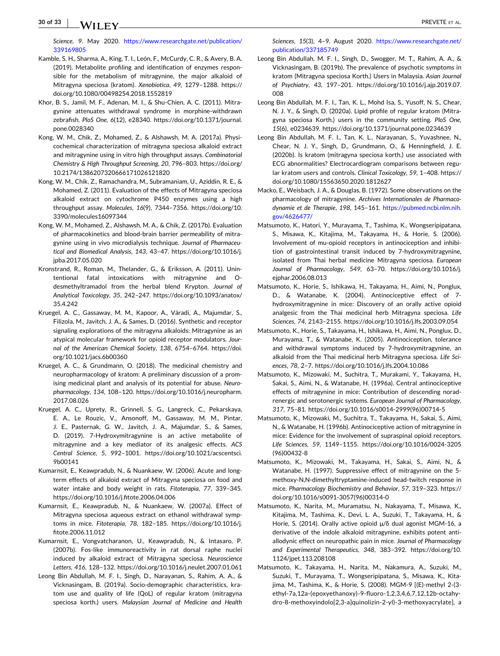- <span id="page-29-0"></span>Kamble, S. H., Sharma, A., King, T. I., León, F., McCurdy, C. R., & Avery, B. A. (2019). Metabolite profiling and identification of enzymes responsible for the metabolism of mitragynine, the major alkaloid of Mitragyna speciosa (kratom). *Xenobiotica*, *49*, 1279–1288. [https://](https://doi.org/10.1080/00498254.2018.1552819) [doi.org/10.1080/00498254.2018.1552819](https://doi.org/10.1080/00498254.2018.1552819)
- Khor, B. S., Jamil, M. F., Adenan, M. I., & Shu‐Chien, A. C. (2011). Mitragynine attenuates withdrawal syndrome in morphine‐withdrawn zebrafish. *PloS One*, *6*(12), e28340. [https://doi.org/10.1371/journal.](https://doi.org/10.1371/journal.pone.0028340) [pone.0028340](https://doi.org/10.1371/journal.pone.0028340)
- Kong, W. M., Chik, Z., Mohamed, Z., & Alshawsh, M. A. (2017a). Physicochemical characterization of mitragyna speciosa alkaloid extract and mitragynine using in vitro high throughput assays. *Combinatorial Chemistry & High Throughput Screening*, *20*, 796–803. [https://doi.org/](https://doi.org/10.2174/1386207320666171026121820) [10.2174/1386207320666171026121820](https://doi.org/10.2174/1386207320666171026121820)
- Kong, W. M., Chik, Z., Ramachandra, M., Subramaniam, U., Aziddin, R. E., & Mohamed, Z. (2011). Evaluation of the effects of Mitragyna speciosa alkaloid extract on cytochrome P450 enzymes using a high throughput assay. *Molecules*, *16*(9), 7344–7356. [https://doi.org/10.](https://doi.org/10.3390/molecules16097344) [3390/molecules16097344](https://doi.org/10.3390/molecules16097344)
- Kong, W. M., Mohamed, Z., Alshawsh, M. A., & Chik, Z. (2017b). Evaluation of pharmacokinetics and blood‐brain barrier permeability of mitragynine using in vivo microdialysis technique. *Journal of Pharmaceutical and Biomedical Analysis*, *143*, 43–47. [https://doi.org/10.1016/j.](https://doi.org/10.1016/j.jpba.2017.05.020) [jpba.2017.05.020](https://doi.org/10.1016/j.jpba.2017.05.020)
- Kronstrand, R., Roman, M., Thelander, G., & Eriksson, A. (2011). Unintentional fatal intoxications with mitragynine and O‐ desmethyltramadol from the herbal blend Krypton. *Journal of Analytical Toxicology*, *35*, 242–247. [https://doi.org/10.1093/anatox/](https://doi.org/10.1093/anatox/35.4.242) [35.4.242](https://doi.org/10.1093/anatox/35.4.242)
- Kruegel, A. C., Gassaway, M. M., Kapoor, A., Váradi, A., Majumdar, S., Filizola, M., Javitch, J. A., & Sames, D. (2016). Synthetic and receptor signaling explorations of the mitragyna alkaloids: Mitragynine as an atypical molecular framework for opioid receptor modulators. *Journal of the American Chemical Society*, *138*, 6754–6764. [https://doi.](https://doi.org/10.1021/jacs.6b00360) [org/10.1021/jacs.6b00360](https://doi.org/10.1021/jacs.6b00360)
- Kruegel, A. C., & Grundmann, O. (2018). The medicinal chemistry and neuropharmacology of kratom: A preliminary discussion of a promising medicinal plant and analysis of its potential for abuse. *Neuropharmacology*, *134*, 108–120. [https://doi.org/10.1016/j.neuropharm.](https://doi.org/10.1016/j.neuropharm.2017.08.026) [2017.08.026](https://doi.org/10.1016/j.neuropharm.2017.08.026)
- Kruegel, A. C., Uprety, R., Grinnell, S. G., Langreck, C., Pekarskaya, E. A., Le Rouzic, V., Ansonoff, M., Gassaway, M. M., Pintar, J. E., Pasternak, G. W., Javitch, J. A., Majumdar, S., & Sames, D. (2019). 7‐Hydroxymitragynine is an active metabolite of mitragynine and a key mediator of its analgesic effects. *ACS Central Science*, *5*, 992–1001. [https://doi.org/10.1021/acscentsci.](https://doi.org/10.1021/acscentsci.9b00141) [9b00141](https://doi.org/10.1021/acscentsci.9b00141)
- Kumarnsit, E., Keawpradub, N., & Nuankaew, W. (2006). Acute and long‐ term effects of alkaloid extract of Mitragyna speciosa on food and water intake and body weight in rats. *Fitoterapia*, *77*, 339–345. <https://doi.org/10.1016/j.fitote.2006.04.006>
- Kumarnsit, E., Keawpradub, N., & Nuankaew, W. (2007a). Effect of Mitragyna speciosa aqueous extract on ethanol withdrawal symptoms in mice. *Fitoterapia*, *78*, 182–185. [https://doi.org/10.1016/j.](https://doi.org/10.1016/j.fitote.2006.11.012) [fitote.2006.11.012](https://doi.org/10.1016/j.fitote.2006.11.012)
- Kumarnsit, E., Vongvatcharanon, U., Keawpradub, N., & Intasaro, P. (2007b). Fos‐like immunoreactivity in rat dorsal raphe nuclei induced by alkaloid extract of Mitragyna speciosa. *Neuroscience Letters*, *416*, 128–132. <https://doi.org/10.1016/j.neulet.2007.01.061>
- Leong Bin Abdullah, M. F. I., Singh, D., Narayanan, S., Rahim, A. A., & Vicknasingam, B. (2019a). Socio‐demographic characteristics, kratom use and quality of life (QoL) of regular kratom (mitragyna speciosa korth.) users. *Malaysian Journal of Medicine and Health*

*Sciences*, *15*(3), 4–9. August 2020. [https://www.researchgate.net/](https://www.researchgate.net/publication/337185749) [publication/337185749](https://www.researchgate.net/publication/337185749)

- Leong Bin Abdullah, M. F. I., Singh, D., Swogger, M. T., Rahim, A. A., & Vicknasingam, B. (2019b). The prevalence of psychotic symptoms in kratom (Mitragyna speciosa Korth.) Users in Malaysia. *Asian Journal of Psychiatry*, *43*, 197–201. [https://doi.org/10.1016/j.ajp.2019.07.](https://doi.org/10.1016/j.ajp.2019.07.008) [008](https://doi.org/10.1016/j.ajp.2019.07.008)
- Leong Bin Abdullah, M. F. I., Tan, K. L., Mohd Isa, S., Yusoff, N. S., Chear, N. J. Y., & Singh, D. (2020a). Lipid profile of regular kratom (Mitragyna speciosa Korth.) users in the community setting. *PloS One*, *15*(6), e0234639. <https://doi.org/10.1371/journal.pone.0234639>
- Leong Bin Abdullah, M. F. I., Tan, K. L., Narayanan, S., Yuvashnee, N., Chear, N. J. Y., Singh, D., Grundmann, O., & Henningfield, J. E. (2020b). Is kratom (mitragyna speciosa korth.) use associated with ECG abnormalities? Electrocardiogram comparisons between regular kratom users and controls. *Clinical Toxicology*, *59*, 1–408. [https://](https://doi.org/10.1080/15563650.2020.1812627) [doi.org/10.1080/15563650.2020.1812627](https://doi.org/10.1080/15563650.2020.1812627)
- Macko, E., Weisbach, J. A., & Douglas, B. (1972). Some observations on the pharmacology of mitragynine. *Archives Internationales de Pharmacodynamie et de Therapie*, *198*, 145–161. [https://pubmed.ncbi.nlm.nih.](https://pubmed.ncbi.nlm.nih.gov/4626477/) [gov/4626477/](https://pubmed.ncbi.nlm.nih.gov/4626477/)
- Matsumoto, K., Hatori, Y., Murayama, T., Tashima, K., Wongseripipatana, S., Misawa, K., Kitajima, M., Takayama, H., & Horie, S. (2006). Involvement of mu‐opioid receptors in antinociception and inhibition of gastrointestinal transit induced by 7‐hydroxymitragynine, isolated from Thai herbal medicine Mitragyna speciosa. *European Journal of Pharmacology*, *549*, 63–70. [https://doi.org/10.1016/j.](https://doi.org/10.1016/j.ejphar.2006.08.013) eiphar.2006.08.013
- Matsumoto, K., Horie, S., Ishikawa, H., Takayama, H., Aimi, N., Ponglux, D., & Watanabe, K. (2004). Antinociceptive effect of 7‐ hydroxymitragynine in mice: Discovery of an orally active opioid analgesic from the Thai medicinal herb Mitragyna speciosa. *Life Sciences*, *74*, 2143–2155. <https://doi.org/10.1016/j.lfs.2003.09.054>
- Matsumoto, K., Horie, S., Takayama, H., Ishikawa, H., Aimi, N., Ponglux, D., Murayama, T., & Watanabe, K. (2005). Antinociception, tolerance and withdrawal symptoms induced by 7‐hydroxymitragynine, an alkaloid from the Thai medicinal herb Mitragyna speciosa. *Life Sciences*, *78*, 2–7. <https://doi.org/10.1016/j.lfs.2004.10.086>
- Matsumoto, K., Mizowaki, M., Suchitra, T., Murakami, Y., Takayama, H., Sakai, S., Aimi, N., & Watanabe, H. (1996a). Central antinociceptive effects of mitragynine in mice: Contribution of descending noradrenergic and serotonergic systems. *European Journal of Pharmacology*, *317*, 75–81. [https://doi.org/10.1016/s0014](https://doi.org/10.1016/s0014-2999%2896%2900714-5)‐2999(96)00714‐5
- Matsumoto, K., Mizowaki, M., Suchitra, T., Takayama, H., Sakai, S., Aimi, N., & Watanabe, H. (1996b). Antinociceptive action of mitragynine in mice: Evidence for the involvement of supraspinal opioid receptors. *Life Sciences*, *59*, 1149–1155. [https://doi.org/10.1016/0024](https://doi.org/10.1016/0024-3205%2896%2900432-8)‐3205 [\(96\)00432](https://doi.org/10.1016/0024-3205%2896%2900432-8)‐8
- Matsumoto, K., Mizowaki, M., Takayama, H., Sakai, S., Aimi, N., & Watanabe, H. (1997). Suppressive effect of mitragynine on the 5‐ methoxy‐N,N‐dimethyltryptamine‐induced head‐twitch response in mice. *Pharmacology Biochemistry and Behavior*, *57*, 319–323. [https://](https://doi.org/10.1016/s0091-3057%2896%2900314-0) [doi.org/10.1016/s0091](https://doi.org/10.1016/s0091-3057%2896%2900314-0)‐3057(96)00314‐0
- Matsumoto, K., Narita, M., Muramatsu, N., Nakayama, T., Misawa, K., Kitajima, M., Tashima, K., Devi, L. A., Suzuki, T., Takayama, H., & Horie, S. (2014). Orally active opioid μ/δ dual agonist MGM‐16, a derivative of the indole alkaloid mitragynine, exhibits potent antiallodynic effect on neuropathic pain in mice. *Journal of Pharmacology and Experimental Therapeutics*, *348*, 383–392. [https://doi.org/10.](https://doi.org/10.1124/jpet.113.208108) [1124/jpet.113.208108](https://doi.org/10.1124/jpet.113.208108)
- Matsumoto, K., Takayama, H., Narita, M., Nakamura, A., Suzuki, M., Suzuki, T., Murayama, T., Wongseripipatana, S., Misawa, K., Kitajima, M., Tashima, K., & Horie, S. (2008). MGM‐9 [(E)‐methyl 2‐(3‐ ethyl‐7a,12a‐(epoxyethanoxy)‐9‐fluoro‐1,2,3,4,6,7,12,12b‐octahydro‐8‐methoxyindolo[2,3‐a]quinolizin‐2‐yl)‐3‐methoxyacrylate], a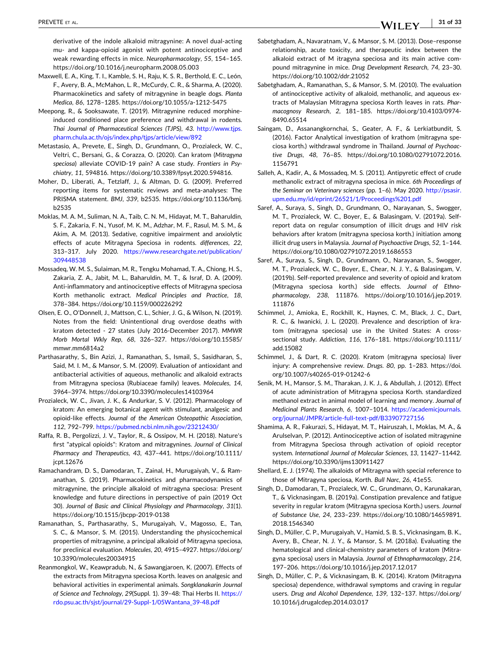- **31 of 33**WILEY-

<span id="page-30-0"></span>derivative of the indole alkaloid mitragynine: A novel dual‐acting mu‐ and kappa‐opioid agonist with potent antinociceptive and weak rewarding effects in mice. *Neuropharmacology*, *55*, 154–165. <https://doi.org/10.1016/j.neuropharm.2008.05.003>

- Maxwell, E. A., King, T. I., Kamble, S. H., Raju, K. S. R., Berthold, E. C., León, F., Avery, B. A., McMahon, L. R., McCurdy, C. R., & Sharma, A. (2020). Pharmacokinetics and safety of mitragynine in beagle dogs. *Planta Medica*, *86*, 1278–1285. [https://doi.org/10.1055/a](https://doi.org/10.1055/a%2D1212-5475)‐1212‐5475
- Meepong, R., & Sooksawate, T. (2019). Mitragynine reduced morphine‐ induced conditioned place preference and withdrawal in rodents. *Thai Journal of Pharmaceutical Sciences (TJPS)*, *43*. [http://www.tjps.](http://www.tjps.pharm.chula.ac.th/ojs/index.php/tjps/article/view/892) [pharm.chula.ac.th/ojs/index.php/tjps/article/view/892](http://www.tjps.pharm.chula.ac.th/ojs/index.php/tjps/article/view/892)
- Metastasio, A., Prevete, E., Singh, D., Grundmann, O., Prozialeck, W. C., Veltri, C., Bersani, G., & Corazza, O. (2020). Can kratom (*Mitragyna speciosa*) alleviate COVID‐19 pain? A case study. *Frontiers in Psychiatry*, *11*, 594816. <https://doi.org/10.3389/fpsyt.2020.594816>.
- Moher, D., Liberati, A., Tetzlaff, J., & Altman, D. G. (2009). Preferred reporting items for systematic reviews and meta‐analyses: The PRISMA statement. *BMJ*, *339*, b2535. [https://doi.org/10.1136/bmj.](https://doi.org/10.1136/bmj.b2535) [b2535](https://doi.org/10.1136/bmj.b2535)
- Moklas, M. A. M., Suliman, N. A., Taib, C. N. M., Hidayat, M. T., Baharuldin, S. F., Zakaria, F. N., Yusof, M. K. M., Adzhar, M. F., Rasul, M. S. M., & Akim, A. M. (2013). Sedative, cognitive impairment and anxiolytic effects of acute Mitragyna Speciosa in rodents. *differences*, *22*, 313–317. July 2020. [https://www.researchgate.net/publication/](https://www.researchgate.net/publication/309448538) [309448538](https://www.researchgate.net/publication/309448538)
- Mossadeq, W. M. S., Sulaiman, M. R., Tengku Mohamad, T. A., Chiong, H. S., Zakaria, Z. A., Jabit, M. L., Baharuldin, M. T., & Israf, D. A. (2009). Anti‐inflammatory and antinociceptive effects of Mitragyna speciosa Korth methanolic extract. *Medical Principles and Practice*, *18*, 378–384. <https://doi.org/10.1159/000226292>
- Olsen, E. O., O'Donnell, J., Mattson, C. L., Schier, J. G., & Wilson, N. (2019). Notes from the field: Unintentional drug overdose deaths with kratom detected ‐ 27 states (July 2016‐December 2017). *MMWR Morb Mortal Wkly Rep*, *68*, 326–327. [https://doi.org/10.15585/](https://doi.org/10.15585/mmwr.mm6814a2) [mmwr.mm6814a2](https://doi.org/10.15585/mmwr.mm6814a2)
- Parthasarathy, S., Bin Azizi, J., Ramanathan, S., Ismail, S., Sasidharan, S., Said, M. I. M., & Mansor, S. M. (2009). Evaluation of antioxidant and antibacterial activities of aqueous, methanolic and alkaloid extracts from Mitragyna speciosa (Rubiaceae family) leaves. *Molecules*, *14*, 3964–3974. <https://doi.org/10.3390/molecules14103964>
- Prozialeck, W. C., Jivan, J. K., & Andurkar, S. V. (2012). Pharmacology of kratom: An emerging botanical agent with stimulant, analgesic and opioid‐like effects. *Journal of the American Osteopathic Association*, *112*, 792–799. <https://pubmed.ncbi.nlm.nih.gov/23212430/>
- Raffa, R. B., Pergolizzi, J. V., Taylor, R., & Ossipov, M. H. (2018). Nature's first "atypical opioids": Kratom and mitragynines. *Journal of Clinical Pharmacy and Therapeutics*, *43*, 437–441. [https://doi.org/10.1111/](https://doi.org/10.1111/jcpt.12676) [jcpt.12676](https://doi.org/10.1111/jcpt.12676)
- Ramachandram, D. S., Damodaran, T., Zainal, H., Murugaiyah, V., & Ramanathan, S. (2019). Pharmacokinetics and pharmacodynamics of mitragynine, the principle alkaloid of mitragyna speciosa: Present knowledge and future directions in perspective of pain (2019 Oct 30). *Journal of Basic and Clinical Physiology and Pharmacology*, *31*(1). [https://doi.org/10.1515/jbcpp](https://doi.org/10.1515/jbcpp%2D2019-0138)‐2019‐0138
- Ramanathan, S., Parthasarathy, S., Murugaiyah, V., Magosso, E., Tan, S. C., & Mansor, S. M. (2015). Understanding the physicochemical properties of mitragynine, a principal alkaloid of Mitragyna speciosa, for preclinical evaluation. *Molecules*, *20*, 4915–4927. [https://doi.org/](https://doi.org/10.3390/molecules20034915) [10.3390/molecules20034915](https://doi.org/10.3390/molecules20034915)
- Reanmongkol, W., Keawpradub, N., & Sawangjaroen, K. (2007). Effects of the extracts from Mitragyna speciosa Korth. leaves on analgesic and behavioral activities in experimental animals. *Songklanakarin Journal of Science and Technology*, *29*(Suppl. 1). 39–48: Thai Herbs II. [https://](https://rdo.psu.ac.th/sjst/journal/29%2DSuppl%2D1/05Wantana%5F39-48.pdf) [rdo.psu.ac.th/sjst/journal/29](https://rdo.psu.ac.th/sjst/journal/29%2DSuppl%2D1/05Wantana%5F39-48.pdf)‐Suppl‐1/05Wantana\_39‐48.pdf
- Sabetghadam, A., Navaratnam, V., & Mansor, S. M. (2013). Dose–response relationship, acute toxicity, and therapeutic index between the alkaloid extract of M itragyna speciosa and its main active compound mitragynine in mice. *Drug Development Research*, *74*, 23–30. <https://doi.org/10.1002/ddr.21052>
- Sabetghadam, A., Ramanathan, S., & Mansor, S. M. (2010). The evaluation of antinociceptive activity of alkaloid, methanolic, and aqueous extracts of Malaysian Mitragyna speciosa Korth leaves in rats. *Pharmacognosy Research*, *2*, 181–185. [https://doi.org/10.4103/0974](https://doi.org/10.4103/0974-8490.65514)‐ [8490.65514](https://doi.org/10.4103/0974-8490.65514)
- Saingam, D., Assanangkornchai, S., Geater, A. F., & Lerkiatbundit, S. (2016). Factor Analytical investigation of krathom (mitragyna speciosa korth.) withdrawal syndrome in Thailand. *Journal of Psychoactive Drugs*, *48*, 76–85. [https://doi.org/10.1080/02791072.2016.](https://doi.org/10.1080/02791072.2016.1156791) [1156791](https://doi.org/10.1080/02791072.2016.1156791)
- Salleh, A., Kadir, A., & Mossadeq, M. S. (2011). Antipyretic effect of crude methanolic extract of mitragyna speciosa in mice. *6th Proceedings of the Seminar on Veterinary sciences* (pp. 1–6). May 2020. [http://psasir.](http://psasir.upm.edu.my/id/eprint/26521/1/Proceedings%25201.pdf) [upm.edu.my/id/eprint/26521/1/Proceedings%201.pdf](http://psasir.upm.edu.my/id/eprint/26521/1/Proceedings%25201.pdf)
- Saref, A., Suraya, S., Singh, D., Grundmann, O., Narayanan, S., Swogger, M. T., Prozialeck, W. C., Boyer, E., & Balasingam, V. (2019a). Self‐ report data on regular consumption of illicit drugs and HIV risk behaviors after kratom (mitragyna speciosa korth.) initiation among illicit drug users in Malaysia. *Journal of Psychoactive Drugs*, *52*, 1–144. <https://doi.org/10.1080/02791072.2019.1686553>
- Saref, A., Suraya, S., Singh, D., Grundmann, O., Narayanan, S., Swogger, M. T., Prozialeck, W. C., Boyer, E., Chear, N. J. Y., & Balasingam, V. (2019b). Self‐reported prevalence and severity of opioid and kratom (Mitragyna speciosa korth.) side effects. *Journal of Ethnopharmacology*, *238*, 111876. [https://doi.org/10.1016/j.jep.2019.](https://doi.org/10.1016/j.jep.2019.111876) [111876](https://doi.org/10.1016/j.jep.2019.111876)
- Schimmel, J., Amioka, E., Rockhill, K., Haynes, C. M., Black, J. C., Dart, R. C., & Iwanicki, J. L. (2020). Prevalence and description of kratom (mitragyna speciosa) use in the United States: A cross‐ sectional study. *Addiction*, *116*, 176–181. [https://doi.org/10.1111/](https://doi.org/10.1111/add.15082) [add.15082](https://doi.org/10.1111/add.15082)
- Schimmel, J., & Dart, R. C. (2020). Kratom (mitragyna speciosa) liver injury: A comprehensive review. *Drugs*. *80*, pp. 1–283. [https://doi.](https://doi.org/10.1007/s40265-019-01242-6) [org/10.1007/s40265](https://doi.org/10.1007/s40265-019-01242-6)‐019‐01242‐6
- Senik, M. H., Mansor, S. M., Tharakan, J. K. J., & Abdullah, J. (2012). Effect of acute administration of Mitragyna speciosa Korth. standardized methanol extract in animal model of learning and memory. *Journal of Medicinal Plants Research*, *6*, 1007–1014. [https://academicjournals.](https://academicjournals.org/journal/JMPR/article%2Dfull%2Dtext%2Dpdf/B33907727156) [org/journal/JMPR/article](https://academicjournals.org/journal/JMPR/article%2Dfull%2Dtext%2Dpdf/B33907727156)‐full‐text‐pdf/B33907727156
- Shamima, A. R., Fakurazi, S., Hidayat, M. T., Hairuszah, I., Moklas, M. A., & Arulselvan, P. (2012). Antinociceptive action of isolated mitragynine from Mitragyna Speciosa through activation of opioid receptor system. *International Journal of Molecular Sciences*, *13*, 11427–11442. <https://doi.org/10.3390/ijms130911427>
- Shellard, E. J. (1974). The alkaloids of Mitragyna with special reference to those of Mitragyna speciosa, Korth. *Bull Narc*, *26*, 41e55.
- Singh, D., Damodaran, T., Prozialeck, W. C., Grundmann, O., Karunakaran, T., & Vicknasingam, B. (2019a). Constipation prevalence and fatigue severity in regular kratom (Mitragyna speciosa Korth.) users. *Journal of Substance Use*, *24*, 233–239. [https://doi.org/10.1080/14659891.](https://doi.org/10.1080/14659891.2018.1546340) [2018.1546340](https://doi.org/10.1080/14659891.2018.1546340)
- Singh, D., Müller, C. P., Murugaiyah, V., Hamid, S. B. S., Vicknasingam, B. K., Avery, B., Chear, N. J. Y., & Mansor, S. M. (2018a). Evaluating the hematological and clinical-chemistry parameters of kratom (Mitragyna speciosa) users in Malaysia. *Journal of Ethnopharmacology*, *214*, 197–206. <https://doi.org/10.1016/j.jep.2017.12.017>
- Singh, D., Müller, C. P., & Vicknasingam, B. K. (2014). Kratom (Mitragyna speciosa) dependence, withdrawal symptoms and craving in regular users. *Drug and Alcohol Dependence*, *139*, 132–137. [https://doi.org/](https://doi.org/10.1016/j.drugalcdep.2014.03.017) [10.1016/j.drugalcdep.2014.03.017](https://doi.org/10.1016/j.drugalcdep.2014.03.017)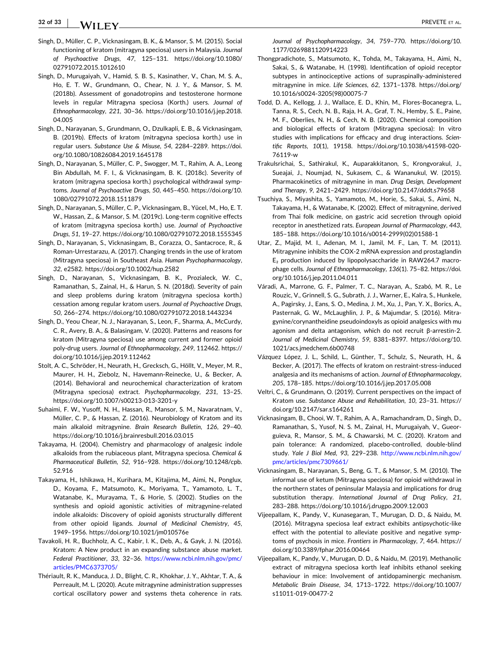<span id="page-31-0"></span>**32 of 33**  $-$  VV i i ff  $\bf{Y}$  and the contract of the contract of the contract of the contract of the contract of the contract of the contract of the contract of the contract of the contract of the contract of the contract of the

- Singh, D., Müller, C. P., Vicknasingam, B. K., & Mansor, S. M. (2015). Social functioning of kratom (mitragyna speciosa) users in Malaysia. *Journal of Psychoactive Drugs*, *47*, 125–131. [https://doi.org/10.1080/](https://doi.org/10.1080/02791072.2015.1012610) [02791072.2015.1012610](https://doi.org/10.1080/02791072.2015.1012610)
- Singh, D., Murugaiyah, V., Hamid, S. B. S., Kasinather, V., Chan, M. S. A., Ho, E. T. W., Grundmann, O., Chear, N. J. Y., & Mansor, S. M. (2018b). Assessment of gonadotropins and testosterone hormone levels in regular Mitragyna speciosa (Korth.) users. *Journal of Ethnopharmacology*, *221*, 30–36. [https://doi.org/10.1016/j.jep.2018.](https://doi.org/10.1016/j.jep.2018.04.005) [04.005](https://doi.org/10.1016/j.jep.2018.04.005)
- Singh, D., Narayanan, S., Grundmann, O., Dzulkapli, E. B., & Vicknasingam, B. (2019b). Effects of kratom (mitragyna speciosa korth.) use in regular users. *Substance Use & Misuse*, *54*, 2284–2289. [https://doi.](https://doi.org/10.1080/10826084.2019.1645178) [org/10.1080/10826084.2019.1645178](https://doi.org/10.1080/10826084.2019.1645178)
- Singh, D., Narayanan, S., Müller, C. P., Swogger, M. T., Rahim, A. A., Leong Bin Abdullah, M. F. I., & Vicknasingam, B. K. (2018c). Severity of kratom (mitragyna speciosa korth.) psychological withdrawal symptoms. *Journal of Psychoactive Drugs*, *50*, 445–450. [https://doi.org/10.](https://doi.org/10.1080/02791072.2018.1511879) [1080/02791072.2018.1511879](https://doi.org/10.1080/02791072.2018.1511879)
- Singh, D., Narayanan, S., Müller, C. P., Vicknasingam, B., Yücel, M., Ho, E. T. W., Hassan, Z., & Mansor, S. M. (2019c). Long‐term cognitive effects of kratom (mitragyna speciosa korth.) use. *Journal of Psychoactive Drugs*, *51*, 19–27. <https://doi.org/10.1080/02791072.2018.1555345>
- Singh, D., Narayanan, S., Vicknasingam, B., Corazza, O., Santacroce, R., & Roman‐Urrestarazu, A. (2017). Changing trends in the use of kratom (Mitragyna speciosa) in Southeast Asia. *Human Psychopharmacology*, *32*, e2582. <https://doi.org/10.1002/hup.2582>
- Singh, D., Narayanan, S., Vicknasingam, B. K., Prozialeck, W. C., Ramanathan, S., Zainal, H., & Harun, S. N. (2018d). Severity of pain and sleep problems during kratom (mitragyna speciosa korth.) cessation among regular kratom users. *Journal of Psychoactive Drugs*, *50*, 266–274. <https://doi.org/10.1080/02791072.2018.1443234>
- Singh, D., Yeou Chear, N. J., Narayanan, S., Leon, F., Sharma, A., McCurdy, C. R., Avery, B. A., & Balasingam, V. (2020). Patterns and reasons for kratom (Mitragyna speciosa) use among current and former opioid poly‐drug users. *Journal of Ethnopharmacology*, *249*, 112462. [https://](https://doi.org/10.1016/j.jep.2019.112462) [doi.org/10.1016/j.jep.2019.112462](https://doi.org/10.1016/j.jep.2019.112462)
- Stolt, A. C., Schröder, H., Neurath, H., Grecksch, G., Höllt, V., Meyer, M. R., Maurer, H. H., Ziebolz, N., Havemann‐Reinecke, U., & Becker, A. (2014). Behavioral and neurochemical characterization of kratom (Mitragyna speciosa) extract. *Psychopharmacology*, *231*, 13–25. [https://doi.org/10.1007/s00213](https://doi.org/10.1007/s00213-013-3201%2Dy)‐013‐3201‐y
- Suhaimi, F. W., Yusoff, N. H., Hassan, R., Mansor, S. M., Navaratnam, V., Müller, C. P., & Hassan, Z. (2016). Neurobiology of Kratom and its main alkaloid mitragynine. *Brain Research Bulletin*, *126*, 29–40. <https://doi.org/10.1016/j.brainresbull.2016.03.015>
- Takayama, H. (2004). Chemistry and pharmacology of analgesic indole alkaloids from the rubiaceous plant, Mitragyna speciosa. *Chemical & Pharmaceutical Bulletin*, *52*, 916–928. [https://doi.org/10.1248/cpb.](https://doi.org/10.1248/cpb.52.916) [52.916](https://doi.org/10.1248/cpb.52.916)
- Takayama, H., Ishikawa, H., Kurihara, M., Kitajima, M., Aimi, N., Ponglux, D., Koyama, F., Matsumoto, K., Moriyama, T., Yamamoto, L. T., Watanabe, K., Murayama, T., & Horie, S. (2002). Studies on the synthesis and opioid agonistic activities of mitragynine‐related indole alkaloids: Discovery of opioid agonists structurally different from other opioid ligands. *Journal of Medicinal Chemistry*, *45*, 1949–1956. <https://doi.org/10.1021/jm010576e>
- Tavakoli, H. R., Buchholz, A. C., Kabir, I. K., Deb, A., & Gayk, J. N. (2016). Kratom: A New product in an expanding substance abuse market. *Federal Practitioner*, *33*, 32–36. [https://www.ncbi.nlm.nih.gov/pmc/](https://www.ncbi.nlm.nih.gov/pmc/articles/PMC6373705/) [articles/PMC6373705/](https://www.ncbi.nlm.nih.gov/pmc/articles/PMC6373705/)
- Thériault, R. K., Manduca, J. D., Blight, C. R., Khokhar, J. Y., Akhtar, T. A., & Perreault, M. L. (2020). Acute mitragynine administration suppresses cortical oscillatory power and systems theta coherence in rats.

*Journal of Psychopharmacology*, *34*, 759–770. [https://doi.org/10.](https://doi.org/10.1177/0269881120914223) [1177/0269881120914223](https://doi.org/10.1177/0269881120914223)

- Thongpradichote, S., Matsumoto, K., Tohda, M., Takayama, H., Aimi, N., Sakai, S., & Watanabe, H. (1998). Identification of opioid receptor subtypes in antinociceptive actions of supraspinally‐administered mitragynine in mice. *Life Sciences*, *62*, 1371–1378. [https://doi.org/](https://doi.org/10.1016/s0024-3205%2898%2900075-7) 10.1016/s0024‐[3205\(98\)00075](https://doi.org/10.1016/s0024-3205%2898%2900075-7)‐7
- Todd, D. A., Kellogg, J. J., Wallace, E. D., Khin, M., Flores‐Bocanegra, L., Tanna, R. S., Cech, N. B., Raja, H. A., Graf, T. N., Hemby, S. E., Paine, M. F., Oberlies, N. H., & Cech, N. B. (2020). Chemical composition and biological effects of kratom (Mitragyna speciosa): In vitro studies with implications for efficacy and drug interactions. *Scientific Reports*, *10*(1), 19158. [https://doi.org/10.1038/s41598](https://doi.org/10.1038/s41598-020-76119%2Dw)‐020‐ [76119](https://doi.org/10.1038/s41598-020-76119%2Dw)‐w
- Trakulsrichai, S., Sathirakul, K., Auparakkitanon, S., Krongvorakul, J., Sueajai, J., Noumjad, N., Sukasem, C., & Wananukul, W. (2015). Pharmacokinetics of mitragynine in man. *Drug Design, Development and Therapy*, *9*, 2421–2429. <https://doi.org/10.2147/dddt.s79658>
- Tsuchiya, S., Miyashita, S., Yamamoto, M., Horie, S., Sakai, S., Aimi, N., Takayama, H., & Watanabe, K. (2002). Effect of mitragynine, derived from Thai folk medicine, on gastric acid secretion through opioid receptor in anesthetized rats. *European Journal of Pharmacology*, *443*, 185–188. [https://doi.org/10.1016/s0014](https://doi.org/10.1016/s0014-2999%2802%2901588-1)‐2999(02)01588‐1
- Utar, Z., Majid, M. I., Adenan, M. I., Jamil, M. F., Lan, T. M. (2011). Mitragynine inhibits the COX‐2 mRNA expression and prostaglandin E₂ production induced by lipopolysaccharide in RAW264.7 macrophage cells. *Journal of Ethnopharmacology*, *136*(1). 75–82. [https://doi.](https://doi.org/10.1016/j.jep.2011.04.011) [org/10.1016/j.jep.2011.04.011](https://doi.org/10.1016/j.jep.2011.04.011)
- Váradi, A., Marrone, G. F., Palmer, T. C., Narayan, A., Szabó, M. R., Le Rouzic, V., Grinnell, S. G., Subrath, J. J., Warner, E., Kalra, S., Hunkele, A., Pagirsky, J., Eans, S. O., Medina, J. M., Xu, J., Pan, Y. X., Borics, A., Pasternak, G. W., McLaughlin, J. P., & Majumdar, S. (2016). Mitragynine/corynantheidine pseudoindoxyls as opioid analgesics with mu agonism and delta antagonism, which do not recruit β‐arrestin‐2. *Journal of Medicinal Chemistry*, *59*, 8381–8397. [https://doi.org/10.](https://doi.org/10.1021/acs.jmedchem.6b00748) [1021/acs.jmedchem.6b00748](https://doi.org/10.1021/acs.jmedchem.6b00748)
- Vázquez López, J. L., Schild, L., Günther, T., Schulz, S., Neurath, H., & Becker, A. (2017). The effects of kratom on restraint‐stress‐induced analgesia and its mechanisms of action. *Journal of Ethnopharmacology*, *205*, 178–185. <https://doi.org/10.1016/j.jep.2017.05.008>
- Veltri, C., & Grundmann, O. (2019). Current perspectives on the impact of Kratom use. *Substance Abuse and Rehabilitation*, *10*, 23–31. [https://](https://doi.org/10.2147/sar.s164261) [doi.org/10.2147/sar.s164261](https://doi.org/10.2147/sar.s164261)
- Vicknasingam, B., Chooi, W. T., Rahim, A. A., Ramachandram, D., Singh, D., Ramanathan, S., Yusof, N. S. M., Zainal, H., Murugaiyah, V., Gueorguieva, R., Mansor, S. M., & Chawarski, M. C. (2020). Kratom and pain tolerance: A randomized, placebo-controlled, double-blind study. *Yale J Biol Med*, *93*, 229–238. [http://www.ncbi.nlm.nih.gov/](http://www.ncbi.nlm.nih.gov/pmc/articles/pmc7309661/) [pmc/articles/pmc7309661/](http://www.ncbi.nlm.nih.gov/pmc/articles/pmc7309661/)
- Vicknasingam, B., Narayanan, S., Beng, G. T., & Mansor, S. M. (2010). The informal use of ketum (Mitragyna speciosa) for opioid withdrawal in the northern states of peninsular Malaysia and implications for drug substitution therapy. *International Journal of Drug Policy*, *21*, 283–288. <https://doi.org/10.1016/j.drugpo.2009.12.003>
- Vijeepallam, K., Pandy, V., Kunasegaran, T., Murugan, D. D., & Naidu, M. (2016). Mitragyna speciosa leaf extract exhibits antipsychotic‐like effect with the potential to alleviate positive and negative symptoms of psychosis in mice. *Frontiers in Pharmacology*, *7*, 464. [https://](https://doi.org/10.3389/fphar.2016.00464) [doi.org/10.3389/fphar.2016.00464](https://doi.org/10.3389/fphar.2016.00464)
- Vijeepallam, K., Pandy, V., Murugan, D. D., & Naidu, M. (2019). Methanolic extract of mitragyna speciosa korth leaf inhibits ethanol seeking behaviour in mice: Involvement of antidopaminergic mechanism. *Metabolic Brain Disease*, *34*, 1713–1722. [https://doi.org/10.1007/](https://doi.org/10.1007/s11011-019-00477-2) [s11011](https://doi.org/10.1007/s11011-019-00477-2)‐019‐00477‐2